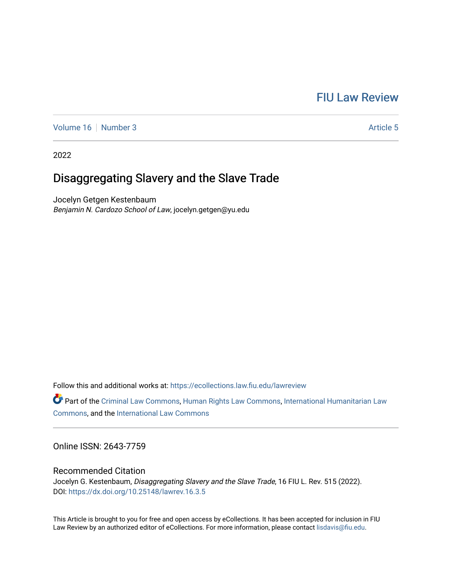# [FIU Law Review](https://ecollections.law.fiu.edu/lawreview)

[Volume 16](https://ecollections.law.fiu.edu/lawreview/vol16) [Number 3](https://ecollections.law.fiu.edu/lawreview/vol16/iss3) Article 5

2022

# Disaggregating Slavery and the Slave Trade

Jocelyn Getgen Kestenbaum Benjamin N. Cardozo School of Law, jocelyn.getgen@yu.edu

Follow this and additional works at: [https://ecollections.law.fiu.edu/lawreview](https://ecollections.law.fiu.edu/lawreview?utm_source=ecollections.law.fiu.edu%2Flawreview%2Fvol16%2Fiss3%2F5&utm_medium=PDF&utm_campaign=PDFCoverPages)

Part of the [Criminal Law Commons,](https://network.bepress.com/hgg/discipline/912?utm_source=ecollections.law.fiu.edu%2Flawreview%2Fvol16%2Fiss3%2F5&utm_medium=PDF&utm_campaign=PDFCoverPages) [Human Rights Law Commons](https://network.bepress.com/hgg/discipline/847?utm_source=ecollections.law.fiu.edu%2Flawreview%2Fvol16%2Fiss3%2F5&utm_medium=PDF&utm_campaign=PDFCoverPages), [International Humanitarian Law](https://network.bepress.com/hgg/discipline/1330?utm_source=ecollections.law.fiu.edu%2Flawreview%2Fvol16%2Fiss3%2F5&utm_medium=PDF&utm_campaign=PDFCoverPages) [Commons](https://network.bepress.com/hgg/discipline/1330?utm_source=ecollections.law.fiu.edu%2Flawreview%2Fvol16%2Fiss3%2F5&utm_medium=PDF&utm_campaign=PDFCoverPages), and the [International Law Commons](https://network.bepress.com/hgg/discipline/609?utm_source=ecollections.law.fiu.edu%2Flawreview%2Fvol16%2Fiss3%2F5&utm_medium=PDF&utm_campaign=PDFCoverPages) 

Online ISSN: 2643-7759

### Recommended Citation

Jocelyn G. Kestenbaum, Disaggregating Slavery and the Slave Trade, 16 FIU L. Rev. 515 (2022). DOI:<https://dx.doi.org/10.25148/lawrev.16.3.5>

This Article is brought to you for free and open access by eCollections. It has been accepted for inclusion in FIU Law Review by an authorized editor of eCollections. For more information, please contact [lisdavis@fiu.edu](mailto:lisdavis@fiu.edu).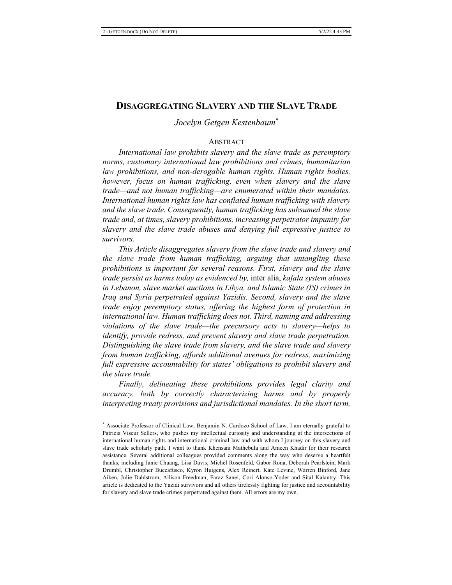## DISAGGREGATING SLAVERY AND THE SLAVE TRADE

 $Jocelyn Getgen Kestenbaum<sup>*</sup>$ 

#### **ABSTRACT**

*International law prohibits slavery and the slave trade as peremptory* norms, customary international law prohibitions and crimes, humanitarian *law prohibitions, and non-derogable human rights. Human rights bodies, however, focus on human trafficking, even when slavery and the slave z*rade—and not human trafficking—are enumerated within their mandates. International human rights law has conflated human trafficking with slavery and the slave trade. Consequently, human trafficking has subsumed the slave *z* trade and, at times, slavery prohibitions, increasing perpetrator impunity for *n slavery* and the *slave trade abuses and denying full expressive justice to* survivors.

This Article disaggregates slavery from the slave trade and slavery and *zhe slave trade from human trafficking, arguing that untangling these prohibitions is important for several reasons. First, slavery and the slave z* trade persist as harms today as evidenced by, inter alia, kafala system abuses in Lebanon, slave market auctions in Libya, and Islamic State (IS) crimes in *Iraq and Syria perpetrated against Yazidis. Second, slavery and the slave z* trade enjoy peremptory status, offering the highest form of protection in international law. Human trafficking does not. Third, naming and addressing *violations of the slave trade—the precursory acts to slavery—helps to identify, provide redress, and prevent slavery and slave trade perpetration.* Distinguishing the slave trade from slavery, and the slave trade and slavery *from human trafficking, affords additional avenues for redress, maximizing* full expressive accountability for states' obligations to prohibit slavery and *zhe slave trade.* 

Finally, delineating these prohibitions provides legal clarity and *accuracy, both by correctly characterizing harms and by properly* interpreting treaty provisions and jurisdictional mandates. In the short term,

<sup>\*</sup> Associate Professor of Clinical Law, Benjamin N. Cardozo School of Law. I am eternally grateful to Patricia Viseur Sellers, who pushes my intellectual curiosity and understanding at the intersections of international human rights and international criminal law and with whom I journey on this slavery and slave trade scholarly path. I want to thank Khensani Mathebula and Ameen Khadir for their research assistance. Several additional colleagues provided comments along the way who deserve a heartfelt thanks, including Janie Chuang, Lisa Davis, Michel Rosenfeld, Gabor Rona, Deborah Pearlstein, Mark Drumbl, Christopher Buccafusco, Kyron Huigens, Alex Reinert, Kate Levine, Warren Binford, Jane Aiken, Julie Dahlstrom, Allison Freedman, Faraz Sanei, Cori Alonso-Yoder and Sital Kalantry. This article is dedicated to the Yazidi survivors and all others tirelessly fighting for justice and accountability for slavery and slave trade crimes perpetrated against them. All errors are my own.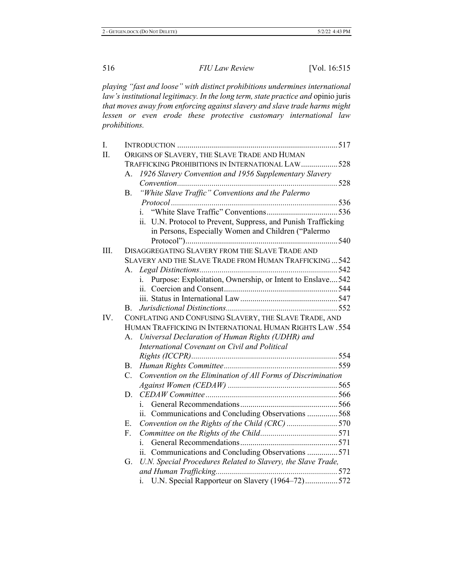playing "fast and loose" with distinct prohibitions undermines international law's institutional legitimacy. In the long term, state practice and opinio juris that moves away from enforcing against slavery and slave trade harms might *lessen or even erode these protective customary international law*  $prohibitions.$ 

| I.   |                                                          |                                                                  |  |  |  |
|------|----------------------------------------------------------|------------------------------------------------------------------|--|--|--|
| Π.   |                                                          | ORIGINS OF SLAVERY, THE SLAVE TRADE AND HUMAN                    |  |  |  |
|      |                                                          | TRAFFICKING PROHIBITIONS IN INTERNATIONAL LAW528                 |  |  |  |
|      | $A_{-}$                                                  | 1926 Slavery Convention and 1956 Supplementary Slavery           |  |  |  |
|      |                                                          |                                                                  |  |  |  |
|      | <b>B.</b>                                                | "White Slave Traffic" Conventions and the Palermo                |  |  |  |
|      |                                                          |                                                                  |  |  |  |
|      |                                                          | i.                                                               |  |  |  |
|      |                                                          | ii. U.N. Protocol to Prevent, Suppress, and Punish Trafficking   |  |  |  |
|      |                                                          | in Persons, Especially Women and Children ("Palermo              |  |  |  |
|      |                                                          |                                                                  |  |  |  |
| III. |                                                          | DISAGGREGATING SLAVERY FROM THE SLAVE TRADE AND                  |  |  |  |
|      |                                                          | SLAVERY AND THE SLAVE TRADE FROM HUMAN TRAFFICKING542            |  |  |  |
|      |                                                          |                                                                  |  |  |  |
|      |                                                          | Purpose: Exploitation, Ownership, or Intent to Enslave 542<br>i. |  |  |  |
|      |                                                          |                                                                  |  |  |  |
|      |                                                          |                                                                  |  |  |  |
|      | В.                                                       |                                                                  |  |  |  |
| IV.  |                                                          | CONFLATING AND CONFUSING SLAVERY, THE SLAVE TRADE, AND           |  |  |  |
|      | HUMAN TRAFFICKING IN INTERNATIONAL HUMAN RIGHTS LAW. 554 |                                                                  |  |  |  |
|      | А.                                                       | Universal Declaration of Human Rights (UDHR) and                 |  |  |  |
|      |                                                          | International Covenant on Civil and Political                    |  |  |  |
|      |                                                          |                                                                  |  |  |  |
|      | В.                                                       |                                                                  |  |  |  |
|      | $C_{\cdot}$                                              | Convention on the Elimination of All Forms of Discrimination     |  |  |  |
|      |                                                          |                                                                  |  |  |  |
|      | D.                                                       |                                                                  |  |  |  |
|      |                                                          | i.                                                               |  |  |  |
|      |                                                          | ii. Communications and Concluding Observations 568               |  |  |  |
|      | Е.                                                       | Convention on the Rights of the Child (CRC) 570                  |  |  |  |
|      | F.                                                       |                                                                  |  |  |  |
|      |                                                          | i.                                                               |  |  |  |
|      |                                                          | ii. Communications and Concluding Observations 571               |  |  |  |
|      | G.                                                       | U.N. Special Procedures Related to Slavery, the Slave Trade,     |  |  |  |
|      |                                                          |                                                                  |  |  |  |
|      |                                                          | U.N. Special Rapporteur on Slavery (1964-72)572<br>1.            |  |  |  |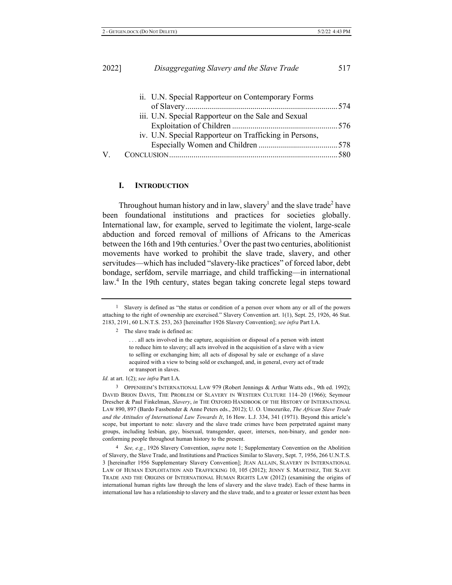|    | ii. U.N. Special Rapporteur on Contemporary Forms      |  |
|----|--------------------------------------------------------|--|
|    |                                                        |  |
|    | iii. U.N. Special Rapporteur on the Sale and Sexual    |  |
|    |                                                        |  |
|    | iv. U.N. Special Rapporteur on Trafficking in Persons, |  |
|    |                                                        |  |
| V. |                                                        |  |
|    |                                                        |  |

#### **I**. **.** INTRODUCTION

Throughout human history and in law, slavery<sup>1</sup> and the slave trade<sup>2</sup> have been foundational institutions and practices for societies globally. International law, for example, served to legitimate the violent, large-scale abduction and forced removal of millions of Africans to the Americas between the 16th and 19th centuries.<sup>3</sup> Over the past two centuries, abolitionist movements have worked to prohibit the slave trade, slavery, and other servitudes—which has included "slavery-like practices" of forced labor, debt bondage, serfdom, servile marriage, and child trafficking—in international law.<sup>4</sup> In the 19th century, states began taking concrete legal steps toward

*Id.* at art. 1(2); see infra Part I.A.

3 OPPENHEIM'S INTERNATIONAL LAW 979 (Robert Jennings & Arthur Watts eds., 9th ed. 1992); DAVID BRION DAVIS, THE PROBLEM OF SLAVERY IN WESTERN CULTURE 114-20 (1966); Seymour Drescher & Paul Finkelman, Slavery, in THE OXFORD HANDBOOK OF THE HISTORY OF INTERNATIONAL LAW 890, 897 (Bardo Fassbender & Anne Peters eds., 2012); U. O. Umozurike, The African Slave Trade and the Attitudes of International Law Towards It, 16 How. L.J. 334, 341 (1971). Beyond this article's scope, but important to note: slavery and the slave trade crimes have been perpetrated against many groups, including lesbian, gay, bisexual, transgender, queer, intersex, non-binary, and gender nonconforming people throughout human history to the present.

<sup>4</sup> See, e.g., 1926 Slavery Convention, *supra* note 1; Supplementary Convention on the Abolition of Slavery, the Slave Trade, and Institutions and Practices Similar to Slavery, Sept. 7, 1956, 266 U.N.T.S. 3 [hereinafter 1956 Supplementary Slavery Convention]; JEAN ALLAIN, SLAVERY IN INTERNATIONAL LAW OF HUMAN EXPLOITATION AND TRAFFICKING 10, 105 (2012); JENNY S. MARTINEZ, THE SLAVE TRADE AND THE ORIGINS OF INTERNATIONAL HUMAN RIGHTS LAW (2012) (examining the origins of international human rights law through the lens of slavery and the slave trade). Each of these harms in international law has a relationship to slavery and the slave trade, and to a greater or lesser extent has been

<sup>&</sup>lt;sup>1</sup> Slavery is defined as "the status or condition of a person over whom any or all of the powers attaching to the right of ownership are exercised." Slavery Convention art. 1(1), Sept. 25, 1926, 46 Stat. 2183, 2191, 60 L.N.T.S. 253, 263 [hereinafter 1926 Slavery Convention]; see infra Part I.A.

<sup>2</sup> The slave trade is defined as:

<sup>...</sup> all acts involved in the capture, acquisition or disposal of a person with intent to reduce him to slavery; all acts involved in the acquisition of a slave with a view to selling or exchanging him; all acts of disposal by sale or exchange of a slave acquired with a view to being sold or exchanged, and, in general, every act of trade or transport in slaves.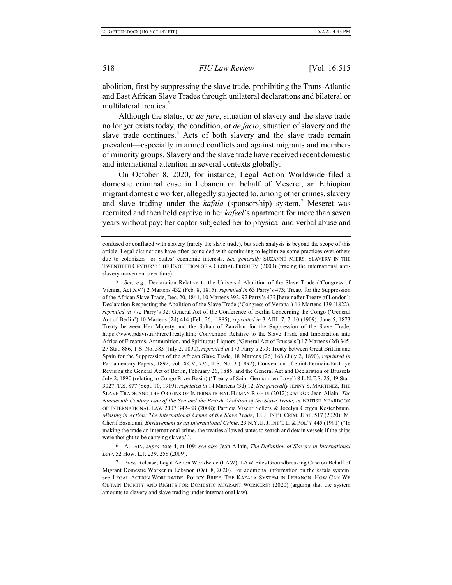abolition, first by suppressing the slave trade, prohibiting the Trans-Atlantic and East African Slave Trades through unilateral declarations and bilateral or multilateral treaties.<sup>5</sup>

Although the status, or *de jure*, situation of slavery and the slave trade no longer exists today, the condition, or *de facto*, situation of slavery and the slave trade continues.<sup>6</sup> Acts of both slavery and the slave trade remain prevalent—especially in armed conflicts and against migrants and members of minority groups. Slavery and the slave trade have received recent domestic and international attention in several contexts globally.

On October 8, 2020, for instance, Legal Action Worldwide filed a domestic criminal case in Lebanon on behalf of Meseret, an Ethiopian migrant domestic worker, allegedly subjected to, among other crimes, slavery and slave trading under the *kafala* (sponsorship) system.<sup>7</sup> Meseret was recruited and then held captive in her kafeel's apartment for more than seven years without pay; her captor subjected her to physical and verbal abuse and

<sup>5</sup> See, e.g., Declaration Relative to the Universal Abolition of the Slave Trade ('Congress of Vienna, Act XV') 2 Martens 432 (Feb. 8, 1815), *reprinted in* 63 Parry's 473; Treaty for the Suppression of the African Slave Trade, Dec. 20, 1841, 10 Martens 392, 92 Parry's 437 [hereinafter Treaty of London]; Declaration Respecting the Abolition of the Slave Trade ('Congress of Verona') 16 Martens 139 (1822), *reprinted in* 772 Parry's 32; General Act of the Conference of Berlin Concerning the Congo ('General Act of Berlin') 10 Martens (2d) 414 (Feb. 26, 1885), *reprinted in* 3 AJIL 7, 7–10 (1909); June 5, 1873 Treaty between Her Majesty and the Sultan of Zanzibar for the Suppression of the Slave Trade, https://www.pdavis.nl/FrereTreaty.htm; Convention Relative to the Slave Trade and Importation into Africa of Firearms, Ammunition, and Spirituous Liquors ('General Act of Brussels') 17 Martens (2d) 345, 27 Stat. 886, T.S. No. 383 (July 2, 1890), *reprinted in* 173 Parry's 293; Treaty between Great Britain and Spain for the Suppression of the African Slave Trade, 18 Martens (2d) 168 (July 2, 1890), *reprinted in* Parliamentary Papers, 1892, vol. XCV, 735, T.S. No. 3 (1892); Convention of Saint-Fermain-En-Laye Revising the General Act of Berlin, February 26, 1885, and the General Act and Declaration of Brussels July 2, 1890 (relating to Congo River Basin) ('Treaty of Saint-Germain-en-Laye') 8 L.N.T.S. 25, 49 Stat. 3027, T.S. 877 (Sept. 10, 1919), *reprinted in* 14 Martens (3d) 12. See generally JENNY S. MARTINEZ, THE SLAVE TRADE AND THE ORIGINS OF INTERNATIONAL HUMAN RIGHTS (2012); see also Jean Allain, The *Nineteenth Century Law of the Sea and the British Abolition of the Slave Trade, in BRITISH YEARBOOK* OF INTERNATIONAL LAW 2007 342-88 (2008); Patricia Viseur Sellers & Jocelyn Getgen Kestenbaum, Missing in Action: The International Crime of the Slave Trade, 18 J. INT'L CRIM. JUST. 517 (2020); M. Cherif Bassiouni, *Enslavement as an International Crime*, 23 N.Y.U. J. INT'L L. & POL'Y 445 (1991) ("In making the trade an international crime, the treaties allowed states to search and detain vessels if the ships were thought to be carrying slaves.").

<sup>6</sup> ALLAIN, *supra* note 4, at 109; see also Jean Allain, *The Definition of Slavery in International* Law, 52 How. L.J. 239, 258 (2009).

7 Press Release, Legal Action Worldwide (LAW), LAW Files Groundbreaking Case on Behalf of Migrant Domestic Worker in Lebanon (Oct. 8, 2020). For additional information on the kafala system, see LEGAL ACTION WORLDWIDE, POLICY BRIEF: THE KAFALA SYSTEM IN LEBANON: HOW CAN WE OBTAIN DIGNITY AND RIGHTS FOR DOMESTIC MIGRANT WORKERS? (2020) (arguing that the system amounts to slavery and slave trading under international law).

confused or conflated with slavery (rarely the slave trade), but such analysis is beyond the scope of this article. Legal distinctions have often coincided with continuing to legitimize some practices over others due to colonizers' or States' economic interests. See generally SUZANNE MIERS, SLAVERY IN THE TWENTIETH CENTURY: THE EVOLUTION OF A GLOBAL PROBLEM (2003) (tracing the international antislavery movement over time).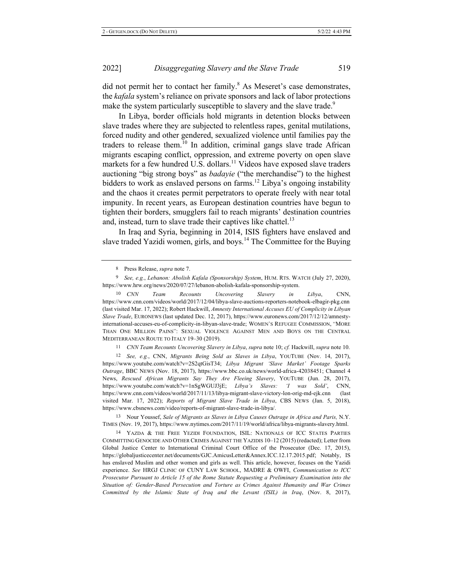did not permit her to contact her family.<sup>8</sup> As Meseret's case demonstrates, the kafala system's reliance on private sponsors and lack of labor protections make the system particularly susceptible to slavery and the slave trade.<sup>9</sup>

In Libya, border officials hold migrants in detention blocks between slave trades where they are subjected to relentless rapes, genital mutilations, forced nudity and other gendered, sexualized violence until families pay the traders to release them.<sup>10</sup> In addition, criminal gangs slave trade African migrants escaping conflict, oppression, and extreme poverty on open slave markets for a few hundred U.S. dollars.<sup>11</sup> Videos have exposed slave traders auctioning "big strong boys" as *badayie* ("the merchandise") to the highest bidders to work as enslaved persons on farms.<sup>12</sup> Libya's ongoing instability and the chaos it creates permit perpetrators to operate freely with near total impunity. In recent years, as European destination countries have begun to tighten their borders, smugglers fail to reach migrants' destination countries and, instead, turn to slave trade their captives like chattel.<sup>13</sup>

In Iraq and Syria, beginning in 2014, ISIS fighters have enslaved and slave traded Yazidi women, girls, and boys.<sup>14</sup> The Committee for the Buying

8 Press Release, *supra* note 7.

<sup>9</sup> See, e.g., Lebanon: Abolish Kafala (Sponsorship) System, HUM. RTS. WATCH (July 27, 2020), https://www.hrw.org/news/2020/07/27/lebanon-abolish-kafala-sponsorship-system.

 $10\quad CNN$ *Team Recounts Uncovering Slavery in Libya*, CNN, https://www.cnn.com/videos/world/2017/12/04/libya-slave-auctions-reporters-notebook-elbagir-pkg.cnn (last visited Mar. 17, 2022); Robert Hackwill, Amnesty International Accuses EU of Complicity in Libyan Slave Trade, EURONEWS (last updated Dec. 12, 2017), https://www.euronews.com/2017/12/12/amnestyinternational-accuses-eu-of-complicity-in-libyan-slave-trade; WOMEN'S REFUGEE COMMISSION, "MORE THAN ONE MILLION PAINS": SEXUAL VIOLENCE AGAINST MEN AND BOYS ON THE CENTRAL MEDITERRANEAN ROUTE TO ITALY 19-30 (2019).

11 *CNN Team Recounts Uncovering Slavery in Libya, supra note 10; cf. Hackwill, supra note 10.* 

12 See, e.g., CNN, Migrants Being Sold as Slaves in Libya, YOUTUBE (Nov. 14, 2017), https://www.youtube.com/watch?v=2S2qtGisT34; Libya Migrant 'Slave Market' Footage Sparks Outrage, BBC NEWS (Nov. 18, 2017), https://www.bbc.co.uk/news/world-africa-42038451; Channel 4 News, Rescued African Migrants Say They Are Fleeing Slavery, YOUTUBE (Jun. 28, 2017), https://www.youtube.com/watch?v=1nSgWGUJ3jE; Libya's Slaves: 'I was Sold', CNN, https://www.cnn.com/videos/world/2017/11/13/libya-migrant-slave-victory-lon-orig-md-ejk.cnn (last visited Mar. 17, 2022); Reports of Migrant Slave Trade in Libya, CBS NEWS (Jan. 5, 2018), https://www.cbsnews.com/video/reports-of-migrant-slave-trade-in-libya/.

13 Nour Youssef, Sale of Migrants as Slaves in Libya Causes Outrage in Africa and Paris, N.Y. TIMES (Nov. 19, 2017), https://www.nytimes.com/2017/11/19/world/africa/libya-migrants-slavery.html.

<sup>14</sup> YAZDA & THE FREE YEZIDI FOUNDATION, ISIL: NATIONALS OF ICC STATES PARTIES COMMITTING GENOCIDE AND OTHER CRIMES AGAINST THE YAZIDIS 10–12 (2015) (redacted); Letter from Global Justice Center to International Criminal Court Office of the Prosecutor (Dec. 17, 2015), https://globaljusticecenter.net/documents/GJC.AmicusLetter&Annex.ICC.12.17.2015.pdf; Notably, IS has enslaved Muslim and other women and girls as well. This article, however, focuses on the Yazidi experience. See HRGJ CLINIC OF CUNY LAW SCHOOL, MADRE & OWFI, Communication to ICC Prosecutor Pursuant to Article 15 of the Rome Statute Requesting a Preliminary Examination into the *Situation of: Gender-Based Persecution and Torture as Crimes Against Humanity and War Crimes Committed by the Islamic State of Iraq and the Levant (ISIL) in Iraq, (Nov. 8, 2017),*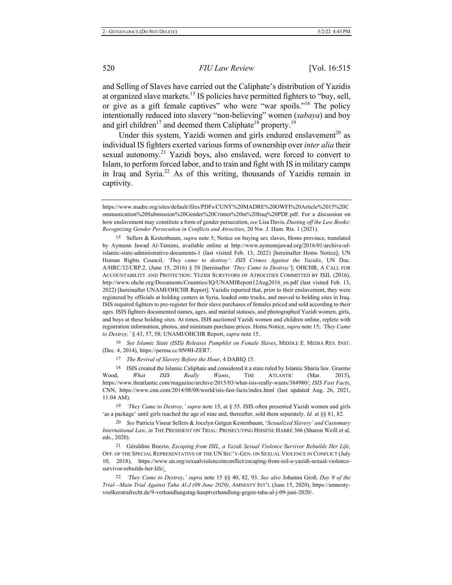and Selling of Slaves have carried out the Caliphate's distribution of Yazidis at organized slave markets.<sup>15</sup> IS policies have permitted fighters to "buy, sell, or give as a gift female captives" who were "war spoils."<sup>16</sup> The policy intentionally reduced into slavery "non-believing" women (sabaya) and boy and girl children<sup>17</sup> and deemed them Caliphate<sup>18</sup> property.<sup>19</sup>

Under this system, Yazidi women and girls endured enslavement<sup>20</sup> as individual IS fighters exerted various forms of ownership over *inter alia* their sexual autonomy.<sup>21</sup> Yazidi boys, also enslaved, were forced to convert to Islam, to perform forced labor, and to train and fight with IS in military camps in Iraq and Syria.<sup>22</sup> As of this writing, thousands of Yazidis remain in captivity.

<sup>15</sup> Sellers & Kestenbaum, *supra* note 5; Notice on buying sex slaves, Homs province, translated by Aymenn Jawad Al-Tamimi, available online at http://www.aymennjawad.org/2016/01/archive-ofislamic-state-administrative-documents-1 (last visited Feb. 13, 2022) [hereinafter Homs Notice]; UN Human Rights Council, 'They came to destroy': ISIS Crimes Against the Yazidis, UN Doc. A/HRC/32/CRP.2, (June 15, 2016) § 58 [hereinafter '*They Came to Destroy*']; OHCHR, A CALL FOR ACCOUNTABILITY AND PROTECTION: YEZIDI SURVIVORS OF ATROCITIES COMMITTED BY ISIL (2016), http://www.ohchr.org/Documents/Countries/IQ/UNAMIReport12Aug2016 en.pdf (last visited Feb. 13, 2022) [hereinafter UNAMI/OHCHR Report]. Yazidis reported that, prior to their enslavement, they were registered by officials at holding centers in Syria, loaded onto trucks, and moved to holding sites in Iraq. ISIS required fighters to pre-register for their slave purchases of females priced and sold according to their ages. ISIS fighters documented names, ages, and marital statuses, and photographed Yazidi women, girls, and boys at these holding sites. At times, ISIS auctioned Yazidi women and children online, replete with registration information, photos, and minimum purchase prices. Homs Notice, *supra* note 15; 'They Came to Destroy, ' § 43, 57, 58; UNAMI/OHCHR Report, supra note 15.

16 See Islamic State (ISIS) Releases Pamphlet on Female Slaves, MIDDLE E. MEDIA RES. INST. (Dec. 4, 2014), https://perma.cc/8N9H-ZER7.

<sup>17</sup> The Revival of Slavery Before the Hour, 4 DABIQ 15.

18 ISIS created the Islamic Caliphate and considered it a state ruled by Islamic Sharia law. Graeme Wood, What ISIS Really Wants, THE ATLANTIC (Mar.  $2015$ ). https://www.theatlantic.com/magazine/archive/2015/03/what-isis-really-wants/384980/; ISIS Fast Facts, CNN, https://www.cnn.com/2014/08/08/world/isis-fast-facts/index.html (last updated Aug. 26, 2021,  $11:04$  AM).

<sup>19</sup> 'They Came to Destroy,' supra note 15, at § 55. ISIS often presented Yazidi women and girls 'as a package' until girls reached the age of nine and, thereafter, sold them separately. *Id.* at §§ 81, 82.

20 See Patricia Viseur Sellers & Jocelyn Getgen Kestenbaum, 'Sexualized Slavery' and Customary International Law, in THE PRESIDENT ON TRIAL: PROSECUTING HISSÈNE HABRÉ 366 (Sharon Weill et al. eds., 2020).

<sup>21</sup> Géraldine Boezio, *Escaping from ISIL, a Yazidi Sexual Violence Survivor Rebuilds Her Life*, OFF. OF THE SPECIAL REPRESENTATIVE OF THE UN SEC'Y-GEN. ON SEXUAL VIOLENCE IN CONFLICT (July 10. , 2018), https://www.un.org/sexualviolenceinconflict/escaping-from-isil-a-yazidi-sexual-violencesurvivor-rebuilds-her-life/.

<sup>22</sup> *'They Came to Destroy,' supra note 15 §§ 40, 82, 93. See also Johanna Groß, Day 9 of the* Trial—Main Trial Against Taha Al-J (09 June 2020), AMNESTY INT'L (June 15, 2020), https://amnestyvoelkerstrafrecht.de/9-verhandlungstag-hauptverhandlung-gegen-taha-al-j-09-juni-2020/.

https://www.madre.org/sites/default/files/PDFs/CUNY%20MADRE%20OWFI%20Article%2015%20C ommunication%20Submission%20Gender%20Crimes%20in%20Iraq%20PDF.pdf. For a discussion on how enslavement may constitute a form of gender persecution, see Lisa Davis, Dusting off the Law Books: Recognizing Gender Persecution in Conflicts and Atrocities, 20 Nw. J. Hum. Rts. 1 (2021).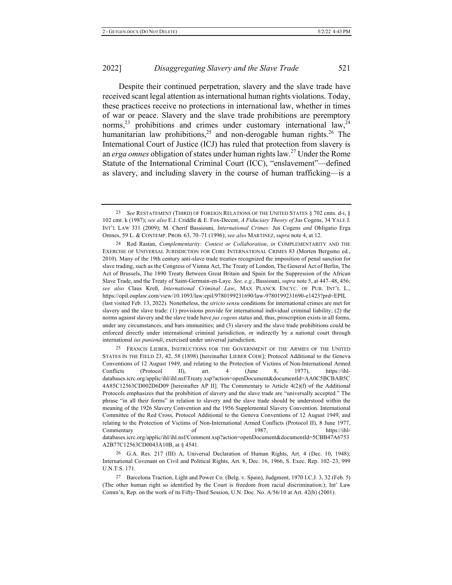#### 2022 **Disaggregating Slavery and the Slave Trade**

Despite their continued perpetration, slavery and the slave trade have received scant legal attention as international human rights violations. Today, these practices receive no protections in international law, whether in times of war or peace. Slavery and the slave trade prohibitions are peremptory norms,<sup>23</sup> prohibitions and crimes under customary international law,<sup>24</sup> humanitarian law prohibitions,<sup>25</sup> and non-derogable human rights.<sup>26</sup> The International Court of Justice (ICJ) has ruled that protection from slavery is an erga omnes obligation of states under human rights law.<sup>27</sup> Under the Rome Statute of the International Criminal Court (ICC), "enslavement"—defined as slavery, and including slavery in the course of human trafficking—is a

24 Rod Rastan, *Complementarity: Contest or Collaboration*, *in* COMPLEMENTARITY AND THE EXERCISE OF UNIVERSAL JURISDICTION FOR CORE INTERNATIONAL CRIMES 83 (Morten Bergsmo ed., 2010). Many of the 19th century anti-slave trade treaties recognized the imposition of penal sanction for slave trading, such as the Congress of Vienna Act, The Treaty of London, The General Act of Berlin, The Act of Brussels, The 1890 Treaty Between Great Britain and Spain for the Suppression of the African Slave Trade, and the Treaty of Saint-Germain-en-Laye. See, e.g., Bassiouni, *supra* note 5, at 447–48, 456; see also Claus Kreß, International Criminal Law, MAX PLANCK ENCYC. OF PUB. INT'L L., https://opil.ouplaw.com/view/10.1093/law:epil/9780199231690/law-9780199231690-e1423?prd=EPIL (last visited Feb. 13, 2022). Nonetheless, the *stricto sensu* conditions for international crimes are met for slavery and the slave trade:  $(1)$  provisions provide for international individual criminal liability;  $(2)$  the norms against slavery and the slave trade have jus cogens status and, thus, proscription exists in all forms, under any circumstances, and bars immunities; and (3) slavery and the slave trade prohibitions could be enforced directly under international criminal jurisdiction, or indirectly by a national court through international ius puniendi, exercised under universal jurisdiction.

<sup>25</sup> FRANCIS LIEBER, INSTRUCTIONS FOR THE GOVERNMENT OF THE ARMIES OF THE UNITED STATES IN THE FIELD 23, 42, 58 (1898) [hereinafter LIEBER CODE]; Protocol Additional to the Geneva Conventions of 12 August 1949, and relating to the Protection of Victims of Non-International Armed Conflicts (Protocol II), art.  $4$  (June 8, 1977), https://ihldatabases.icrc.org/applic/ihl/ihl.nsf/Treaty.xsp?action=openDocument&documentId=AA0C5BCBAB5C 4A85C12563CD002D6D09 [hereinafter AP II]. The Commentary to Article 4(2)(f) of the Additional Protocols emphasizes that the prohibition of slavery and the slave trade are "universally accepted." The phrase "in all their forms" in relation to slavery and the slave trade should be understood within the meaning of the 1926 Slavery Convention and the 1956 Supplemental Slavery Convention. International Committee of the Red Cross, Protocol Additional to the Geneva Conventions of 12 August 1949, and relating to the Protection of Victims of Non-International Armed Conflicts (Protocol II), 8 June 1977, Commentary of 1987, https://ihldatabases.icrc.org/applic/ihl/ihl.nsf/Comment.xsp?action=openDocument&documentId=5CBB47A6753 A2B77C12563CD0043A10B, at §4541.

26 G.A. Res. 217 (III) A, Universal Declaration of Human Rights, Art. 4 (Dec. 10, 1948); International Covenant on Civil and Political Rights, Art. 8, Dec. 16, 1966, S. Exec. Rep. 102-23, 999 U.N.T.S. 171.

27 Barcelona Traction, Light and Power Co. (Belg. v. Spain), Judgment, 1970 I.C.J. 3, 32 (Feb. 5) (The other human right so identified by the Court is freedom from racial discrimination.); Int' Law Comm'n, Rep. on the work of its Fifty-Third Session, U.N. Doc. No.  $A/56/10$  at Art. 42(b) (2001).

<sup>23</sup> See RESTATEMENT (THIRD) OF FOREIGN RELATIONS OF THE UNITED STATES § 702 cmts. d-i, § 102 cmt. k (1987); see also E.J. Criddle & E. Fox-Decent, A Fiduciary Theory of Jus Cogens, 34 YALE J. INT'L LAW 331 (2009); M. Cherif Bassiouni, *International Crimes: Jus Cogens and Obligatio Erga* Omnes, 59 L. & CONTEMP. PROB. 63, 70–71 (1996); see also MARTINEZ, supra note 4, at 12.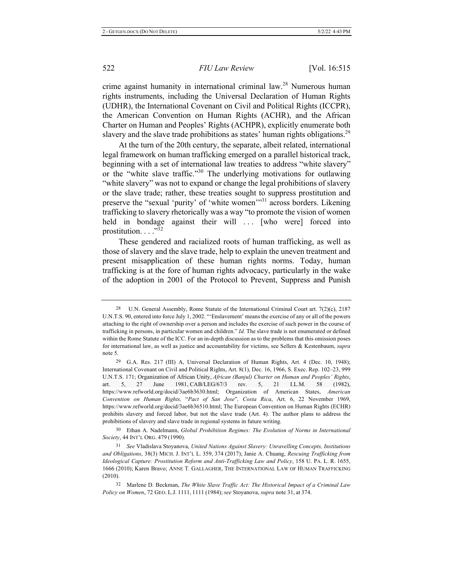crime against humanity in international criminal law.<sup>28</sup> Numerous human rights instruments, including the Universal Declaration of Human Rights (UDHR), the International Covenant on Civil and Political Rights (ICCPR), the American Convention on Human Rights (ACHR), and the African Charter on Human and Peoples' Rights (ACHPR), explicitly enumerate both slavery and the slave trade prohibitions as states' human rights obligations.<sup>29</sup>

At the turn of the 20th century, the separate, albeit related, international legal framework on human trafficking emerged on a parallel historical track, beginning with a set of international law treaties to address "white slavery" or the "white slave traffic."<sup>30</sup> The underlying motivations for outlawing "white slavery" was not to expand or change the legal prohibitions of slavery or the slave trade; rather, these treaties sought to suppress prostitution and preserve the "sexual 'purity' of 'white women'<sup>31</sup> across borders. Likening trafficking to slavery rhetorically was a way "to promote the vision of women held in bondage against their will ... [who were] forced into prostitution..."<sup>32</sup>

These gendered and racialized roots of human trafficking, as well as those of slavery and the slave trade, help to explain the uneven treatment and present misapplication of these human rights norms. Today, human trafficking is at the fore of human rights advocacy, particularly in the wake of the adoption in 2001 of the Protocol to Prevent, Suppress and Punish

30 Ethan A. Nadelmann, Global Prohibition Regimes: The Evolution of Norms in International Society, 44 INT'L ORG. 479 (1990).

31 See Vladislava Stoyanova, United Nations Against Slavery: Unravelling Concepts, Institutions and Obligations, 38(3) MICH. J. INT'L L. 359, 374 (2017); Janie A. Chuang, *Rescuing Trafficking from Ideological Capture: Prostitution Reform and Anti-Trafficking Law and Policy*, 158 U. PA. L. R. 1655, 1666 (2010); Karen Bravo; ANNE T. GALLAGHER, THE INTERNATIONAL LAW OF HUMAN TRAFFICKING  $(2010).$ 

32 Marlene D. Beckman, The White Slave Traffic Act: The Historical Impact of a Criminal Law *Policy on Women, 72 GEO. L.J. 1111, 1111 (1984); see Stoyanova, supra note 31, at 374.* 

<sup>28</sup> U.N. General Assembly, Rome Statute of the International Criminal Court art.  $7(2)(c)$ , 2187 U.N.T.S. 90, entered into force July 1, 2002. "'Enslavement' means the exercise of any or all of the powers attaching to the right of ownership over a person and includes the exercise of such power in the course of trafficking in persons, in particular women and children." Id. The slave trade is not enumerated or defined within the Rome Statute of the ICC. For an in-depth discussion as to the problems that this omission poses for international law, as well as justice and accountability for victims, see Sellers & Kestenbaum, supra note 5.

<sup>29</sup> G.A. Res. 217 (III) A, Universal Declaration of Human Rights, Art. 4 (Dec. 10, 1948); International Covenant on Civil and Political Rights, Art. 8(1), Dec. 16, 1966, S. Exec. Rep. 102-23, 999 U.N.T.S. 171; Organization of African Unity, African (Banjul) Charter on Human and Peoples' Rights, art. 5, 27 June 1981, CAB/LEG/67/3 rev. 5, 21 I.L.M. 58 (1982), art. 5, 27 June 1981, CAB/LEG/67/3 rev. 5, 21 I.L.M. 58 (1982), https://www.refworld.org/docid/3ae6b3630.html; Organization of American States, American Convention on Human Rights, "Pact of San Jose", Costa Rica, Art. 6, 22 November 1969, https://www.refworld.org/docid/3ae6b36510.html; The European Convention on Human Rights (ECHR) prohibits slavery and forced labor, but not the slave trade (Art. 4). The author plans to address the prohibitions of slavery and slave trade in regional systems in future writing.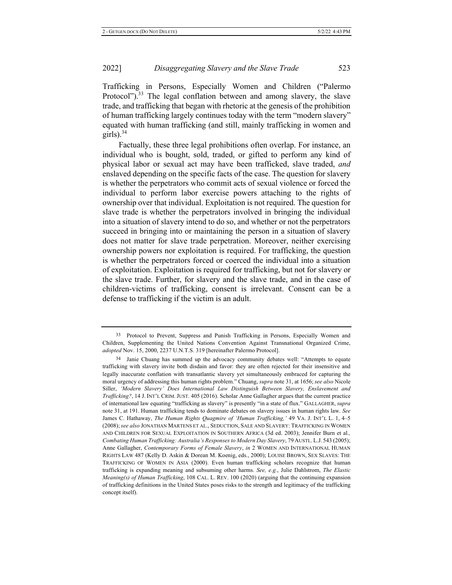Trafficking in Persons, Especially Women and Children ("Palermo Protocol").<sup>33</sup> The legal conflation between and among slavery, the slave trade, and trafficking that began with rhetoric at the genesis of the prohibition of human trafficking largely continues today with the term "modern slavery" equated with human trafficking (and still, mainly trafficking in women and girls). $34$ 

Factually, these three legal prohibitions often overlap. For instance, an individual who is bought, sold, traded, or gifted to perform any kind of physical labor or sexual act may have been trafficked, slave traded, and enslaved depending on the specific facts of the case. The question for slavery is whether the perpetrators who commit acts of sexual violence or forced the individual to perform labor exercise powers attaching to the rights of ownership over that individual. Exploitation is not required. The question for slave trade is whether the perpetrators involved in bringing the individual into a situation of slavery intend to do so, and whether or not the perpetrators succeed in bringing into or maintaining the person in a situation of slavery does not matter for slave trade perpetration. Moreover, neither exercising ownership powers nor exploitation is required. For trafficking, the question is whether the perpetrators forced or coerced the individual into a situation of exploitation. Exploitation is required for trafficking, but not for slavery or the slave trade. Further, for slavery and the slave trade, and in the case of children-victims of trafficking, consent is irrelevant. Consent can be a defense to trafficking if the victim is an adult.

<sup>33</sup> Protocol to Prevent, Suppress and Punish Trafficking in Persons, Especially Women and Children, Supplementing the United Nations Convention Against Transnational Organized Crime, adopted Nov. 15, 2000, 2237 U.N.T.S. 319 [hereinafter Palermo Protocol].

<sup>&</sup>lt;sup>34</sup> Janie Chuang has summed up the advocacy community debates well: "Attempts to equate trafficking with slavery invite both disdain and favor: they are often rejected for their insensitive and legally inaccurate conflation with transatlantic slavery yet simultaneously embraced for capturing the moral urgency of addressing this human rights problem." Chuang, *supra* note 31, at 1656; see also Nicole Siller, 'Modern Slavery' Does International Law Distinguish Between Slavery, Enslavement and Trafficking?, 14 J. INT'L CRIM. JUST. 405 (2016). Scholar Anne Gallagher argues that the current practice of international law equating "trafficking as slavery" is presently "in a state of flux." GALLAGHER, supra note 31, at 191. Human trafficking tends to dominate debates on slavery issues in human rights law. See James C. Hathaway, The Human Rights Quagmire of 'Human Trafficking,' 49 VA. J. INT'L L. 1, 4-5 (2008); see also JONATHAN MARTENS ET AL., SEDUCTION, SALE AND SLAVERY: TRAFFICKING IN WOMEN AND CHILDREN FOR SEXUAL EXPLOITATION IN SOUTHERN AFRICA (3d ed. 2003); Jennifer Burn et al., Combating Human Trafficking: Australia's Responses to Modern Day Slavery, 79 AUSTL. L.J. 543 (2005); Anne Gallagher, Contemporary Forms of Female Slavery, in 2 WOMEN AND INTERNATIONAL HUMAN RIGHTS LAW 487 (Kelly D. Askin & Dorean M. Koenig, eds., 2000); LOUISE BROWN, SEX SLAVES: THE TRAFFICKING OF WOMEN IN ASIA (2000). Even human trafficking scholars recognize that human trafficking is expanding meaning and subsuming other harms. See, e.g., Julie Dahlstrom, The Elastic *Meaning(s) of Human Trafficking*, 108 CAL. L. REV. 100 (2020) (arguing that the continuing expansion of trafficking definitions in the United States poses risks to the strength and legitimacy of the trafficking concept itself).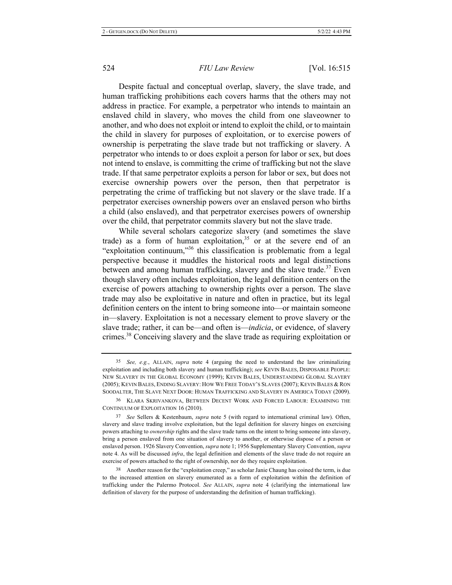Despite factual and conceptual overlap, slavery, the slave trade, and human trafficking prohibitions each covers harms that the others may not address in practice. For example, a perpetrator who intends to maintain an enslaved child in slavery, who moves the child from one slaveowner to another, and who does not exploit or intend to exploit the child, or to maintain the child in slavery for purposes of exploitation, or to exercise powers of ownership is perpetrating the slave trade but not trafficking or slavery. A perpetrator who intends to or does exploit a person for labor or sex, but does not intend to enslave, is committing the crime of trafficking but not the slave trade. If that same perpetrator exploits a person for labor or sex, but does not exercise ownership powers over the person, then that perpetrator is perpetrating the crime of trafficking but not slavery or the slave trade. If a perpetrator exercises ownership powers over an enslaved person who births a child (also enslaved), and that perpetrator exercises powers of ownership over the child, that perpetrator commits slavery but not the slave trade.

While several scholars categorize slavery (and sometimes the slave trade) as a form of human exploitation,<sup>35</sup> or at the severe end of an "exploitation continuum,"<sup>36</sup> this classification is problematic from a legal perspective because it muddles the historical roots and legal distinctions between and among human trafficking, slavery and the slave trade.<sup>37</sup> Even though slavery often includes exploitation, the legal definition centers on the exercise of powers attaching to ownership rights over a person. The slave trade may also be exploitative in nature and often in practice, but its legal definition centers on the intent to bring someone into—or maintain someone in—slavery. Exploitation is not a necessary element to prove slavery or the slave trade; rather, it can be-and often is-*indicia*, or evidence, of slavery crimes.<sup>38</sup> Conceiving slavery and the slave trade as requiring exploitation or

<sup>35</sup> See, e.g., ALLAIN, supra note 4 (arguing the need to understand the law criminalizing exploitation and including both slavery and human trafficking); see KEVIN BALES, DISPOSABLE PEOPLE: NEW SLAVERY IN THE GLOBAL ECONOMY (1999); KEVIN BALES, UNDERSTANDING GLOBAL SLAVERY (2005); KEVIN BALES, ENDING SLAVERY: HOW WE FREE TODAY'S SLAVES (2007); KEVIN BALES & RON SOODALTER, THE SLAVE NEXT DOOR: HUMAN TRAFFICKING AND SLAVERY IN AMERICA TODAY (2009).

<sup>36</sup> KLARA SKRIVANKOVA, BETWEEN DECENT WORK AND FORCED LABOUR: EXAMINING THE CONTINUUM OF EXPLOITATION 16 (2010).

<sup>37</sup> See Sellers & Kestenbaum, supra note 5 (with regard to international criminal law). Often, slavery and slave trading involve exploitation, but the legal definition for slavery hinges on exercising powers attaching to *ownership* rights and the slave trade turns on the intent to bring someone into slavery, bring a person enslaved from one situation of slavery to another, or otherwise dispose of a person or enslaved person. 1926 Slavery Convention, *supra* note 1; 1956 Supplementary Slavery Convention, *supra* note 4. As will be discussed *infra*, the legal definition and elements of the slave trade do not require an exercise of powers attached to the right of ownership, nor do they require exploitation.

<sup>38</sup> Another reason for the "exploitation creep," as scholar Janie Chaung has coined the term, is due to the increased attention on slavery enumerated as a form of exploitation within the definition of trafficking under the Palermo Protocol. See ALLAIN, *supra* note 4 (clarifying the international law definition of slavery for the purpose of understanding the definition of human trafficking).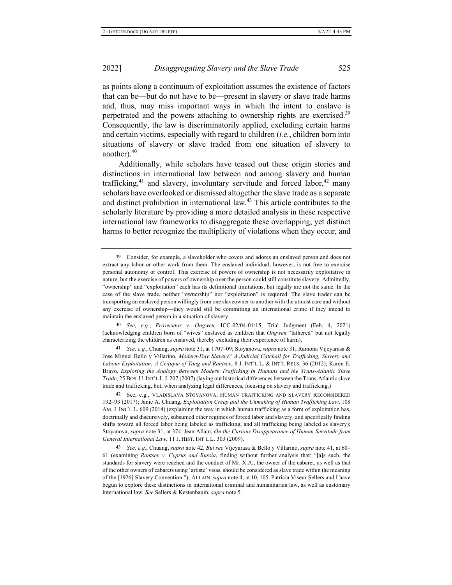2022

as points along a continuum of exploitation assumes the existence of factors that can be—but do not have to be—present in slavery or slave trade harms and, thus, may miss important ways in which the intent to enslave is perpetrated and the powers attaching to ownership rights are exercised.<sup>39</sup> Consequently, the law is discriminatorily applied, excluding certain harms and certain victims, especially with regard to children (i.e., children born into situations of slavery or slave traded from one situation of slavery to another).<sup>40</sup>

Additionally, while scholars have teased out these origin stories and distinctions in international law between and among slavery and human trafficking, $41$  and slavery, involuntary servitude and forced labor, $42$  many scholars have overlooked or dismissed altogether the slave trade as a separate and distinct prohibition in international law.<sup>43</sup> This article contributes to the scholarly literature by providing a more detailed analysis in these respective international law frameworks to disaggregate these overlapping, yet distinct harms to better recognize the multiplicity of violations when they occur, and

40 See, e.g., Prosecutor v. Ongwen, ICC-02/04-01/15, Trial Judgment (Feb. 4, 2021) (acknowledging children born of "wives" enslaved as children that *Ongwen* "fathered" but not legally characterizing the children as enslaved, thereby excluding their experience of harm).

<sup>41</sup> See, e.g., Chuang, *supra* note 31, at 1707–09; Stoyanova, *supra* note 31; Ramona Vijeyarasa & Jose Miguel Bello y Villarino, Modern-Day Slavery? A Judicial Catchall for Trafficking, Slavery and Labour Exploitation: A Critique of Tang and Rantsev, 8 J. INT'L L. & INT'L RELS. 36 (2012); Karen E. Bravo, *Exploring the Analogy Between Modern Trafficking in Humans and the Trans-Atlantic Slave* Trade, 25 BOS. U. INT'L L.J. 207 (2007) (laying out historical differences between the Trans-Atlantic slave trade and trafficking, but, when analyzing legal differences, focusing on slavery and trafficking.)

42 See, e.g., VLADISLAVA STOYANOVA, HUMAN TRAFFICKING AND SLAVERY RECONSIDERED 192-93 (2017); Janie A. Chuang, *Exploitation Creep and the Unmaking of Human Trafficking Law*, 108 AM. J. INT'L L. 609 (2014) (explaining the way in which human trafficking as a form of exploitation has, doctrinally and discursively, subsumed other regimes of forced labor and slavery, and specifically finding shifts toward all forced labor being labeled as trafficking, and all trafficking being labeled as slavery); Stoyanova, supra note 31, at 374; Jean Allain, On the Curious Disappearance of Human Servitude from *General International Law, 11 J. HIST. INT'L L. 303 (2009).* 

<sup>43</sup> See, e.g., Chuang, *supra* note 42. But see Vijeyarasa & Bello y Villarino, *supra* note 41, at 60– 61 (examining Rantsev v. Cyprus and Russia, finding without further analysis that: "[a]s such, the standards for slavery were reached and the conduct of Mr. X.A., the owner of the cabaret, as well as that of the other owners of cabarets using 'artiste' visas, should be considered as slave trade within the meaning of the [1926] Slavery Convention."); ALLAIN, *supra* note 4, at 10, 105. Patricia Viseur Sellers and I have begun to explore these distinctions in international criminal and humanitarian law, as well as customary international law. See Sellers & Kestenbaum, *supra* note 5.

<sup>&</sup>lt;sup>39</sup> Consider, for example, a slaveholder who covets and adores an enslaved person and does not extract any labor or other work from them. The enslaved individual, however, is not free to exercise personal autonomy or control. This exercise of powers of ownership is not necessarily exploitative in nature, but the exercise of powers of ownership over the person could still constitute slavery. Admittedly, "ownership" and "exploitation" each has its definitional limitations, but legally are not the same. In the case of the slave trade, neither "ownership" nor "exploitation" is required. The slave trader can be transporting an enslaved person willingly from one slaveowner to another with the utmost care and without any exercise of ownership—they would still be committing an international crime if they intend to maintain the enslaved person in a situation of slavery.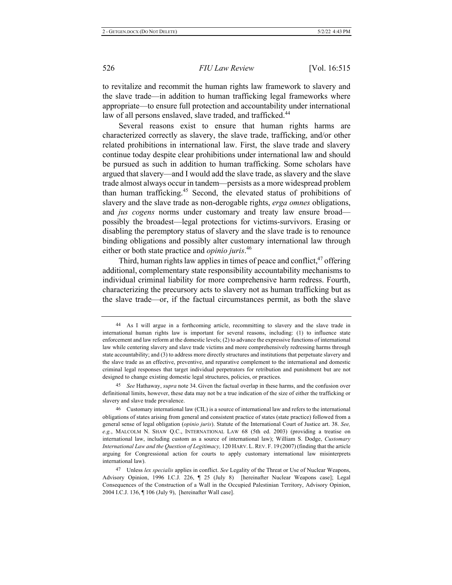to revitalize and recommit the human rights law framework to slavery and the slave trade—in addition to human trafficking legal frameworks where appropriate—to ensure full protection and accountability under international law of all persons enslaved, slave traded, and trafficked.<sup>44</sup>

Several reasons exist to ensure that human rights harms are characterized correctly as slavery, the slave trade, trafficking, and/or other related prohibitions in international law. First, the slave trade and slavery continue today despite clear prohibitions under international law and should be pursued as such in addition to human trafficking. Some scholars have argued that slavery-and I would add the slave trade, as slavery and the slave trade almost always occur in tandem-persists as a more widespread problem than human trafficking.<sup>45</sup> Second, the elevated status of prohibitions of slavery and the slave trade as non-derogable rights, erga omnes obligations, and jus cogens norms under customary and treaty law ensure broadpossibly the broadest—legal protections for victims-survivors. Erasing or disabling the peremptory status of slavery and the slave trade is to renounce binding obligations and possibly alter customary international law through either or both state practice and *opinio juris*.<sup>46</sup>

Third, human rights law applies in times of peace and conflict,  $47$  offering additional, complementary state responsibility accountability mechanisms to individual criminal liability for more comprehensive harm redress. Fourth, characterizing the precursory acts to slavery not as human trafficking but as the slave trade—or, if the factual circumstances permit, as both the slave

<sup>45</sup> See Hathaway, *supra* note 34. Given the factual overlap in these harms, and the confusion over definitional limits, however, these data may not be a true indication of the size of either the trafficking or slavery and slave trade prevalence.

<sup>46</sup> Customary international law (CIL) is a source of international law and refers to the international obligations of states arising from general and consistent practice of states (state practice) followed from a general sense of legal obligation (opinio juris). Statute of the International Court of Justice art. 38. See, e.g., MALCOLM N. SHAW Q.C., INTERNATIONAL LAW 68 (5th ed. 2003) (providing a treatise on international law, including custom as a source of international law); William S. Dodge, Customary International Law and the Question of Legitimacy, 120 HARV. L. REV. F. 19 (2007) (finding that the article arguing for Congressional action for courts to apply customary international law misinterprets international law).

<sup>47</sup> Unless lex specialis applies in conflict. See Legality of the Threat or Use of Nuclear Weapons, Advisory Opinion, 1996 I.C.J. 226, ¶ 25 (July 8) [hereinafter Nuclear Weapons case]; Legal Consequences of the Construction of a Wall in the Occupied Palestinian Territory, Advisory Opinion, 2004 I.C.J. 136, ¶ 106 (July 9), [hereinafter Wall case].

<sup>44</sup> As I will argue in a forthcoming article, recommitting to slavery and the slave trade in international human rights law is important for several reasons, including: (1) to influence state enforcement and law reform at the domestic levels; (2) to advance the expressive functions of international law while centering slavery and slave trade victims and more comprehensively redressing harms through state accountability; and (3) to address more directly structures and institutions that perpetuate slavery and the slave trade as an effective, preventive, and reparative complement to the international and domestic criminal legal responses that target individual perpetrators for retribution and punishment but are not designed to change existing domestic legal structures, policies, or practices.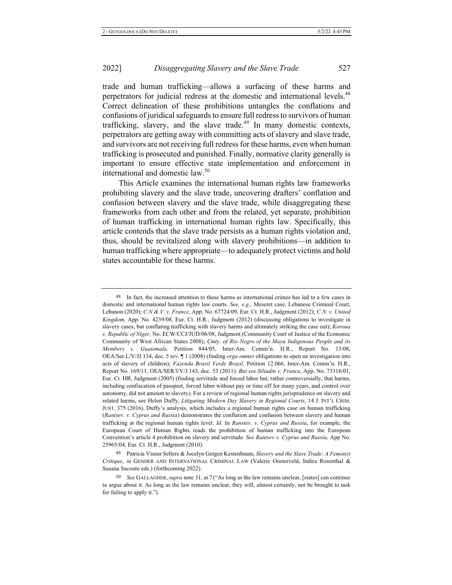trade and human trafficking-allows a surfacing of these harms and perpetrators for judicial redress at the domestic and international levels.<sup>48</sup> Correct delineation of these prohibitions untangles the conflations and confusions of juridical safeguards to ensure full redress to survivors of human trafficking, slavery, and the slave trade.<sup>49</sup> In many domestic contexts, perpetrators are getting away with committing acts of slavery and slave trade, and survivors are not receiving full redress for these harms, even when human trafficking is prosecuted and punished. Finally, normative clarity generally is important to ensure effective state implementation and enforcement in international and domestic law. $50$ 

This Article examines the international human rights law frameworks prohibiting slavery and the slave trade, uncovering drafters' conflation and confusion between slavery and the slave trade, while disaggregating these frameworks from each other and from the related, yet separate, prohibition of human trafficking in international human rights law. Specifically, this article contends that the slave trade persists as a human rights violation and, thus, should be revitalized along with slavery prohibitions—in addition to human trafficking where appropriate—to adequately protect victims and hold states accountable for these harms.

<sup>&</sup>lt;sup>48</sup> In fact, the increased attention to these harms as international crimes has led to a few cases in domestic and international human rights law courts. See, e.g., Meseret case, Lebanese Criminal Court, Lebanon (2020); C.N & V. v. France, App. No. 67724/09, Eur. Ct. H.R., Judgment (2012); C.N. v. United Kingdom, App. No. 4239/08, Eur. Ct. H.R., Judgment (2012) (discussing obligations to investigate in slavery cases, but conflating trafficking with slavery harms and ultimately striking the case out); *Koroua* v. Republic of Niger, No. ECW/CCJ/JUD/06/08, Judgment (Community Court of Justice of the Economic Community of West African States 2008); Cmty. of Río Negro of the Maya Indigenous People and its *Members v. Guatemala, Petition 844/05, Inter-Am. Comm'n. H.R., Report No. 13/08,* OEA/Ser.L/V/JJ.134, doc. 5 rev.  $\P$  1 (2008) (finding *erga omnes* obligations to open an investigation into acts of slavery of children); Fazenda Brasil Verde Brazil, Petition 12.066, Inter-Am. Comm'n. H.R., Report No. 169/11, OEA/SER/I/V/J.143, doc. 53 (2011). *But see Siliadin v. France*, App. No. 73316/01, Eur. Ct. HR, Judgment (2005) (finding servitude and forced labor but, rather controversially, that harms, including confiscation of passport, forced labor without pay or time off for many years, and control over autonomy, did not amount to slavery). For a review of regional human rights jurisprudence on slavery and related harms, see Helen Duffy, Litigating Modern Day Slavery in Regional Courts, 14 J. INT'L CRIM. JUST. 375 (2016). Duffy's analysis, which includes a regional human rights case on human trafficking (Rantsev. v. Cyprus and Russia) demonstrates the conflation and confusion between slavery and human trafficking at the regional human rights level. *Id.* In Ranstev. v. Cyprus and Russia, for example, the European Court of Human Rights reads the prohibition of human trafficking into the European Convention's article 4 prohibition on slavery and servitude. See Rantsev v. Cyprus and Russia, App No. 25965/04, Eur. Ct. H.R., Judgment (2010).

<sup>&</sup>lt;sup>49</sup> Patricia Viseur Sellers & Jocelyn Getgen Kestenbaum, Slavery and the Slave Trade: A Feminist Critique, in GENDER AND INTERNATIONAL CRIMINAL LAW (Valerie Oosterveld, Indira Rosenthal & Susana Sacouto eds.) (forthcoming 2022).

<sup>50</sup> See GALLAGHER, *supra* note 31, at 7 ("As long as the law remains unclear, [states] can continue to argue about it. As long as the law remains unclear, they will, almost certainly, not be brought to task for failing to apply it.").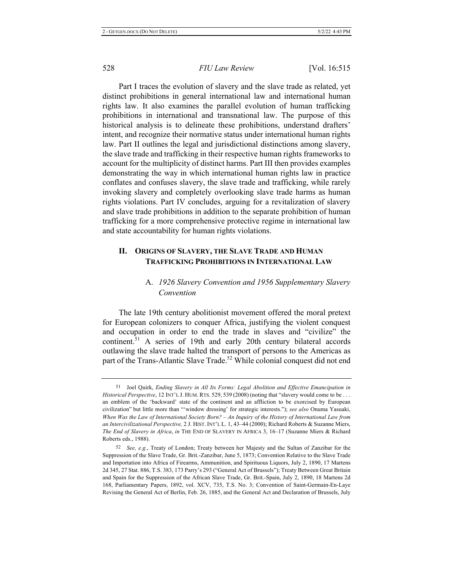Part I traces the evolution of slavery and the slave trade as related, yet distinct prohibitions in general international law and international human rights law. It also examines the parallel evolution of human trafficking prohibitions in international and transnational law. The purpose of this historical analysis is to delineate these prohibitions, understand drafters' intent, and recognize their normative status under international human rights law. Part II outlines the legal and jurisdictional distinctions among slavery, the slave trade and trafficking in their respective human rights frameworks to account for the multiplicity of distinct harms. Part III then provides examples demonstrating the way in which international human rights law in practice conflates and confuses slavery, the slave trade and trafficking, while rarely invoking slavery and completely overlooking slave trade harms as human rights violations. Part IV concludes, arguing for a revitalization of slavery and slave trade prohibitions in addition to the separate prohibition of human trafficking for a more comprehensive protective regime in international law and state accountability for human rights violations.

#### <u>**11**</u> **.** ORIGINS OF SLAVERY, THE SLAVE TRADE AND HUMAN **TRAFFICKING PROHIBITIONS IN INTERNATIONAL LAW**

## A. 1926 Slavery Convention and 1956 Supplementary Slavery *Convention*

The late 19th century abolitionist movement offered the moral pretext for European colonizers to conquer Africa, justifying the violent conquest and occupation in order to end the trade in slaves and "civilize" the continent.<sup>51</sup> A series of 19th and early 20th century bilateral accords outlawing the slave trade halted the transport of persons to the Americas as part of the Trans-Atlantic Slave Trade.<sup>52</sup> While colonial conquest did not end

<sup>51</sup> Joel Quirk, Ending Slavery in All Its Forms: Legal Abolition and Effective Emancipation in *Historical Perspective*, 12 INT'L J. HUM. RTS. 529, 539 (2008) (noting that "slavery would come to be . . . an emblem of the 'backward' state of the continent and an affliction to be exorcised by European civilization" but little more than "'window dressing' for strategic interests."); see also Onuma Yasuaki, *When Was the Law of International Society Born? - An Inquiry of the History of International Law from* an Intercivilizational Perspective, 2 J. HIST. INT'L L. 1, 43–44 (2000); Richard Roberts & Suzanne Miers, The End of Slavery in Africa, in THE END OF SLAVERY IN AFRICA 3, 16-17 (Suzanne Miers & Richard Roberts eds., 1988).

<sup>52</sup> See, e.g., Treaty of London; Treaty between her Majesty and the Sultan of Zanzibar for the Suppression of the Slave Trade, Gr. Brit.-Zanzibar, June 5, 1873; Convention Relative to the Slave Trade and Importation into Africa of Firearms, Ammunition, and Spirituous Liquors, July 2, 1890, 17 Martens 2d 345, 27 Stat. 886, T.S. 383, 173 Parry's 293 ("General Act of Brussels"); Treaty Between Great Britain and Spain for the Suppression of the African Slave Trade, Gr. Brit.-Spain, July 2, 1890, 18 Martens 2d 168, Parliamentary Papers, 1892, vol. XCV, 735, T.S. No. 3; Convention of Saint-Germain-En-Laye Revising the General Act of Berlin, Feb. 26, 1885, and the General Act and Declaration of Brussels, July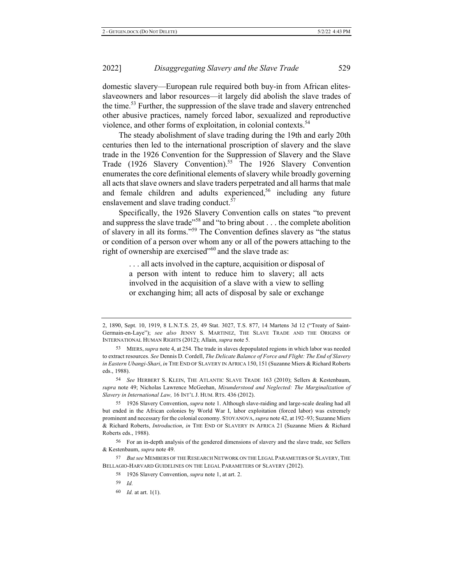domestic slavery—European rule required both buy-in from African elitesslaveowners and labor resources-it largely did abolish the slave trades of the time.<sup>53</sup> Further, the suppression of the slave trade and slavery entrenched other abusive practices, namely forced labor, sexualized and reproductive violence, and other forms of exploitation, in colonial contexts.<sup>54</sup>

The steady abolishment of slave trading during the 19th and early 20th centuries then led to the international proscription of slavery and the slave trade in the 1926 Convention for the Suppression of Slavery and the Slave Trade (1926 Slavery Convention).<sup>55</sup> The 1926 Slavery Convention enumerates the core definitional elements of slavery while broadly governing all acts that slave owners and slave traders perpetrated and all harms that male and female children and adults experienced,<sup>56</sup> including any future enslavement and slave trading conduct.<sup>57</sup>

Specifically, the 1926 Slavery Convention calls on states "to prevent and suppress the slave trade"<sup>58</sup> and "to bring about . . . the complete abolition of slavery in all its forms."<sup>59</sup> The Convention defines slavery as "the status" or condition of a person over whom any or all of the powers attaching to the right of ownership are exercised"<sup>60</sup> and the slave trade as:

> ... all acts involved in the capture, acquisition or disposal of a person with intent to reduce him to slavery; all acts involved in the acquisition of a slave with a view to selling or exchanging him; all acts of disposal by sale or exchange

55 1926 Slavery Convention, *supra* note 1. Although slave-raiding and large-scale dealing had all but ended in the African colonies by World War I, labor exploitation (forced labor) was extremely prominent and necessary for the colonial economy. STOYANOVA, *supra* note 42, at 192–93; Suzanne Miers & Richard Roberts, *Introduction*, in THE END OF SLAVERY IN AFRICA 21 (Suzanne Miers & Richard Roberts eds., 1988).

56 For an in-depth analysis of the gendered dimensions of slavery and the slave trade, see Sellers  $& Kestenbaum, \textit{supra}$  note 49.

57 But see MEMBERS OF THE RESEARCH NETWORK ON THE LEGAL PARAMETERS OF SLAVERY, THE BELLAGIO-HARVARD GUIDELINES ON THE LEGAL PARAMETERS OF SLAVERY (2012).

<sup>2, 1890,</sup> Sept. 10, 1919, 8 L.N.T.S. 25, 49 Stat. 3027, T.S. 877, 14 Martens 3d 12 ("Treaty of Saint-Germain-en-Laye"); see also JENNY S. MARTINEZ, THE SLAVE TRADE AND THE ORIGINS OF INTERNATIONAL HUMAN RIGHTS (2012); Allain, *supra* note 5.

<sup>53</sup> MIERS, *supra* note 4, at 254. The trade in slaves depopulated regions in which labor was needed to extract resources. See Dennis D. Cordell, *The Delicate Balance of Force and Flight: The End of Slavery* in Eastern Ubangi-Shari, in THE END OF SLAVERY IN AFRICA 150, 151 (Suzanne Miers & Richard Roberts eds., 1988).

<sup>54</sup> See HERBERT S. KLEIN, THE ATLANTIC SLAVE TRADE 163 (2010); Sellers & Kestenbaum, supra note 49; Nicholas Lawrence McGeehan, *Misunderstood and Neglected: The Marginalization of Slavery in International Law, 16 INT'L J. HUM. RTS. 436 (2012).* 

<sup>58 1926</sup> Slavery Convention, *supra* note 1, at art. 2.

<sup>59</sup> *Id.* 

<sup>60</sup> *Id.* at art. 1(1).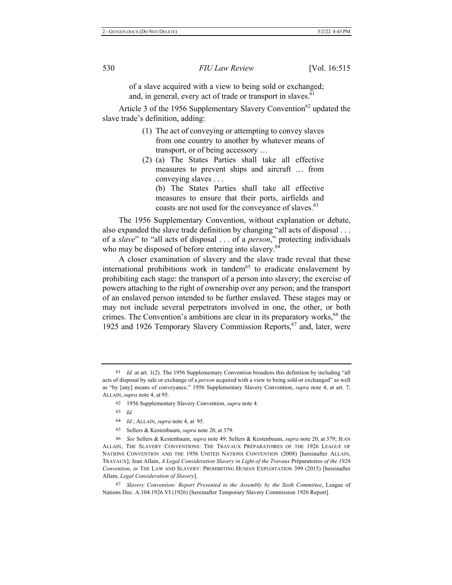of a slave acquired with a view to being sold or exchanged; and, in general, every act of trade or transport in slaves.<sup>61</sup>

Article 3 of the 1956 Supplementary Slavery Convention<sup>62</sup> updated the slave trade's definition, adding:

- (1) The act of conveying or attempting to convey slaves from one country to another by whatever means of transport, or of being accessory ...
- (2) (a) The States Parties shall take all effective measures to prevent ships and aircraft ... from conveying slaves . . .

(b) The States Parties shall take all effective measures to ensure that their ports, airfields and coasts are not used for the conveyance of slaves.<sup>63</sup>

The 1956 Supplementary Convention, without explanation or debate, also expanded the slave trade definition by changing "all acts of disposal . . . of a slave" to "all acts of disposal . . . of a person," protecting individuals who may be disposed of before entering into slavery. $64$ 

A closer examination of slavery and the slave trade reveal that these international prohibitions work in tandem<sup>65</sup> to eradicate enslavement by prohibiting each stage: the transport of a person into slavery; the exercise of powers attaching to the right of ownership over any person; and the transport of an enslaved person intended to be further enslaved. These stages may or may not include several perpetrators involved in one, the other, or both crimes. The Convention's ambitions are clear in its preparatory works,  $66$  the 1925 and 1926 Temporary Slavery Commission Reports,<sup>67</sup> and, later, were

65 Sellers & Kestenbaum, *supra* note 20, at 379.

 $67$  Slavery Convention: Report Presented to the Assembly by the Sixth Committee, League of Nations Doc. A.104.1926.VI (1926) [hereinafter Temporary Slavery Commission 1926 Report].

<sup>&</sup>lt;sup>61</sup> *Id.* at art. 1(2). The 1956 Supplementary Convention broadens this definition by including "all acts of disposal by sale or exchange of a *person* acquired with a view to being sold or exchanged" as well as "by [any] means of conveyance." 1956 Supplementary Slavery Convention, *supra* note 4, at art. 7; ALLAIN, *supra* note 4, at 95.

<sup>62 1956</sup> Supplementary Slavery Convention, *supra* note 4.

<sup>63</sup> *<i>Id.* 

<sup>64</sup> *Id.*; ALLAIN, *supra* note 4, at 95.

<sup>66</sup> See Sellers & Kestenbaum, *supra* note 49; Sellers & Kestenbaum, *supra* note 20, at 379; JEAN ALLAIN, THE SLAVERY CONVENTIONS: THE TRAVAUX PRÉPARATOIRES OF THE 1926 LEAGUE OF NATIONS CONVENTION AND THE 1956 UNITED NATIONS CONVENTION (2008) [hereinafter ALLAIN, TRAVAUX]; Jean Allain, A Legal Consideration Slavery in Light of the Travaux Préparatoires of the 1926 Convention, in THE LAW AND SLAVERY: PROHIBITING HUMAN EXPLOITATION 399 (2015) [hereinafter Allain, Legal Consideration of Slavery].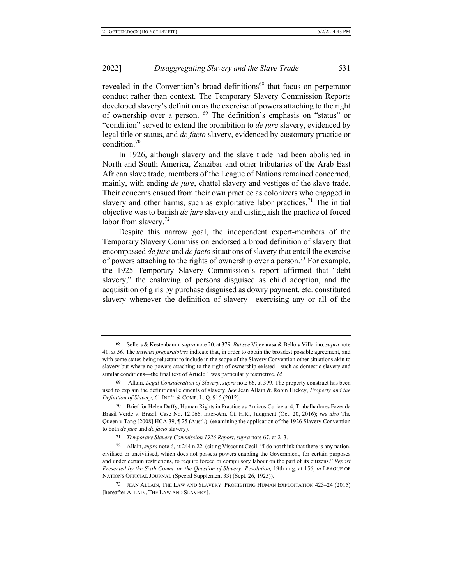2022

revealed in the Convention's broad definitions<sup>68</sup> that focus on perpetrator conduct rather than context. The Temporary Slavery Commission Reports developed slavery's definition as the exercise of powers attaching to the right of ownership over a person. <sup>69</sup> The definition's emphasis on "status" or "condition" served to extend the prohibition to *de jure* slavery, evidenced by legal title or status, and *de facto* slavery, evidenced by customary practice or condition. $70$ 

In 1926, although slavery and the slave trade had been abolished in North and South America, Zanzibar and other tributaries of the Arab East African slave trade, members of the League of Nations remained concerned, mainly, with ending *de jure*, chattel slavery and vestiges of the slave trade. Their concerns ensued from their own practice as colonizers who engaged in slavery and other harms, such as exploitative labor practices.<sup>71</sup> The initial objective was to banish *de jure* slavery and distinguish the practice of forced labor from slavery. $72$ 

Despite this narrow goal, the independent expert-members of the Temporary Slavery Commission endorsed a broad definition of slavery that  $\alpha$  encompassed *de jure* and *de facto* situations of slavery that entail the exercise of powers attaching to the rights of ownership over a person.<sup>73</sup> For example, the 1925 Temporary Slavery Commission's report affirmed that "debt slavery," the enslaving of persons disguised as child adoption, and the acquisition of girls by purchase disguised as dowry payment, etc. constituted slavery whenever the definition of slavery—exercising any or all of the

<sup>68</sup> Sellers & Kestenbaum, *supra* note 20, at 379. *But see* Vijeyarasa & Bello y Villarino, *supra* note 41, at 56. The *travaux preparatoires* indicate that, in order to obtain the broadest possible agreement, and with some states being reluctant to include in the scope of the Slavery Convention other situations akin to slavery but where no powers attaching to the right of ownership existed—such as domestic slavery and similar conditions—the final text of Article 1 was particularly restrictive. *Id.* 

<sup>69</sup> Allain, *Legal Consideration of Slavery*, *supra* note 66, at 399. The property construct has been used to explain the definitional elements of slavery. See Jean Allain & Robin Hickey, Property and the *Definition of Slavery*, 61 INT'L & COMP. L. Q. 915 (2012).

<sup>70</sup> Brief for Helen Duffy, Human Rights in Practice as Amicus Curiae at 4, Trabalhadores Fazenda Brasil Verde v. Brazil, Case No. 12.066, Inter-Am. Ct. H.R., Judgment (Oct. 20, 2016); see also The Queen v Tang  $[2008]$  HCA 39,  $[25]$  (Austl.). (examining the application of the 1926 Slavery Convention to both *de jure* and *de facto* slavery).

<sup>71</sup> Temporary Slavery Commission 1926 Report, supra note 67, at 2–3.

<sup>72</sup> Allain, *supra* note 6, at 244 n.22. (citing Viscount Cecil: "I do not think that there is any nation, civilised or uncivilised, which does not possess powers enabling the Government, for certain purposes and under certain restrictions, to require forced or compulsory labour on the part of its citizens." Report *Presented by the Sixth Comm. on the Question of Slavery: Resolution, 19th mtg. at 156, in LEAGUE OF* NATIONS OFFICIAL JOURNAL (Special Supplement 33) (Sept. 26, 1925)).

<sup>73</sup> JEAN ALLAIN, THE LAW AND SLAVERY: PROHIBITING HUMAN EXPLOITATION 423-24 (2015) [hereafter ALLAIN, THE LAW AND SLAVERY].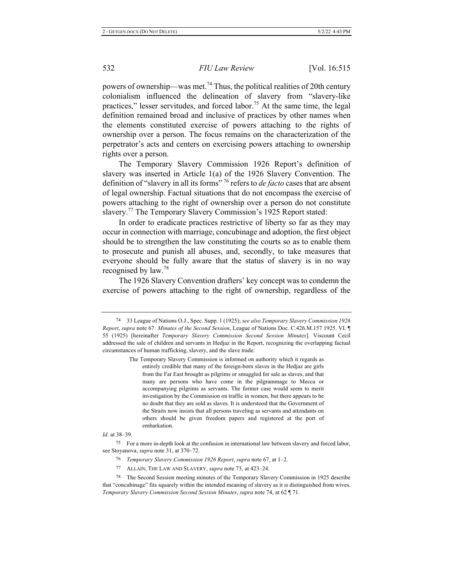powers of ownership—was met.<sup>74</sup> Thus, the political realities of 20th century colonialism influenced the delineation of slavery from "slavery-like practices," lesser servitudes, and forced labor.<sup>75</sup> At the same time, the legal definition remained broad and inclusive of practices by other names when the elements constituted exercise of powers attaching to the rights of ownership over a person. The focus remains on the characterization of the perpetrator's acts and centers on exercising powers attaching to ownership rights over a person.

The Temporary Slavery Commission 1926 Report's definition of slavery was inserted in Article  $1(a)$  of the 1926 Slavery Convention. The definition of "slavery in all its forms<sup>", 76</sup> refers to *de facto* cases that are absent of legal ownership. Factual situations that do not encompass the exercise of powers attaching to the right of ownership over a person do not constitute slavery.<sup>77</sup> The Temporary Slavery Commission's 1925 Report stated:

In order to eradicate practices restrictive of liberty so far as they may occur in connection with marriage, concubinage and adoption, the first object should be to strengthen the law constituting the courts so as to enable them to prosecute and punish all abuses, and, secondly, to take measures that everyone should be fully aware that the status of slavery is in no way recognised by law. $^{78}$ 

The 1926 Slavery Convention drafters' key concept was to condemn the exercise of powers attaching to the right of ownership, regardless of the

Id. at 38-39.

<sup>75</sup> For a more in-depth look at the confusion in international law between slavery and forced labor, see Stoyanova, *supra* note 31, at 370–72.

- 76 Temporary Slavery Commission 1926 Report, supra note 67, at 1–2.
- 77 ALLAIN, THE LAW AND SLAVERY, *supra* note 73, at 423-24.

<sup>78</sup> The Second Session meeting minutes of the Temporary Slavery Commission in 1925 describe that "concubinage" fits squarely within the intended meaning of slavery as it is distinguished from wives. *Temporary Slavery Commission Second Session Minutes, supra note 74, at 62* [71.

<sup>&</sup>lt;sup>74</sup> 33 League of Nations O.J., Spec. Supp. 1 (1925); see also Temporary Slavery Commission 1926 *Report, supra note 67: Minutes of the Second Session, League of Nations Doc. C.426.M.157 1925. VI.* 55 (1925) [hereinafter Temporary Slavery Commission Second Session Minutes]. Viscount Cecil addressed the sale of children and servants in Hedjaz in the Report, recognizing the overlapping factual circumstances of human trafficking, slavery, and the slave trade:

The Temporary Slavery Commission is informed on authority which it regards as entirely credible that many of the foreign-born slaves in the Hedjaz are girls from the Far East brought as pilgrims or smuggled for sale as slaves, and that many are persons who have come in the pilgrammage to Mecca or accompanying pilgrims as servants. The former case would seem to merit investigation by the Commission on traffic in women, but there appears to be no doubt that they are sold as slaves. It is understood that the Government of the Straits now insists that all persons traveling as servants and attendants on others should be given freedom papers and registered at the port of embarkation.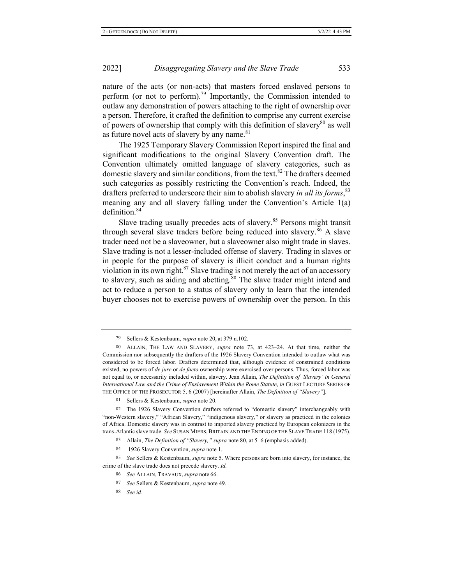nature of the acts (or non-acts) that masters forced enslaved persons to perform (or not to perform).<sup>79</sup> Importantly, the Commission intended to outlaw any demonstration of powers attaching to the right of ownership over a person. Therefore, it crafted the definition to comprise any current exercise of powers of ownership that comply with this definition of slavery<sup>80</sup> as well as future novel acts of slavery by any name. $81$ 

The 1925 Temporary Slavery Commission Report inspired the final and significant modifications to the original Slavery Convention draft. The Convention ultimately omitted language of slavery categories, such as domestic slavery and similar conditions, from the text.<sup>82</sup> The drafters deemed such categories as possibly restricting the Convention's reach. Indeed, the drafters preferred to underscore their aim to abolish slavery *in all its forms*,<sup>83</sup> meaning any and all slavery falling under the Convention's Article  $1(a)$  $definition.<sup>84</sup>$ 

Slave trading usually precedes acts of slavery.<sup>85</sup> Persons might transit through several slave traders before being reduced into slavery.<sup>86</sup> A slave trader need not be a slaveowner, but a slaveowner also might trade in slaves. Slave trading is not a lesser-included offense of slavery. Trading in slaves or in people for the purpose of slavery is illicit conduct and a human rights violation in its own right. $87$  Slave trading is not merely the act of an accessory to slavery, such as aiding and abetting.<sup>88</sup> The slave trader might intend and act to reduce a person to a status of slavery only to learn that the intended buyer chooses not to exercise powers of ownership over the person. In this

84 1926 Slavery Convention, *supra* note 1.

<sup>79</sup> Sellers & Kestenbaum, *supra* note 20, at 379 n.102.

<sup>80</sup> ALLAIN, THE LAW AND SLAVERY, *supra* note 73, at 423–24. At that time, neither the Commission nor subsequently the drafters of the 1926 Slavery Convention intended to outlaw what was considered to be forced labor. Drafters determined that, although evidence of constrained conditions existed, no powers of *de jure* or *de facto* ownership were exercised over persons. Thus, forced labor was not equal to, or necessarily included within, slavery. Jean Allain, The Definition of 'Slavery' in General *International Law and the Crime of Enslavement Within the Rome Statute, in GUEST LECTURE SERIES OF* THE OFFICE OF THE PROSECUTOR 5, 6 (2007) [hereinafter Allain, *The Definition of "Slavery"*].

<sup>81</sup> Sellers & Kestenbaum, *supra* note 20.

<sup>82</sup> The 1926 Slavery Convention drafters referred to "domestic slavery" interchangeably with "non-Western slavery," "African Slavery," "indigenous slavery," or slavery as practiced in the colonies of Africa. Domestic slavery was in contrast to imported slavery practiced by European colonizers in the trans-Atlantic slave trade. See SUSAN MIERS, BRITAIN AND THE ENDING OF THE SLAVE TRADE 118 (1975).

<sup>83</sup> <sup>3</sup> Allain, *The Definition of "Slavery," supra* note 80, at 5–6 (emphasis added).

<sup>85</sup> See Sellers & Kestenbaum, *supra* note 5. Where persons are born into slavery, for instance, the crime of the slave trade does not precede slavery. Id.

<sup>86</sup> See ALLAIN, TRAVAUX, supra note 66.

<sup>87</sup> See Sellers & Kestenbaum, *supra* note 49.

<sup>88</sup> *See id.*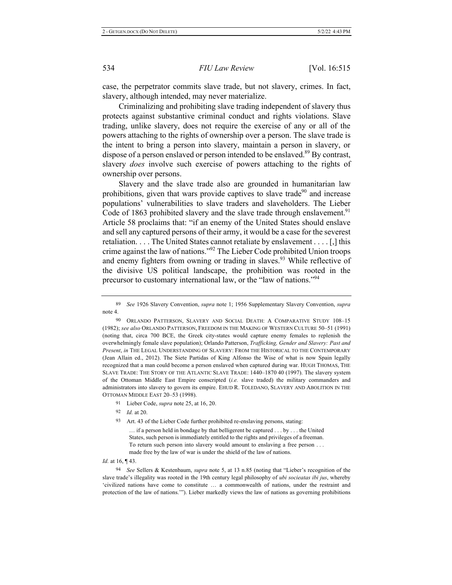case, the perpetrator commits slave trade, but not slavery, crimes. In fact, slavery, although intended, may never materialize.

Criminalizing and prohibiting slave trading independent of slavery thus protects against substantive criminal conduct and rights violations. Slave trading, unlike slavery, does not require the exercise of any or all of the powers attaching to the rights of ownership over a person. The slave trade is the intent to bring a person into slavery, maintain a person in slavery, or dispose of a person enslaved or person intended to be enslaved.<sup>89</sup> By contrast, slavery *does* involve such exercise of powers attaching to the rights of ownership over persons.

Slavery and the slave trade also are grounded in humanitarian law prohibitions, given that wars provide captives to slave trade<sup>90</sup> and increase populations' vulnerabilities to slave traders and slaveholders. The Lieber Code of 1863 prohibited slavery and the slave trade through enslavement.<sup>91</sup> Article 58 proclaims that: "if an enemy of the United States should enslave and sell any captured persons of their army, it would be a case for the severest retaliation.  $\dots$  The United States cannot retaliate by enslavement  $\dots$  [,] this crime against the law of nations."<sup>92</sup> The Lieber Code prohibited Union troops and enemy fighters from owning or trading in slaves.<sup>93</sup> While reflective of the divisive US political landscape, the prohibition was rooted in the precursor to customary international law, or the "law of nations."<sup>94</sup>

90 ORLANDO PATTERSON, SLAVERY AND SOCIAL DEATH: A COMPARATIVE STUDY 108-15 (1982); see also Orlando Patterson, Freedom in the Making of Western Culture 50–51 (1991) (noting that, circa 700 BCE, the Greek city-states would capture enemy females to replenish the overwhelmingly female slave population); Orlando Patterson, Trafficking, Gender and Slavery: Past and Present, in THE LEGAL UNDERSTANDING OF SLAVERY: FROM THE HISTORICAL TO THE CONTEMPORARY (Jean Allain ed., 2012). The Siete Partidas of King Alfonso the Wise of what is now Spain legally recognized that a man could become a person enslaved when captured during war. HUGH THOMAS, THE SLAVE TRADE: THE STORY OF THE ATLANTIC SLAVE TRADE: 1440–1870 40 (1997). The slavery system of the Ottoman Middle East Empire conscripted (i.e. slave traded) the military commanders and administrators into slavery to govern its empire. EHUD R. TOLEDANO, SLAVERY AND ABOLITION IN THE OTTOMAN MIDDLE EAST 20-53 (1998).

- <sup>91</sup> Lieber Code, *supra* note 25, at 16, 20.
- 92 *Id.* at 20.
- 93 Art. 43 of the Lieber Code further prohibited re-enslaving persons, stating:

 $\ldots$  if a person held in bondage by that belligerent be captured  $\ldots$  by  $\ldots$  the United States, such person is immediately entitled to the rights and privileges of a freeman. To return such person into slavery would amount to enslaving a free person ... made free by the law of war is under the shield of the law of nations.

*Id.* at 16, ¶43.

<sup>94</sup> See Sellers & Kestenbaum, *supra* note 5, at 13 n.85 (noting that "Lieber's recognition of the slave trade's illegality was rooted in the 19th century legal philosophy of *ubi socieatas ibi jus*, whereby 'civilized nations have come to constitute ... a commonwealth of nations, under the restraint and protection of the law of nations.""). Lieber markedly views the law of nations as governing prohibitions

<sup>89</sup> *See* 1926 Slavery Convention, *supra* note 1; 1956 Supplementary Slavery Convention, *supra* note 4.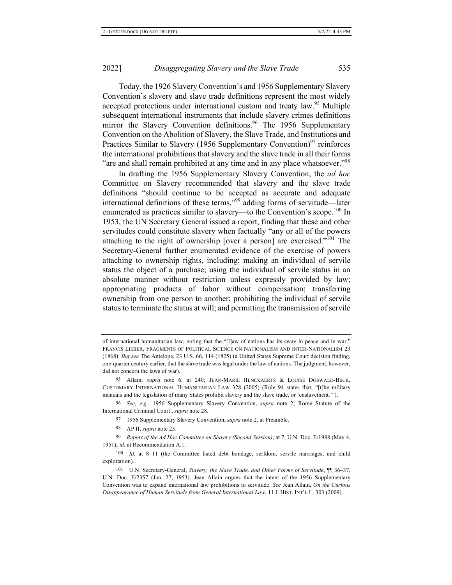Today, the 1926 Slavery Convention's and 1956 Supplementary Slavery Convention's slavery and slave trade definitions represent the most widely accepted protections under international custom and treaty law.<sup>95</sup> Multiple subsequent international instruments that include slavery crimes definitions mirror the Slavery Convention definitions.<sup>96</sup> The 1956 Supplementary Convention on the Abolition of Slavery, the Slave Trade, and Institutions and Practices Similar to Slavery (1956 Supplementary Convention)<sup>97</sup> reinforces the international prohibitions that slavery and the slave trade in all their forms "are and shall remain prohibited at any time and in any place whatsoever."<sup>98</sup>

In drafting the 1956 Supplementary Slavery Convention, the *ad hoc* Committee on Slavery recommended that slavery and the slave trade definitions "should continue to be accepted as accurate and adequate international definitions of these terms,"<sup>99</sup> adding forms of servitude—later enumerated as practices similar to slavery—to the Convention's scope.<sup>100</sup> In 1953, the UN Secretary General issued a report, finding that these and other servitudes could constitute slavery when factually "any or all of the powers attaching to the right of ownership [over a person] are exercised."<sup>101</sup> The Secretary-General further enumerated evidence of the exercise of powers attaching to ownership rights, including: making an individual of servile status the object of a purchase; using the individual of servile status in an absolute manner without restriction unless expressly provided by law; appropriating products of labor without compensation; transferring ownership from one person to another; prohibiting the individual of servile status to terminate the status at will; and permitting the transmission of servile

98 AP II, *supra* note 25.

of international humanitarian law, noting that the "[I]aw of nations has its sway in peace and in war." FRANCIS LIEBER, FRAGMENTS OF POLITICAL SCIENCE ON NATIONALISM AND INTER-NATIONALISM 23  $(1868)$ . But see The Antelope, 23 U.S. 66, 114  $(1825)$  (a United States Supreme Court decision finding, one-quarter century earlier, that the slave trade was legal under the law of nations. The judgment, however, did not concern the laws of war).

<sup>95</sup> Allain, *supra* note 6, at 240; JEAN-MARIE HENCKAERTS & LOUISE DOSWALD-BECK, CUSTOMARY INTERNATIONAL HUMANITARIAN LAW 328 (2005) (Rule 94 states that, "[t]he military manuals and the legislation of many States prohibit slavery and the slave trade, or 'enslavement."").

<sup>&</sup>lt;sup>96</sup> See, e.g., 1956 Supplementary Slavery Convention, *supra* note 2; Rome Statute of the International Criminal Court, supra note 28.

<sup>&</sup>lt;sup>97</sup> 1956 Supplementary Slavery Convention, *supra* note 2, at Preamble.

<sup>&</sup>lt;sup>99</sup> Report of the Ad Hoc Committee on Slavery (Second Session), at 7, U.N. Doc. E/1988 (May 4, 1951); id. at Recommendation A.1.

<sup>100</sup> Id. at 8-11 (the Committee listed debt bondage, serfdom, servile marriages, and child exploitation).

<sup>101</sup> U.N. Secretary-General, *Slavery, the Slave Trade, and Other Forms of Servitude*, <sup>11</sup> 36–37, U.N. Doc. E/2357 (Jan. 27, 1953). Jean Allain argues that the intent of the 1956 Supplementary Convention was to expand international law prohibitions to servitude. See Jean Allain, On the Curious Disappearance of Human Servitude from General International Law, 11 J. HIST. INT'L L. 303 (2009).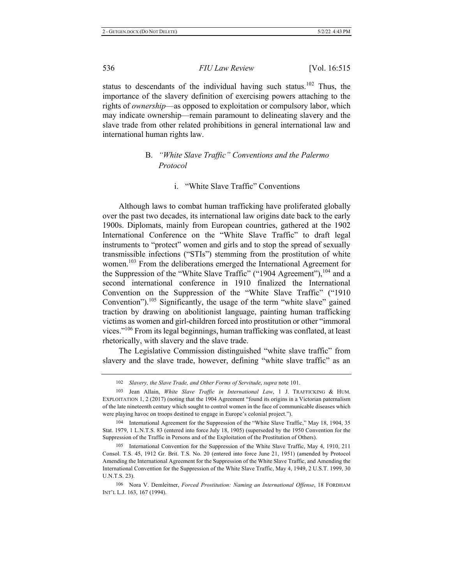status to descendants of the individual having such status.<sup>102</sup> Thus, the importance of the slavery definition of exercising powers attaching to the rights of ownership-as opposed to exploitation or compulsory labor, which may indicate ownership—remain paramount to delineating slavery and the slave trade from other related prohibitions in general international law and international human rights law.

## **B.** "White Slave Traffic" Conventions and the Palermo  $Protocol$

### i. "White Slave Traffic" Conventions

Although laws to combat human trafficking have proliferated globally over the past two decades, its international law origins date back to the early 1900s. Diplomats, mainly from European countries, gathered at the 1902 International Conference on the "White Slave Traffic" to draft legal instruments to "protect" women and girls and to stop the spread of sexually transmissible infections ("STIs") stemming from the prostitution of white women.<sup>103</sup> From the deliberations emerged the International Agreement for the Suppression of the "White Slave Traffic" ("1904 Agreement"),  $^{104}$  and a second international conference in 1910 finalized the International Convention on the Suppression of the "White Slave Traffic" ("1910 Convention").<sup>105</sup> Significantly, the usage of the term "white slave" gained traction by drawing on abolitionist language, painting human trafficking victims as women and girl-children forced into prostitution or other "immoral vices."<sup>106</sup> From its legal beginnings, human trafficking was conflated, at least rhetorically, with slavery and the slave trade.

The Legislative Commission distinguished "white slave traffic" from slavery and the slave trade, however, defining "white slave traffic" as an

<sup>102</sup> Slavery, the Slave Trade, and Other Forms of Servitude, supra note 101.

<sup>103</sup> Jean Allain, White Slave Traffic in International Law, 1 J. TRAFFICKING & HUM. EXPLOITATION 1, 2 (2017) (noting that the 1904 Agreement "found its origins in a Victorian paternalism of the late nineteenth century which sought to control women in the face of communicable diseases which were playing havoc on troops destined to engage in Europe's colonial project.").

<sup>104</sup> International Agreement for the Suppression of the "White Slave Traffic," May 18, 1904, 35 Stat. 1979, 1 L.N.T.S. 83 (entered into force July 18, 1905) (superseded by the 1950 Convention for the Suppression of the Traffic in Persons and of the Exploitation of the Prostitution of Others).

<sup>105</sup> International Convention for the Suppression of the White Slave Traffic, May 4, 1910, 211 Consol. T.S. 45, 1912 Gr. Brit. T.S. No. 20 (entered into force June 21, 1951) (amended by Protocol Amending the International Agreement for the Suppression of the White Slave Traffic, and Amending the International Convention for the Suppression of the White Slave Traffic, May 4, 1949, 2 U.S.T. 1999, 30 U.N.T.S. 23).

<sup>106</sup> Nora V. Demleitner, *Forced Prostitution: Naming an International Offense*, 18 FORDHAM INT'L L.J. 163, 167 (1994).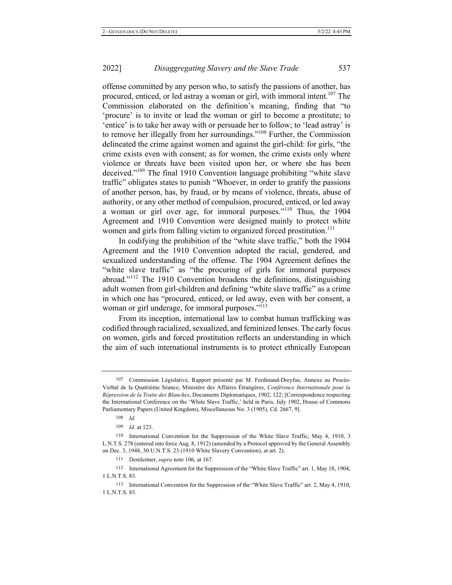offense committed by any person who, to satisfy the passions of another, has procured, enticed, or led astray a woman or girl, with immoral intent.<sup>107</sup> The Commission elaborated on the definition's meaning, finding that "to 'procure' is to invite or lead the woman or girl to become a prostitute; to 'entice' is to take her away with or persuade her to follow; to 'lead astray' is to remove her illegally from her surroundings."<sup>108</sup> Further, the Commission delineated the crime against women and against the girl-child: for girls, "the crime exists even with consent; as for women, the crime exists only where violence or threats have been visited upon her, or where she has been deceived."<sup>109</sup> The final 1910 Convention language prohibiting "white slave traffic" obligates states to punish "Whoever, in order to gratify the passions of another person, has, by fraud, or by means of violence, threats, abuse of authority, or any other method of compulsion, procured, enticed, or led away a woman or girl over age, for immoral purposes."<sup>110</sup> Thus, the  $1904$ Agreement and 1910 Convention were designed mainly to protect white women and girls from falling victim to organized forced prostitution.<sup>111</sup>

In codifying the prohibition of the "white slave traffic," both the 1904 Agreement and the 1910 Convention adopted the racial, gendered, and sexualized understanding of the offense. The 1904 Agreement defines the "white slave traffic" as "the procuring of girls for immoral purposes abroad."<sup>112</sup> The 1910 Convention broadens the definitions, distinguishing adult women from girl-children and defining "white slave traffic" as a crime in which one has "procured, enticed, or led away, even with her consent, a woman or girl underage, for immoral purposes."<sup>113</sup>

From its inception, international law to combat human trafficking was codified through racialized, sexualized, and feminized lenses. The early focus on women, girls and forced prostitution reflects an understanding in which the aim of such international instruments is to protect ethnically European

111 Demleitner, *supra* note 106, at 167.

112 International Agreement for the Suppression of the "White Slave Traffic" art. 1, May 18, 1904, 1 L.N.T.S. 83.

<sup>107</sup> Commission Législative, Rapport présenté par M. Ferdinand-Dreyfus, Annexe au Procès-Verbal de la Quatrième Séance, Ministère des Affaires Étrangères, Conférence Internationale pour la Répression de la Traite des Blanches, Documents Diplomatiques, 1902, 122; [Correspondence respecting the International Conference on the 'White Slave Traffic,' held in Paris, July 1902, House of Commons Parliamentary Papers (United Kingdom), Miscellaneous No. 3 (1905), Cd. 2667, 9].

<sup>108</sup> */*

<sup>109</sup> *Id.* at 123.

<sup>110</sup> International Convention for the Suppression of the White Slave Traffic, May 4, 1910, 3 L.N.T.S. 278 (entered into force Aug. 8, 1912) (amended by a Protocol approved by the General Assembly on Dec. 3, 1948, 30 U.N.T.S. 23 (1910 White Slavery Convention), at art. 2).

<sup>113</sup> International Convention for the Suppression of the "White Slave Traffic" art. 2, May 4, 1910, 1 L.N.T.S. 83.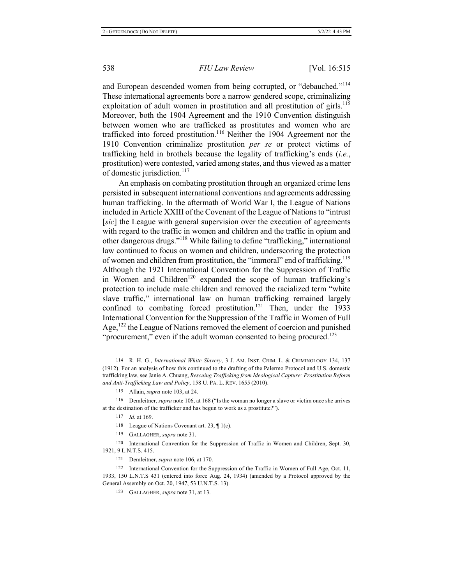and European descended women from being corrupted, or "debauched."<sup>114</sup> These international agreements bore a narrow gendered scope, criminalizing exploitation of adult women in prostitution and all prostitution of girls.<sup>115</sup> Moreover, both the 1904 Agreement and the 1910 Convention distinguish between women who are trafficked as prostitutes and women who are trafficked into forced prostitution.<sup>116</sup> Neither the 1904 Agreement nor the 1910 Convention criminalize prostitution per se or protect victims of trafficking held in brothels because the legality of trafficking's ends (i.e., prostitution) were contested, varied among states, and thus viewed as a matter of domestic jurisdiction.<sup>117</sup>

An emphasis on combating prostitution through an organized crime lens persisted in subsequent international conventions and agreements addressing human trafficking. In the aftermath of World War I, the League of Nations included in Article XXIII of the Covenant of the League of Nations to "intrust" [sic] the League with general supervision over the execution of agreements with regard to the traffic in women and children and the traffic in opium and other dangerous drugs."<sup>118</sup> While failing to define "trafficking," international law continued to focus on women and children, underscoring the protection of women and children from prostitution, the "immoral" end of trafficking.<sup>119</sup> Although the 1921 International Convention for the Suppression of Traffic in Women and Children<sup>120</sup> expanded the scope of human trafficking's protection to include male children and removed the racialized term "white slave traffic," international law on human trafficking remained largely confined to combating forced prostitution.<sup>121</sup> Then, under the 1933 International Convention for the Suppression of the Traffic in Women of Full Age,  $^{122}$  the League of Nations removed the element of coercion and punished "procurement," even if the adult woman consented to being procured.<sup>123</sup>

<sup>114</sup> R. H. G., *International White Slavery*, 3 J. AM. INST. CRIM. L. & CRIMINOLOGY 134, 137 (1912). For an analysis of how this continued to the drafting of the Palermo Protocol and U.S. domestic trafficking law, see Janie A. Chuang, Rescuing Trafficking from Ideological Capture: Prostitution Reform and Anti-Trafficking Law and Policy, 158 U. PA. L. REV. 1655 (2010).

<sup>115</sup> Allain, *supra* note 103, at 24.

<sup>116</sup> Demleitner, *supra* note 106, at 168 ("Is the woman no longer a slave or victim once she arrives at the destination of the trafficker and has begun to work as a prostitute?").

<sup>117</sup> *Id.* at 169.

<sup>118</sup> League of Nations Covenant art. 23,  $\P$  1(c).

<sup>119</sup> GALLAGHER, supra note 31.

<sup>120</sup> International Convention for the Suppression of Traffic in Women and Children, Sept. 30, 1921, 9 L.N.T.S. 415.

<sup>121</sup> Demleitner, *supra* note 106, at 170.

<sup>122</sup> International Convention for the Suppression of the Traffic in Women of Full Age, Oct. 11, 1933, 150 L.N.T.S 431 (entered into force Aug. 24, 1934) (amended by a Protocol approved by the General Assembly on Oct. 20, 1947, 53 U.N.T.S. 13).

<sup>123</sup> GALLAGHER, *supra* note 31, at 13.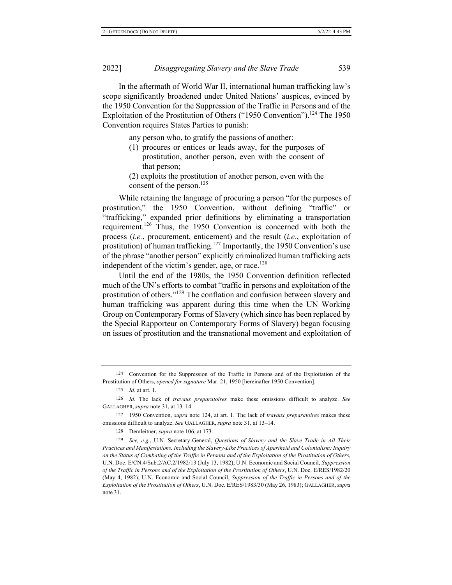In the aftermath of World War II, international human trafficking law's scope significantly broadened under United Nations' auspices, evinced by the 1950 Convention for the Suppression of the Traffic in Persons and of the Exploitation of the Prostitution of Others ("1950 Convention").<sup>124</sup> The 1950 Convention requires States Parties to punish:

any person who, to gratify the passions of another:

 $(1)$  procures or entices or leads away, for the purposes of prostitution, another person, even with the consent of that person;

(2) exploits the prostitution of another person, even with the consent of the person.<sup>125</sup>

While retaining the language of procuring a person "for the purposes of prostitution," the 1950 Convention, without defining "traffic" or "trafficking," expanded prior definitions by eliminating a transportation requirement.<sup>126</sup> Thus, the 1950 Convention is concerned with both the process (i.e., procurement, enticement) and the result (i.e., exploitation of prostitution) of human trafficking.<sup>127</sup> Importantly, the 1950 Convention's use of the phrase "another person" explicitly criminalized human trafficking acts independent of the victim's gender, age, or race.  $^{128}$ 

Until the end of the 1980s, the 1950 Convention definition reflected much of the UN's efforts to combat "traffic in persons and exploitation of the prostitution of others."<sup>129</sup> The conflation and confusion between slavery and human trafficking was apparent during this time when the UN Working Group on Contemporary Forms of Slavery (which since has been replaced by the Special Rapporteur on Contemporary Forms of Slavery) began focusing on issues of prostitution and the transnational movement and exploitation of

128 Demleitner, *supra* note 106, at 173.

<sup>124</sup> Convention for the Suppression of the Traffic in Persons and of the Exploitation of the Prostitution of Others, *opened for signature* Mar. 21, 1950 [hereinafter 1950 Convention].

<sup>125</sup> *Id.* at art. 1.

<sup>126</sup> Id. The lack of travaux preparatoires make these omissions difficult to analyze. See GALLAGHER, *supra* note 31, at 13-14.

<sup>127 1950</sup> Convention, *supra* note 124, at art. 1. The lack of *travaux preparatoires* makes these omissions difficult to analyze. See GALLAGHER, supra note 31, at 13-14.

<sup>129</sup> See, e.g., U.N. Secretary-General, Questions of Slavery and the Slave Trade in All Their Practices and Manifestations, Including the Slavery-Like Practices of Apartheid and Colonialism: Inquiry on the Status of Combating of the Traffic in Persons and of the Exploitation of the Prostitution of Others, U.N. Doc. E/CN.4/Sub.2/AC.2/1982/13 (July 13, 1982); U.N. Economic and Social Council, Suppression *of the Traffic in Persons and of the Exploitation of the Prostitution of Others, U.N. Doc. E/RES/1982/20* (May 4, 1982); U.N. Economic and Social Council, Suppression of the Traffic in Persons and of the Exploitation of the Prostitution of Others, U.N. Doc. E/RES/1983/30 (May 26, 1983); GALLAGHER, supra note 31.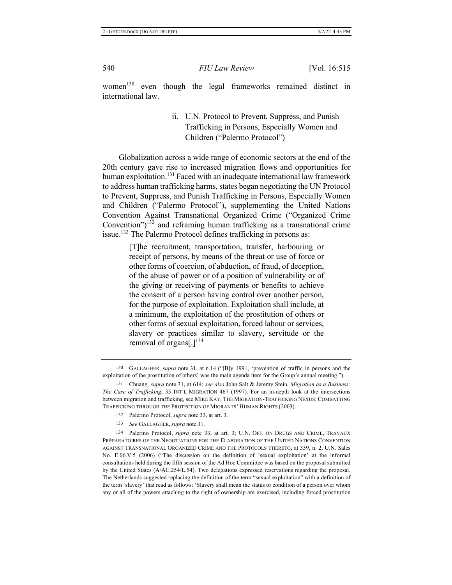women<sup>130</sup> even though the legal frameworks remained distinct in international law.

> ii. U.N. Protocol to Prevent, Suppress, and Punish Trafficking in Persons, Especially Women and Children ("Palermo Protocol")

Globalization across a wide range of economic sectors at the end of the 20th century gave rise to increased migration flows and opportunities for human exploitation.<sup>131</sup> Faced with an inadequate international law framework to address human trafficking harms, states began negotiating the UN Protocol to Prevent, Suppress, and Punish Trafficking in Persons, Especially Women and Children ("Palermo Protocol"), supplementing the United Nations Convention Against Transnational Organized Crime ("Organized Crime Convention") $^{132}$  and reframing human trafficking as a transnational crime issue.<sup>133</sup> The Palermo Protocol defines trafficking in persons as:

> [T]he recruitment, transportation, transfer, harbouring or receipt of persons, by means of the threat or use of force or other forms of coercion, of abduction, of fraud, of deception, of the abuse of power or of a position of vulnerability or of the giving or receiving of payments or benefits to achieve the consent of a person having control over another person, for the purpose of exploitation. Exploitation shall include, at a minimum, the exploitation of the prostitution of others or other forms of sexual exploitation, forced labour or services, slavery or practices similar to slavery, servitude or the removal of organs[.] $^{134}$

- 132 Palermo Protocol, *supra* note 33, at art. 3.
- 133 *See* GALLAGHER, *supra* note 31.

<sup>130</sup> GALLAGHER, *supra* note 31, at n.14 ("[B]y 1991, 'prevention of traffic in persons and the exploitation of the prostitution of others' was the main agenda item for the Group's annual meeting.").

Chuang, supra note 31, at 614; see also John Salt & Jeremy Stein, *Migration as a Business*: The Case of Trafficking, 35 INT'L MIGRATION 467 (1997). For an in-depth look at the intersections between migration and trafficking, see MIKE KAY, THE MIGRATION-TRAFFICKING NEXUS: COMBATTING TRAFFICKING THROUGH THE PROTECTION OF MIGRANTS' HUMAN RIGHTS (2003).

<sup>134</sup> Palermo Protocol, *supra* note 33, at art. 3; U.N. OFF. ON DRUGS AND CRIME, TRAVAUX PRÉPARATOIRES OF THE NEGOTIATIONS FOR THE ELABORATION OF THE UNITED NATIONS CONVENTION AGAINST TRANSNATIONAL ORGANIZED CRIME AND THE PROTOCOLS THERETO, at 339, n. 2, U.N. Sales No. E.06.V.5 (2006) ("The discussion on the definition of 'sexual exploitation' at the informal consultations held during the fifth session of the Ad Hoc Committee was based on the proposal submitted by the United States (A/AC.254/L.54). Two delegations expressed reservations regarding the proposal. The Netherlands suggested replacing the definition of the term "sexual exploitation" with a definition of the term 'slavery' that read as follows: 'Slavery shall mean the status or condition of a person over whom any or all of the powers attaching to the right of ownership are exercised, including forced prostitution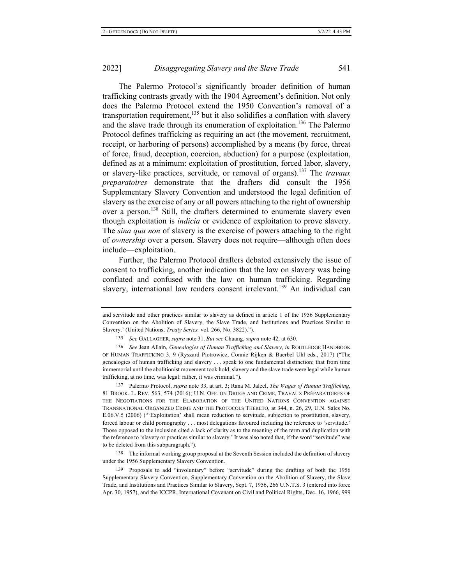The Palermo Protocol's significantly broader definition of human trafficking contrasts greatly with the 1904 Agreement's definition. Not only does the Palermo Protocol extend the 1950 Convention's removal of a transportation requirement,  $^{135}$  but it also solidifies a conflation with slavery and the slave trade through its enumeration of exploitation.<sup>136</sup> The Palermo Protocol defines trafficking as requiring an act (the movement, recruitment, receipt, or harboring of persons) accomplished by a means (by force, threat of force, fraud, deception, coercion, abduction) for a purpose (exploitation, defined as at a minimum: exploitation of prostitution, forced labor, slavery, or slavery-like practices, servitude, or removal of organs).<sup>137</sup> The *travaux preparatoires* demonstrate that the drafters did consult the 1956 Supplementary Slavery Convention and understood the legal definition of slavery as the exercise of any or all powers attaching to the right of ownership over a person.<sup>138</sup> Still, the drafters determined to enumerate slavery even though exploitation is *indicia* or evidence of exploitation to prove slavery. The *sina qua non* of slavery is the exercise of powers attaching to the right of *ownership* over a person. Slavery does not require—although often does include—exploitation.

Further, the Palermo Protocol drafters debated extensively the issue of consent to trafficking, another indication that the law on slavery was being conflated and confused with the law on human trafficking. Regarding slavery, international law renders consent irrelevant.<sup>139</sup> An individual can

137 Palermo Protocol, *supra* note 33, at art. 3; Rana M. Jaleel, *The Wages of Human Trafficking*, 81 BROOK. L. REV. 563, 574 (2016); U.N. OFF. ON DRUGS AND CRIME, TRAVAUX PRÉPARATOIRES OF THE NEGOTIATIONS FOR THE ELABORATION OF THE UNITED NATIONS CONVENTION AGAINST TRANSNATIONAL ORGANIZED CRIME AND THE PROTOCOLS THERETO, at 344, n. 26, 29, U.N. Sales No. E.06.V.5 (2006) ("Exploitation' shall mean reduction to servitude, subjection to prostitution, slavery, forced labour or child pornography . . . most delegations favoured including the reference to 'servitude.' Those opposed to the inclusion cited a lack of clarity as to the meaning of the term and duplication with the reference to 'slavery or practices similar to slavery.' It was also noted that, if the word "servitude" was to be deleted from this subparagraph.").

138 The informal working group proposal at the Seventh Session included the definition of slavery under the 1956 Supplementary Slavery Convention.

139 Proposals to add "involuntary" before "servitude" during the drafting of both the 1956 Supplementary Slavery Convention, Supplementary Convention on the Abolition of Slavery, the Slave Trade, and Institutions and Practices Similar to Slavery, Sept. 7, 1956, 266 U.N.T.S. 3 (entered into force Apr. 30, 1957), and the ICCPR, International Covenant on Civil and Political Rights, Dec. 16, 1966, 999

and servitude and other practices similar to slavery as defined in article 1 of the 1956 Supplementary Convention on the Abolition of Slavery, the Slave Trade, and Institutions and Practices Similar to Slavery.' (United Nations, *Treaty Series*, vol. 266, No. 3822).").

<sup>135</sup> See GALLAGHER, supra note 31. But see Chuang, supra note 42, at 630.

<sup>136</sup> See Jean Allain, *Genealogies of Human Trafficking and Slavery*, *in ROUTLEDGE HANDBOOK* OF HUMAN TRAFFICKING 3, 9 (Ryszard Piotrowicz, Connie Rijken & Baerbel Uhl eds., 2017) ("The genealogies of human trafficking and slavery ... speak to one fundamental distinction: that from time immemorial until the abolitionist movement took hold, slavery and the slave trade were legal while human trafficking, at no time, was legal: rather, it was criminal.").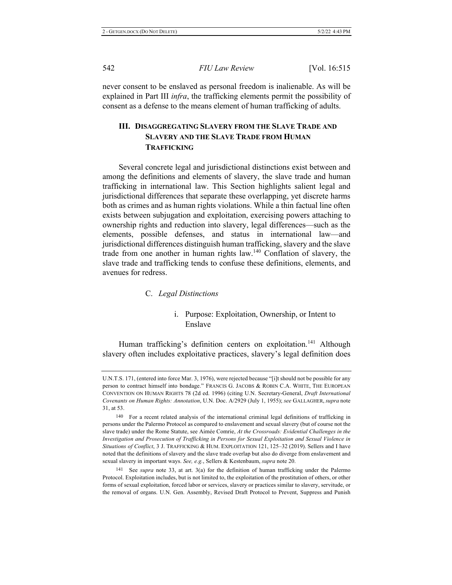never consent to be enslaved as personal freedom is inalienable. As will be explained in Part III *infra*, the trafficking elements permit the possibility of consent as a defense to the means element of human trafficking of adults.

## III. DISAGGREGATING SLAVERY FROM THE SLAVE TRADE AND SLAVERY AND THE SLAVE TRADE FROM HUMAN **TRAFFICKING**

Several concrete legal and jurisdictional distinctions exist between and among the definitions and elements of slavery, the slave trade and human trafficking in international law. This Section highlights salient legal and jurisdictional differences that separate these overlapping, yet discrete harms both as crimes and as human rights violations. While a thin factual line often exists between subjugation and exploitation, exercising powers attaching to ownership rights and reduction into slavery, legal differences—such as the elements, possible defenses, and status in international law—and jurisdictional differences distinguish human trafficking, slavery and the slave trade from one another in human rights law.<sup>140</sup> Conflation of slavery, the slave trade and trafficking tends to confuse these definitions, elements, and avenues for redress.

#### **C.** Legal Distinctions

### i. Purpose: Exploitation, Ownership, or Intent to Enslave

Human trafficking's definition centers on exploitation.<sup>141</sup> Although slavery often includes exploitative practices, slavery's legal definition does

U.N.T.S. 171, (entered into force Mar. 3, 1976), were rejected because "[i]t should not be possible for any person to contract himself into bondage." FRANCIS G. JACOBS & ROBIN C.A. WHITE, THE EUROPEAN CONVENTION ON HUMAN RIGHTS 78 (2d ed. 1996) (citing U.N. Secretary-General, *Draft International* Covenants on Human Rights: Annotation, U.N. Doc. A/2929 (July 1, 1955); see GALLAGHER, supra note 31, at 53.

<sup>140</sup> For a recent related analysis of the international criminal legal definitions of trafficking in persons under the Palermo Protocol as compared to enslavement and sexual slavery (but of course not the slave trade) under the Rome Statute, see Aimée Comrie, At the Crossroads: *Evidential Challenges in the* Investigation and Prosecution of Trafficking in Persons for Sexual Exploitation and Sexual Violence in Situations of Conflict, 3 J. TRAFFICKING & HUM. EXPLOITATION 121, 125–32 (2019). Sellers and I have noted that the definitions of slavery and the slave trade overlap but also do diverge from enslavement and sexual slavery in important ways. See, e.g., Sellers & Kestenbaum, *supra* note 20.

<sup>&</sup>lt;sup>141</sup> See *supra* note 33, at art. 3(a) for the definition of human trafficking under the Palermo Protocol. Exploitation includes, but is not limited to, the exploitation of the prostitution of others, or other forms of sexual exploitation, forced labor or services, slavery or practices similar to slavery, servitude, or the removal of organs. U.N. Gen. Assembly, Revised Draft Protocol to Prevent, Suppress and Punish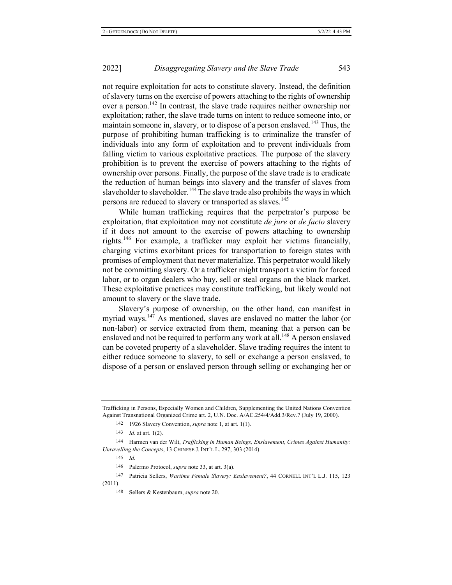2022

not require exploitation for acts to constitute slavery. Instead, the definition of slavery turns on the exercise of powers attaching to the rights of ownership over a person.<sup>142</sup> In contrast, the slave trade requires neither ownership nor exploitation; rather, the slave trade turns on intent to reduce someone into, or maintain someone in, slavery, or to dispose of a person enslaved.<sup>143</sup> Thus, the purpose of prohibiting human trafficking is to criminalize the transfer of individuals into any form of exploitation and to prevent individuals from falling victim to various exploitative practices. The purpose of the slavery prohibition is to prevent the exercise of powers attaching to the rights of ownership over persons. Finally, the purpose of the slave trade is to eradicate the reduction of human beings into slavery and the transfer of slaves from slaveholder to slaveholder.<sup>144</sup> The slave trade also prohibits the ways in which persons are reduced to slavery or transported as slaves.<sup>145</sup>

While human trafficking requires that the perpetrator's purpose be exploitation, that exploitation may not constitute *de jure* or *de facto* slavery if it does not amount to the exercise of powers attaching to ownership rights.<sup>146</sup> For example, a trafficker may exploit her victims financially, charging victims exorbitant prices for transportation to foreign states with promises of employment that never materialize. This perpetrator would likely not be committing slavery. Or a trafficker might transport a victim for forced labor, or to organ dealers who buy, sell or steal organs on the black market. These exploitative practices may constitute trafficking, but likely would not amount to slavery or the slave trade.

Slavery's purpose of ownership, on the other hand, can manifest in myriad ways.<sup>147</sup> As mentioned, slaves are enslaved no matter the labor (or non-labor) or service extracted from them, meaning that a person can be enslaved and not be required to perform any work at all.<sup>148</sup> A person enslaved can be coveted property of a slaveholder. Slave trading requires the intent to either reduce someone to slavery, to sell or exchange a person enslaved, to dispose of a person or enslaved person through selling or exchanging her or

142 1926 Slavery Convention, *supra* note 1, at art. 1(1).

143 *Id.* at art.  $1(2)$ .

 $145$  *Id.* 

146 Palermo Protocol, *supra* note 33, at art. 3(a).

147 Patricia Sellers, Wartime Female Slavery: Enslavement?, 44 CORNELL INT'L L.J. 115, 123  $(2011).$ 

Trafficking in Persons, Especially Women and Children, Supplementing the United Nations Convention Against Transnational Organized Crime art. 2, U.N. Doc. A/AC.254/4/Add.3/Rev.7 (July 19, 2000).

<sup>144</sup> Harmen van der Wilt, Trafficking in Human Beings, Enslavement, Crimes Against Humanity: *Unravelling the Concepts, 13 CHINESE J. INT'L L. 297, 303 (2014).* 

<sup>148</sup> Sellers & Kestenbaum, *supra* note 20.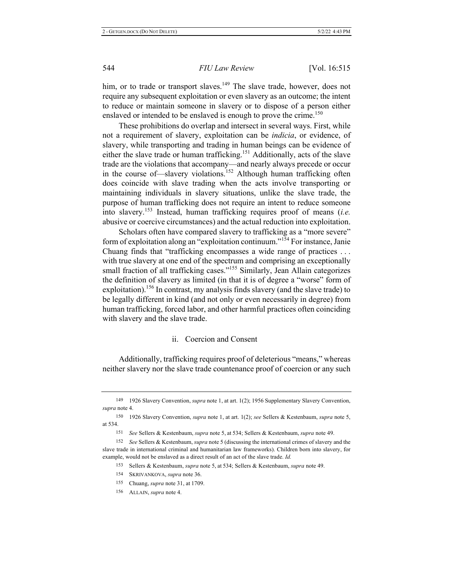him, or to trade or transport slaves.<sup>149</sup> The slave trade, however, does not require any subsequent exploitation or even slavery as an outcome; the intent to reduce or maintain someone in slavery or to dispose of a person either enslaved or intended to be enslaved is enough to prove the crime.<sup>150</sup>

These prohibitions do overlap and intersect in several ways. First, while not a requirement of slavery, exploitation can be *indicia*, or evidence, of slavery, while transporting and trading in human beings can be evidence of either the slave trade or human trafficking.<sup>151</sup> Additionally, acts of the slave trade are the violations that accompany—and nearly always precede or occur in the course of—slavery violations.<sup>152</sup> Although human trafficking often does coincide with slave trading when the acts involve transporting or maintaining individuals in slavery situations, unlike the slave trade, the purpose of human trafficking does not require an intent to reduce someone into slavery.<sup>153</sup> Instead, human trafficking requires proof of means (*i.e.* abusive or coercive circumstances) and the actual reduction into exploitation.

Scholars often have compared slavery to trafficking as a "more severe" form of exploitation along an "exploitation continuum."<sup>154</sup> For instance, Janie Chuang finds that "trafficking encompasses a wide range of practices  $\dots$ with true slavery at one end of the spectrum and comprising an exceptionally small fraction of all trafficking cases."<sup>155</sup> Similarly, Jean Allain categorizes the definition of slavery as limited (in that it is of degree a "worse" form of exploitation).<sup>156</sup> In contrast, my analysis finds slavery (and the slave trade) to be legally different in kind (and not only or even necessarily in degree) from human trafficking, forced labor, and other harmful practices often coinciding with slavery and the slave trade.

### ii. Coercion and Consent

Additionally, trafficking requires proof of deleterious "means," whereas neither slavery nor the slave trade countenance proof of coercion or any such

<sup>149 1926</sup> Slavery Convention, *supra* note 1, at art. 1(2); 1956 Supplementary Slavery Convention,  $supra$  note 4.

<sup>150</sup> 1926 Slavery Convention, *supra* note 1, at art. 1(2); see Sellers & Kestenbaum, *supra* note 5, at 534.

<sup>151</sup> See Sellers & Kestenbaum, *supra* note 5, at 534; Sellers & Kestenbaum, *supra* note 49.

<sup>152</sup> See Sellers & Kestenbaum, *supra* note 5 (discussing the international crimes of slavery and the slave trade in international criminal and humanitarian law frameworks). Children born into slavery, for example, would not be enslaved as a direct result of an act of the slave trade. *Id.* 

<sup>&</sup>lt;sup>153</sup> Sellers & Kestenbaum, *supra* note 5, at 534; Sellers & Kestenbaum, *supra* note 49.

<sup>154</sup> SKRIVANKOVA, *supra* note 36.

<sup>155</sup> Chuang, *supra* note 31, at 1709.

<sup>156</sup> ALLAIN, *supra* note 4.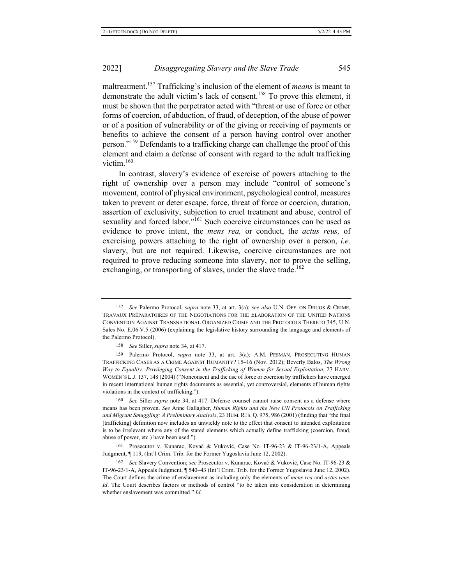2022

maltreatment.<sup>157</sup> Trafficking's inclusion of the element of *means* is meant to demonstrate the adult victim's lack of consent.<sup>158</sup> To prove this element, it must be shown that the perpetrator acted with "threat or use of force or other forms of coercion, of abduction, of fraud, of deception, of the abuse of power or of a position of vulnerability or of the giving or receiving of payments or benefits to achieve the consent of a person having control over another person."<sup>159</sup> Defendants to a trafficking charge can challenge the proof of this element and claim a defense of consent with regard to the adult trafficking victim. $160$ 

In contrast, slavery's evidence of exercise of powers attaching to the right of ownership over a person may include "control of someone's movement, control of physical environment, psychological control, measures taken to prevent or deter escape, force, threat of force or coercion, duration, assertion of exclusivity, subjection to cruel treatment and abuse, control of sexuality and forced labor."<sup>161</sup> Such coercive circumstances can be used as evidence to prove intent, the *mens rea*, or conduct, the *actus reus*, of exercising powers attaching to the right of ownership over a person, *i.e.* slavery, but are not required. Likewise, coercive circumstances are not required to prove reducing someone into slavery, nor to prove the selling, exchanging, or transporting of slaves, under the slave trade.<sup>162</sup>

160 See Siller *supra* note 34, at 417. Defense counsel cannot raise consent as a defense where means has been proven. See Anne Gallagher, Human Rights and the New UN Protocols on Trafficking and Migrant Smuggling: A Preliminary Analysis, 23 HUM. RTS. Q. 975, 986 (2001) (finding that "the final [trafficking] definition now includes an unwieldy note to the effect that consent to intended exploitation is to be irrelevant where any of the stated elements which actually define trafficking (coercion, fraud, abuse of power, etc.) have been used.").

161 Prosecutor v. Kunarac, Kovač & Vuković, Case No. IT-96-23 & IT-96-23/1-A, Appeals Judgment, ¶ 119, (Int'l Crim. Trib. for the Former Yugoslavia June 12, 2002).

162 See Slavery Convention; see Prosecutor v. Kunarac, Kovač & Vuković, Case No. IT-96-23 & IT-96-23/1-A, Appeals Judgment,  $\P$  540–43 (Int'l Crim. Trib. for the Former Yugoslavia June 12, 2002). The Court defines the crime of enslavement as including only the elements of *mens rea* and *actus reus*. *Id.* The Court describes factors or methods of control "to be taken into consideration in determining whether enslavement was committed." *Id.* 

<sup>157</sup> See Palermo Protocol, *supra* note 33, at art. 3(a); see also U.N. OFF. ON DRUGS & CRIME, TRAVAUX PRÉPARATOIRES OF THE NEGOTIATIONS FOR THE ELABORATION OF THE UNITED NATIONS CONVENTION AGAINST TRANSNATIONAL ORGANIZED CRIME AND THE PROTOCOLS THERETO 345, U.N. Sales No. E.06.V.5 (2006) (explaining the legislative history surrounding the language and elements of the Palermo Protocol).

<sup>158</sup> *See* Siller, *supra* note 34, at 417.

<sup>159</sup> Palermo Protocol, *supra* note 33, at art. 3(a); A.M. PESMAN, PROSECUTING HUMAN TRAFFICKING CASES AS A CRIME AGAINST HUMANITY? 15-16 (Nov. 2012); Beverly Balos, The Wrong *Way to Equality: Privileging Consent in the Trafficking of Women for Sexual Exploitation, 27 HARV.* WOMEN'S L.J. 137, 148 (2004) ("Nonconsent and the use of force or coercion by traffickers have emerged in recent international human rights documents as essential, yet controversial, elements of human rights violations in the context of trafficking.").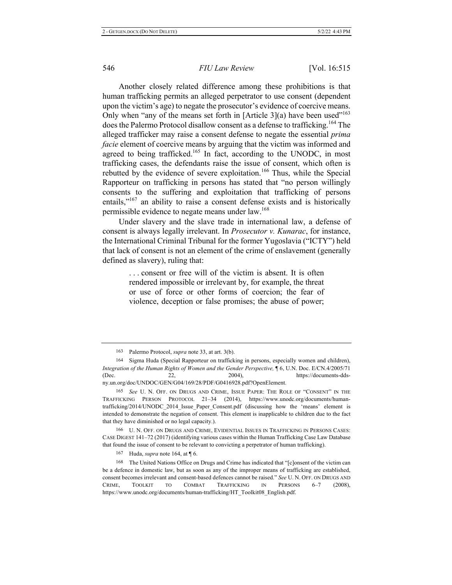Another closely related difference among these prohibitions is that human trafficking permits an alleged perpetrator to use consent (dependent upon the victim's age) to negate the prosecutor's evidence of coercive means. Only when "any of the means set forth in [Article 3](a) have been used"<sup>163</sup> does the Palermo Protocol disallow consent as a defense to trafficking.<sup>164</sup> The alleged trafficker may raise a consent defense to negate the essential prima *facie* element of coercive means by arguing that the victim was informed and agreed to being trafficked.<sup>165</sup> In fact, according to the UNODC, in most trafficking cases, the defendants raise the issue of consent, which often is rebutted by the evidence of severe exploitation.<sup>166</sup> Thus, while the Special Rapporteur on trafficking in persons has stated that "no person willingly consents to the suffering and exploitation that trafficking of persons entails," $167$  an ability to raise a consent defense exists and is historically permissible evidence to negate means under law.<sup>168</sup>

Under slavery and the slave trade in international law, a defense of consent is always legally irrelevant. In *Prosecutor v. Kunarac*, for instance, the International Criminal Tribunal for the former Yugoslavia ("ICTY") held that lack of consent is not an element of the crime of enslavement (generally defined as slavery), ruling that:

> ... consent or free will of the victim is absent. It is often rendered impossible or irrelevant by, for example, the threat or use of force or other forms of coercion; the fear of violence, deception or false promises; the abuse of power;

<sup>163</sup> Palermo Protocol, *supra* note 33, at art. 3(b).

<sup>164</sup> Sigma Huda (Special Rapporteur on trafficking in persons, especially women and children), Integration of the Human Rights of Women and the Gender Perspective,  $\P$  6, U.N. Doc. E/CN.4/2005/71 (Dec. 22, 20  $2004$ ), https://documents-ddsny.un.org/doc/UNDOC/GEN/G04/169/28/PDF/G0416928.pdf?OpenElement.

<sup>165</sup> See U. N. OFF. ON DRUGS AND CRIME, ISSUE PAPER: THE ROLE OF "CONSENT" IN THE TRAFFICKING PERSON PROTOCOL 21–34 (2014), https://www.unodc.org/documents/humantrafficking/2014/UNODC 2014 Issue Paper Consent.pdf (discussing how the 'means' element is intended to demonstrate the negation of consent. This element is inapplicable to children due to the fact that they have diminished or no legal capacity.).

<sup>166</sup> U. N. OFF. ON DRUGS AND CRIME, EVIDENTIAL ISSUES IN TRAFFICKING IN PERSONS CASES: CASE DIGEST 141–72 (2017) (identifying various cases within the Human Trafficking Case Law Database that found the issue of consent to be relevant to convicting a perpetrator of human trafficking).

<sup>167</sup> Huda, *supra* note 164, at  $\P$  6.

<sup>168</sup> The United Nations Office on Drugs and Crime has indicated that "[c]onsent of the victim can be a defence in domestic law, but as soon as any of the improper means of trafficking are established, consent becomes irrelevant and consent-based defences cannot be raised." See U.N. OFF. ON DRUGS AND CRIME, TOOLKIT TO COMBAT TRAFFICKING IN PERSONS 6-7 08), https://www.unodc.org/documents/human-trafficking/HT\_Toolkit08\_English.pdf.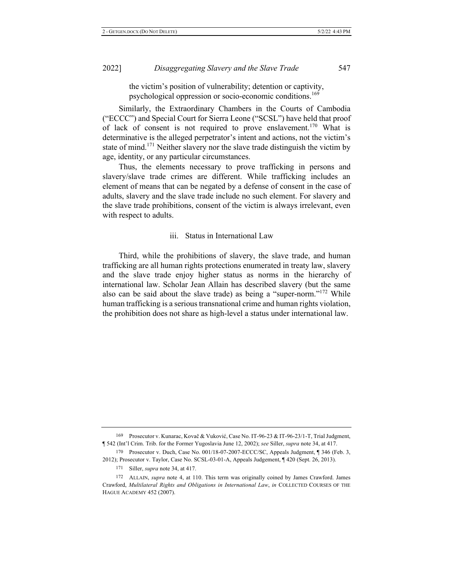the victim's position of vulnerability; detention or captivity, psychological oppression or socio-economic conditions.<sup>169</sup>

Similarly, the Extraordinary Chambers in the Courts of Cambodia ("ECCC") and Special Court for Sierra Leone ("SCSL") have held that proof of lack of consent is not required to prove enslavement.<sup>170</sup> What is determinative is the alleged perpetrator's intent and actions, not the victim's state of mind.<sup>171</sup> Neither slavery nor the slave trade distinguish the victim by age, identity, or any particular circumstances.

Thus, the elements necessary to prove trafficking in persons and slavery/slave trade crimes are different. While trafficking includes an element of means that can be negated by a defense of consent in the case of adults, slavery and the slave trade include no such element. For slavery and the slave trade prohibitions, consent of the victim is always irrelevant, even with respect to adults.

#### iii. Status in International Law

Third, while the prohibitions of slavery, the slave trade, and human trafficking are all human rights protections enumerated in treaty law, slavery and the slave trade enjoy higher status as norms in the hierarchy of international law. Scholar Jean Allain has described slavery (but the same also can be said about the slave trade) as being a "super-norm."<sup>172</sup> While human trafficking is a serious transnational crime and human rights violation, the prohibition does not share as high-level a status under international law.

<sup>169</sup> Prosecutor v. Kunarac, Kovač & Vuković, Case No. IT-96-23 & IT-96-23/1-T, Trial Judgment, **T** 542 (Int'l Crim. Trib. for the Former Yugoslavia June 12, 2002); see Siller, supra note 34, at 417.

<sup>170</sup> Prosecutor v. Duch, Case No. 001/18-07-2007-ECCC/SC, Appeals Judgment, 1346 (Feb. 3,  $2012$ ); Prosecutor v. Taylor, Case No. SCSL-03-01-A, Appeals Judgement,  $\P$  420 (Sept. 26, 2013).

<sup>171</sup> Siller, *supra* note 34, at 417.

<sup>172</sup> ALLAIN, *supra* note 4, at 110. This term was originally coined by James Crawford. James Crawford, Multilateral Rights and Obligations in International Law, in COLLECTED COURSES OF THE HAGUE ACADEMY 452 (2007).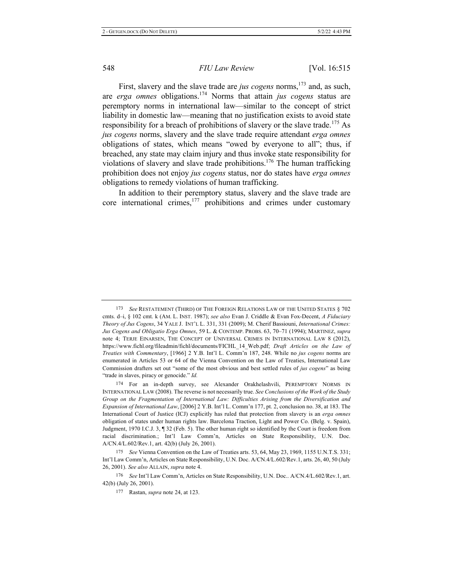First, slavery and the slave trade are *jus cogens* norms,<sup>173</sup> and, as such, are erga omnes obligations.<sup>174</sup> Norms that attain jus cogens status are peremptory norms in international law—similar to the concept of strict liability in domestic law—meaning that no justification exists to avoid state responsibility for a breach of prohibitions of slavery or the slave trade.<sup>175</sup> As *jus cogens* norms, slavery and the slave trade require attendant *erga omnes* obligations of states, which means "owed by everyone to all"; thus, if breached, any state may claim injury and thus invoke state responsibility for violations of slavery and slave trade prohibitions.<sup>176</sup> The human trafficking prohibition does not enjoy jus cogens status, nor do states have erga omnes obligations to remedy violations of human trafficking.

In addition to their peremptory status, slavery and the slave trade are core international crimes,  $177$  prohibitions and crimes under customary

174 For an in-depth survey, see Alexander Orakhelashvili, PEREMPTORY NORMS IN INTERNATIONAL LAW (2008). The reverse is not necessarily true. See Conclusions of the Work of the Study Group on the Fragmentation of International Law: Difficulties Arising from the Diversification and Expansion of International Law, [2006] 2 Y.B. Int'l L. Comm'n 177, pt. 2, conclusion no. 38, at 183. The International Court of Justice (ICJ) explicitly has ruled that protection from slavery is an erga omnes obligation of states under human rights law. Barcelona Traction, Light and Power Co. (Belg. v. Spain), Judgment, 1970 I.C.J.  $3$ ,  $\P$  32 (Feb. 5). The other human right so identified by the Court is freedom from racial discrimination.; Int'l Law Comm'n, Articles on State Responsibility, U.N. Doc. A/CN.4/L.602/Rev.1, art. 42(b) (July 26, 2001).

175 See Vienna Convention on the Law of Treaties arts. 53, 64, May 23, 1969, 1155 U.N.T.S. 331; Int'l Law Comm'n, Articles on State Responsibility, U.N. Doc. A/CN.4/L.602/Rev.1, arts. 26, 40, 50 (July 26, 2001). See also ALLAIN, supra note 4.

176 See Int'l Law Comm'n, Articles on State Responsibility, U.N. Doc.. A/CN.4/L.602/Rev.1, art. 42(b) (July 26, 2001).

<sup>173</sup> See RESTATEMENT (THIRD) OF THE FOREIGN RELATIONS LAW OF THE UNITED STATES § 702 cmts. d-i, § 102 cmt. k (AM. L. INST. 1987); see also Evan J. Criddle & Evan Fox-Decent, A Fiduciary Theory of Jus Cogens, 34 YALE J. INT'L L. 331, 331 (2009); M. Cherif Bassiouni, *International Crimes:* Jus Cogens and Obligatio Erga Omnes, 59 L. & CONTEMP. PROBS. 63, 70–71 (1994); MARTINEZ, supra note 4; TERJE EINARSEN, THE CONCEPT OF UNIVERSAL CRIMES IN INTERNATIONAL LAW 8 (2012), https://www.fichl.org/fileadmin/fichl/documents/FICHL\_14\_Web.pdf; *Draft Articles on the Law of Treaties with Commentary*, [1966] 2 Y.B. Int'l L. Comm'n 187, 248. While no jus cogens norms are enumerated in Articles 53 or 64 of the Vienna Convention on the Law of Treaties, International Law Commission drafters set out "some of the most obvious and best settled rules of jus cogens" as being "trade in slaves, piracy or genocide." Id.

<sup>177</sup> Rastan, *supra* note 24, at 123.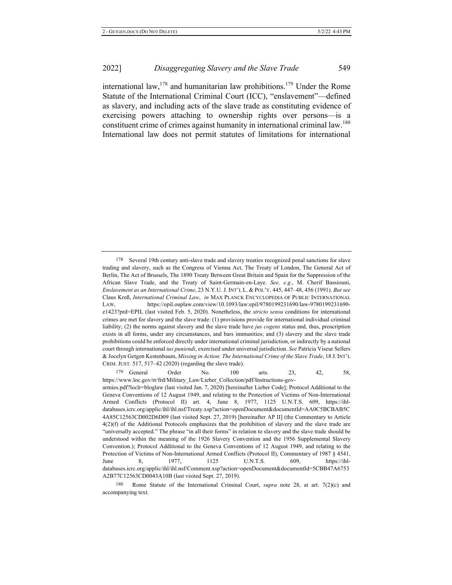international law,  $178$  and humanitarian law prohibitions.  $179$  Under the Rome Statute of the International Criminal Court (ICC), "enslavement"—defined as slavery, and including acts of the slave trade as constituting evidence of exercising powers attaching to ownership rights over persons-is a constituent crime of crimes against humanity in international criminal law.<sup>180</sup> International law does not permit statutes of limitations for international

179 General Order No. 100 arts. 23, 42, 58, https://www.loc.gov/rr/frd/Military Law/Lieber Collection/pdf/Instructions-govarmies.pdf?loclr=bloglaw (last visited Jan. 7, 2020) [hereinafter Lieber Code]; Protocol Additional to the Geneva Conventions of 12 August 1949, and relating to the Protection of Victims of Non-International Armed Conflicts (Protocol II) art. 4, June 8, 1977, 1125 U.N.T.S. 609, https://ihldatabases.icrc.org/applic/ihl/ihl.nsf/Treaty.xsp?action=openDocument&documentId=AA0C5BCBAB5C 4A85C12563CD002D6D09 (last visited Sept. 27, 2019) [hereinafter AP II] (the Commentary to Article  $4(2)(f)$  of the Additional Protocols emphasizes that the prohibition of slavery and the slave trade are "universally accepted." The phrase "in all their forms" in relation to slavery and the slave trade should be understood within the meaning of the 1926 Slavery Convention and the 1956 Supplemental Slavery Convention.); Protocol Additional to the Geneva Conventions of 12 August 1949, and relating to the Protection of Victims of Non-International Armed Conflicts (Protocol II), Commentary of 1987 § 4541, June 8, 1977, 1125 U.N.T.S. 609, https://ihldatabases.icrc.org/applic/ihl/ihl.nsf/Comment.xsp?action=openDocument&documentId=5CBB47A6753 A2B77C12563CD0043A10B (last visited Sept. 27, 2019).

180 Rome Statute of the International Criminal Court, *supra* note 28, at art. 7(2)(c) and accompanying text.

<sup>178</sup> Several 19th century anti-slave trade and slavery treaties recognized penal sanctions for slave trading and slavery, such as the Congress of Vienna Act, The Treaty of London, The General Act of Berlin, The Act of Brussels, The 1890 Treaty Between Great Britain and Spain for the Suppression of the African Slave Trade, and the Treaty of Saint-Germain-en-Laye. See, e.g., M. Cherif Bassiouni, Enslavement as an International Crime, 23 N.Y.U. J. INT'L L. & POL'Y. 445, 447-48, 456 (1991). But see Claus Kreß, *International Criminal Law, in* MAX PLANCK ENCYCLOPEDIA OF PUBLIC INTERNATIONAL LAW, https://opil.ouplaw.com/view/10.1093/law:epil/9780199231690/law-9780199231690e1423?prd=EPIL (last visited Feb. 5, 2020). Nonetheless, the *stricto sensu* conditions for international crimes are met for slavery and the slave trade: (1) provisions provide for international individual criminal liability; (2) the norms against slavery and the slave trade have jus cogens status and, thus, proscription exists in all forms, under any circumstances, and bars immunities; and (3) slavery and the slave trade prohibitions could be enforced directly under international criminal jurisdiction, or indirectly by a national court through international ius puniendi, exercised under universal jurisdiction. See Patricia Viseur Sellers & Jocelyn Getgen Kestenbaum, *Missing in Action: The International Crime of the Slave Trade*, 18 J. INT'L CRIM. JUST.  $517$ ,  $517-42$  (2020) (regarding the slave trade).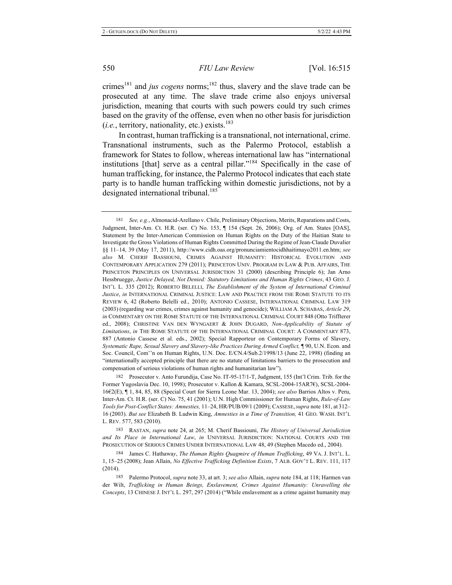crimes<sup>181</sup> and *jus cogens* norms;<sup>182</sup> thus, slavery and the slave trade can be prosecuted at any time. The slave trade crime also enjoys universal jurisdiction, meaning that courts with such powers could try such crimes based on the gravity of the offense, even when no other basis for jurisdiction  $(i.e.,$  territory, nationality, etc.) exists.<sup>183</sup>

In contrast, human trafficking is a transnational, not international, crime. Transnational instruments, such as the Palermo Protocol, establish a framework for States to follow, whereas international law has "international institutions [that] serve as a central pillar."<sup>184</sup> Specifically in the case of human trafficking, for instance, the Palermo Protocol indicates that each state party is to handle human trafficking within domestic jurisdictions, not by a designated international tribunal.<sup>185</sup>

181 *See, e.g., Almonacid-Arellano v. Chile, Preliminary Objections, Merits, Reparations and Costs,* Judgment, Inter-Am. Ct. H.R. (ser. C) No. 153, 1 154 (Sept. 26, 2006); Org. of Am. States [OAS], Statement by the Inter-American Commission on Human Rights on the Duty of the Haitian State to Investigate the Gross Violations of Human Rights Committed During the Regime of Jean-Claude Duvalier §§ 11-14, 39 (May 17, 2011), http://www.cidh.oas.org/pronunciamientocidhhaitimayo2011.en.htm; see also M. CHERIF BASSIOUNI, CRIMES AGAINST HUMANITY: HISTORICAL EVOLUTION AND CONTEMPORARY APPLICATION 279 (2011); PRINCETON UNIV. PROGRAM IN LAW & PUB. AFFAIRS, THE PRINCETON PRINCIPLES ON UNIVERSAL JURISDICTION 31 (2000) (describing Principle 6); Jan Arno Hessbruegge, Justice Delayed, Not Denied: Statutory Limitations and Human Rights Crimes, 43 GEO. J. INT'L L. 335 (2012); ROBERTO BELELLI, The Establishment of the System of International Criminal Justice, in INTERNATIONAL CRIMINAL JUSTICE: LAW AND PRACTICE FROM THE ROME STATUTE TO ITS REVIEW 6, 42 (Roberto Belelli ed., 2010); ANTONIO CASSESE, INTERNATIONAL CRIMINAL LAW 319 (2003) (regarding war crimes, crimes against humanity and genocide); WILLIAM A. SCHABAS, Article 29, *in* COMMENTARY ON THE ROME STATUTE OF THE INTERNATIONAL CRIMINAL COURT 848 (Otto Triffterer ed., 2008); CHRISTINE VAN DEN WYNGAERT & JOHN DUGARD, Non-Applicability of Statute of Limitations, in THE ROME STATUTE OF THE INTERNATIONAL CRIMINAL COURT: A COMMENTARY 873, 887 (Antonio Cassese et al. eds., 2002); Special Rapporteur on Contemporary Forms of Slavery, Systematic Rape, Sexual Slavery and Slavery-like Practices During Armed Conflict, ¶ 90, U.N. Econ. and Soc. Council, Com''n on Human Rights, U.N. Doc. E/CN.4/Sub.2/1998/13 (June 22, 1998) (finding an "internationally accepted principle that there are no statute of limitations barriers to the prosecution and compensation of serious violations of human rights and humanitarian law").

182 Prosecutor v. Anto Furundija, Case No. IT-95-17/1-T, Judgment, 155 (Int'l Crim. Trib. for the Former Yugoslavia Dec. 10, 1998); Prosecutor v. Kallon & Kamara, SCSL-2004-15AR7€), SCSL-2004-16 $E$ 2(E),  $\P$  1, 84, 85, 88 (Special Court for Sierra Leone Mar. 13, 2004); see also Barrios Altos v. Peru, Inter-Am. Ct. H.R. (ser. C) No. 75, 41 (2001); U.N. High Commissioner for Human Rights, *Rule-of-Law* Tools for Post-Conflict States: Amnesties, 11–24, HR/PUB/09/1 (2009); CASSESE, *supra* note 181, at 312– 16 (2003). But see Elizabeth B. Ludwin King, Amnesties in a Time of Transition, 41 GEO. WASH. INT'L L. REV. 577, 583 (2010).

183 RASTAN, supra note 24, at 265; M. Cherif Bassiouni, The History of Universal Jurisdiction and Its Place in International Law, in UNIVERSAL JURISDICTION: NATIONAL COURTS AND THE PROSECUTION OF SERIOUS CRIMES UNDER INTERNATIONAL LAW 48, 49 (Stephen Macedo ed., 2004).

184 James C. Hathaway, The Human Rights Quagmire of Human Trafficking, 49 VA. J. INT'L. L. 1, 15-25 (2008); Jean Allain, *No Effective Trafficking Definition Exists*, 7 ALB. GOV'T L. REV. 111, 117  $(2014).$ 

185 Palermo Protocol, *supra* note 33, at art. 3; see also Allain, *supra* note 184, at 118; Harmen van der Wilt, Trafficking in Human Beings, Enslavement, Crimes Against Humanity: Unravelling the Concepts, 13 CHINESE J. INT'L L. 297, 297 (2014) ("While enslavement as a crime against humanity may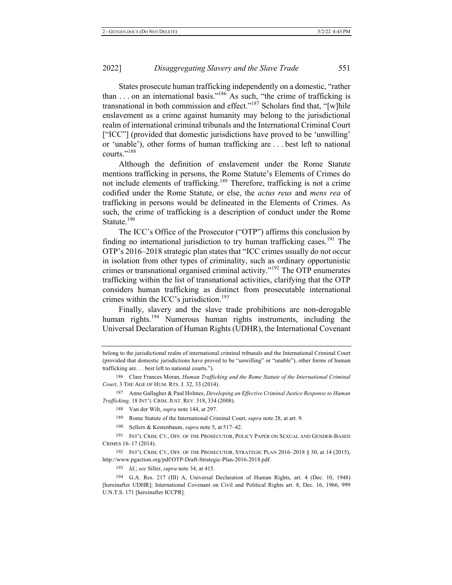States prosecute human trafficking independently on a domestic, "rather than ... on an international basis."<sup>186</sup> As such, "the crime of trafficking is transnational in both commission and effect."<sup>187</sup> Scholars find that, "[w]hile enslavement as a crime against humanity may belong to the jurisdictional realm of international criminal tribunals and the International Criminal Court ["ICC"] (provided that domestic jurisdictions have proved to be 'unwilling' or 'unable'), other forms of human trafficking are ... best left to national courts."<sup>188</sup>

Although the definition of enslavement under the Rome Statute mentions trafficking in persons, the Rome Statute's Elements of Crimes do not include elements of trafficking.<sup>189</sup> Therefore, trafficking is not a crime codified under the Rome Statute, or else, the *actus reus* and *mens rea* of trafficking in persons would be delineated in the Elements of Crimes. As such, the crime of trafficking is a description of conduct under the Rome Statute. $190$ 

The ICC's Office of the Prosecutor ("OTP") affirms this conclusion by finding no international jurisdiction to try human trafficking cases.<sup>191</sup> The OTP's 2016–2018 strategic plan states that "ICC crimes usually do not occur in isolation from other types of criminality, such as ordinary opportunistic crimes or transnational organised criminal activity."<sup>192</sup> The OTP enumerates trafficking within the list of transnational activities, clarifying that the OTP considers human trafficking as distinct from prosecutable international crimes within the ICC's jurisdiction.<sup>193</sup>

Finally, slavery and the slave trade prohibitions are non-derogable human rights.<sup>194</sup> Numerous human rights instruments, including the Universal Declaration of Human Rights (UDHR), the International Covenant

187 Anne Gallagher & Paul Holmes, *Developing an Effective Criminal Justice Response to Human Trafficking,* 18 INT'L CRIM. JUST. REV. 318, 334 (2008).

- 189 Rome Statute of the International Criminal Court, *supra* note 28, at art. 9.
- 190 Sellers & Kestenbaum, *supra* note 5, at 517-42.

191 INT'L CRIM. CT., OFF. OF THE PROSECUTOR, POLICY PAPER ON SEXUAL AND GENDER-BASED CRIMES 16-17 (2014).

192 INT'L CRIM. CT., OFF. OF THE PROSECUTOR, STRATEGIC PLAN 2016–2018 § 30, at 14 (2015), http://www.pgaction.org/pdf/OTP-Draft-Strategic-Plan-2016-2018.pdf.

193 *Id.*; see Siller, *supra* note 34, at 415.

194 G.A. Res. 217 (III) A, Universal Declaration of Human Rights, art. 4 (Dec. 10, 1948) [hereinafter UDHR]; International Covenant on Civil and Political Rights art. 8, Dec. 16, 1966, 999 U.N.T.S. 171 [hereinafter ICCPR].

belong to the jurisdictional realm of international criminal tribunals and the International Criminal Court (provided that domestic jurisdictions have proved to be "unwilling" or "unable"), other forms of human trafficking are... best left to national courts.").

<sup>186</sup> Clare Frances Moran, Human Trafficking and the Rome Statute of the International Criminal Court, 3 THE AGE OF HUM. RTS. J. 32, 33 (2014).

<sup>188</sup> Van der Wilt, *supra* note 144, at 297.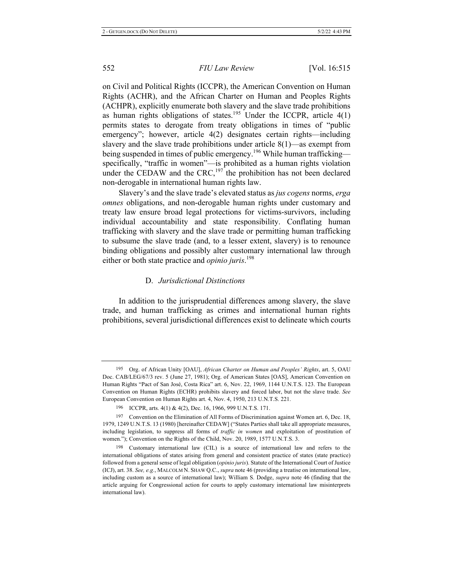on Civil and Political Rights (ICCPR), the American Convention on Human Rights (ACHR), and the African Charter on Human and Peoples Rights (ACHPR), explicitly enumerate both slavery and the slave trade prohibitions as human rights obligations of states.<sup>195</sup> Under the ICCPR, article  $4(1)$ permits states to derogate from treaty obligations in times of "public emergency"; however, article 4(2) designates certain rights—including slavery and the slave trade prohibitions under article  $8(1)$ —as exempt from being suspended in times of public emergency.<sup>196</sup> While human trafficking specifically, "traffic in women"-is prohibited as a human rights violation under the CEDAW and the CRC,<sup>197</sup> the prohibition has not been declared non-derogable in international human rights law.

Slavery's and the slave trade's elevated status as *jus cogens* norms, erga *omnes* obligations, and non-derogable human rights under customary and treaty law ensure broad legal protections for victims-survivors, including individual accountability and state responsibility. Conflating human trafficking with slavery and the slave trade or permitting human trafficking to subsume the slave trade (and, to a lesser extent, slavery) is to renounce binding obligations and possibly alter customary international law through either or both state practice and *opinio juris*.<sup>198</sup>

#### D. *Jurisdictional Distinctions*

In addition to the jurisprudential differences among slavery, the slave trade, and human trafficking as crimes and international human rights prohibitions, several jurisdictional differences exist to delineate which courts

<sup>195</sup> Org. of African Unity [OAU], African Charter on Human and Peoples' Rights, art. 5, OAU Doc. CAB/LEG/67/3 rev. 5 (June 27, 1981); Org. of American States [OAS], American Convention on Human Rights "Pact of San José, Costa Rica" art. 6, Nov. 22, 1969, 1144 U.N.T.S. 123. The European Convention on Human Rights (ECHR) prohibits slavery and forced labor, but not the slave trade. See European Convention on Human Rights art. 4, Nov. 4, 1950, 213 U.N.T.S. 221.

<sup>196</sup> ICCPR, arts. 4(1) & 4(2), Dec. 16, 1966, 999 U.N.T.S. 171.

<sup>197</sup> Convention on the Elimination of All Forms of Discrimination against Women art. 6, Dec. 18, 1979, 1249 U.N.T.S. 13 (1980) [hereinafter CEDAW] ("States Parties shall take all appropriate measures, including legislation, to suppress all forms of *traffic in women* and exploitation of prostitution of women."); Convention on the Rights of the Child, Nov. 20, 1989, 1577 U.N.T.S. 3.

<sup>198</sup> Customary international law (CIL) is a source of international law and refers to the international obligations of states arising from general and consistent practice of states (state practice) followed from a general sense of legal obligation (*opinio juris*). Statute of the International Court of Justice (ICJ), art. 38. See, e.g., MALCOLM N. SHAW Q.C., supra note 46 (providing a treatise on international law, including custom as a source of international law); William S. Dodge, *supra* note 46 (finding that the article arguing for Congressional action for courts to apply customary international law misinterprets international law).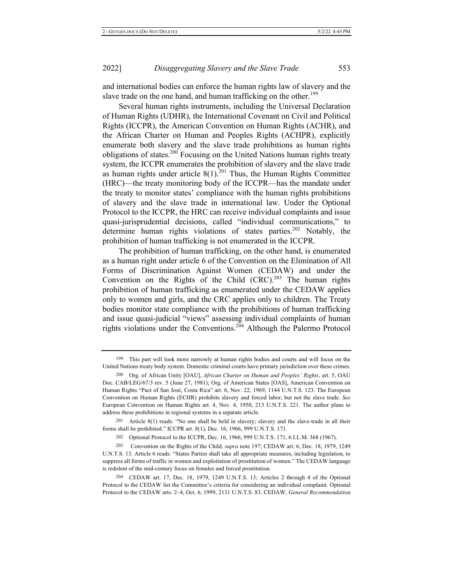and international bodies can enforce the human rights law of slavery and the slave trade on the one hand, and human trafficking on the other.<sup>199</sup>

Several human rights instruments, including the Universal Declaration of Human Rights (UDHR), the International Covenant on Civil and Political Rights (ICCPR), the American Convention on Human Rights (ACHR), and the African Charter on Human and Peoples Rights (ACHPR), explicitly enumerate both slavery and the slave trade prohibitions as human rights obligations of states.<sup>200</sup> Focusing on the United Nations human rights treaty system, the ICCPR enumerates the prohibition of slavery and the slave trade as human rights under article  $8(1).^{201}$  Thus, the Human Rights Committee (HRC)—the treaty monitoring body of the ICCPR—has the mandate under the treaty to monitor states' compliance with the human rights prohibitions of slavery and the slave trade in international law. Under the Optional Protocol to the ICCPR, the HRC can receive individual complaints and issue quasi-jurisprudential decisions, called "individual communications," to determine human rights violations of states parties.<sup>202</sup> Notably, the prohibition of human trafficking is not enumerated in the ICCPR.

The prohibition of human trafficking, on the other hand, is enumerated as a human right under article 6 of the Convention on the Elimination of All Forms of Discrimination Against Women (CEDAW) and under the Convention on the Rights of the Child  $(CRC)^{203}$  The human rights prohibition of human trafficking as enumerated under the CEDAW applies only to women and girls, and the CRC applies only to children. The Treaty bodies monitor state compliance with the prohibitions of human trafficking and issue quasi-judicial "views" assessing individual complaints of human rights violations under the Conventions.<sup>204</sup> Although the Palermo Protocol

<sup>199</sup> This part will look more narrowly at human rights bodies and courts and will focus on the United Nations treaty body system. Domestic criminal courts have primary jurisdiction over these crimes.

<sup>200</sup> Org. of African Unity [OAU], African Charter on Human and Peoples' Rights, art. 5, OAU Doc. CAB/LEG/67/3 rev. 5 (June 27, 1981); Org. of American States [OAS], American Convention on Human Rights "Pact of San José, Costa Rica" art. 6, Nov. 22, 1969, 1144 U.N.T.S. 123. The European Convention on Human Rights (ECHR) prohibits slavery and forced labor, but not the slave trade. See European Convention on Human Rights art. 4, Nov. 4, 1950, 213 U.N.T.S. 221. The author plans to address these prohibitions in regional systems in a separate article.

<sup>201</sup> Article  $8(1)$  reads: "No one shall be held in slavery; slavery and the slave-trade in all their forms shall be prohibited." ICCPR art. 8(1), Dec. 16, 1966, 999 U.N.T.S. 171.

<sup>202</sup> Optional Protocol to the ICCPR, Dec. 16, 1966, 999 U.N.T.S. 171, 6 I.L.M. 368 (1967).

<sup>203</sup> Convention on the Rights of the Child, *supra* note 197; CEDAW art. 6, Dec. 18, 1979, 1249 U.N.T.S. 13. Article 6 reads: "States Parties shall take all appropriate measures, including legislation, to suppress all forms of traffic in women and exploitation of prostitution of women." The CEDAW language is redolent of the mid-century focus on females and forced prostitution.

<sup>204</sup> CEDAW art. 17, Dec. 18, 1979, 1249 U.N.T.S. 13; Articles 2 through 4 of the Optional Protocol to the CEDAW list the Committee's criteria for considering an individual complaint. Optional Protocol to the CEDAW arts. 2-4, Oct. 6, 1999, 2131 U.N.T.S. 83. CEDAW, General Recommendation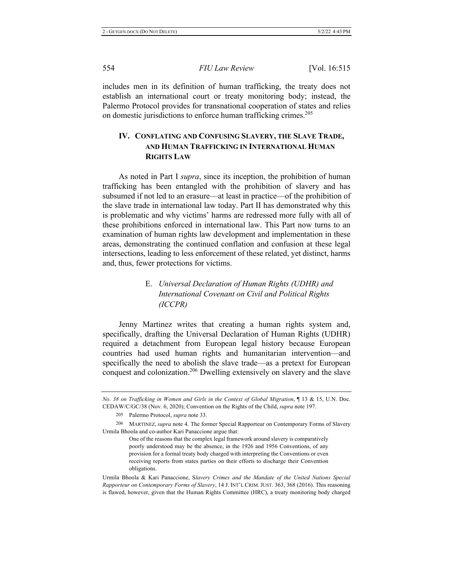includes men in its definition of human trafficking, the treaty does not establish an international court or treaty monitoring body; instead, the Palermo Protocol provides for transnational cooperation of states and relies on domestic jurisdictions to enforce human trafficking crimes.<sup>205</sup>

## IV. CONFLATING AND CONFUSING SLAVERY, THE SLAVE TRADE, AND HUMAN TRAFFICKING IN INTERNATIONAL HUMAN **RIGHTS LAW**

As noted in Part I *supra*, since its inception, the prohibition of human trafficking has been entangled with the prohibition of slavery and has subsumed if not led to an erasure—at least in practice—of the prohibition of the slave trade in international law today. Part II has demonstrated why this is problematic and why victims' harms are redressed more fully with all of these prohibitions enforced in international law. This Part now turns to an examination of human rights law development and implementation in these areas, demonstrating the continued conflation and confusion at these legal intersections, leading to less enforcement of these related, yet distinct, harms and, thus, fewer protections for victims.

## E. Universal Declaration of Human Rights (UDHR) and International Covenant on Civil and Political Rights *-*

Jenny Martinez writes that creating a human rights system and, specifically, drafting the Universal Declaration of Human Rights (UDHR) required a detachment from European legal history because European countries had used human rights and humanitarian intervention—and specifically the need to abolish the slave trade—as a pretext for European conquest and colonization.<sup>206</sup> Dwelling extensively on slavery and the slave

*No. 38 on Trafficking in Women and Girls in the Context of Global Migration*, 13 & 15, U.N. Doc. CEDAW/C/GC/38 (Nov. 6, 2020); Convention on the Rights of the Child, *supra* note 197.

<sup>205</sup> Palermo Protocol, *supra* note 33.

<sup>206</sup> MARTINEZ, *supra* note 4. The former Special Rapporteur on Contemporary Forms of Slavery Urmila Bhoola and co-author Kari Panaccione argue that:

One of the reasons that the complex legal framework around slavery is comparatively poorly understood may be the absence, in the 1926 and 1956 Conventions, of any provision for a formal treaty body charged with interpreting the Conventions or even receiving reports from states parties on their efforts to discharge their Convention obligations.

Urmila Bhoola & Kari Panaccione, Slavery Crimes and the Mandate of the United Nations Special Rapporteur on Contemporary Forms of Slavery, 14 J. INT'L CRIM. JUST. 363, 368 (2016). This reasoning is flawed, however, given that the Human Rights Committee (HRC), a treaty monitoring body charged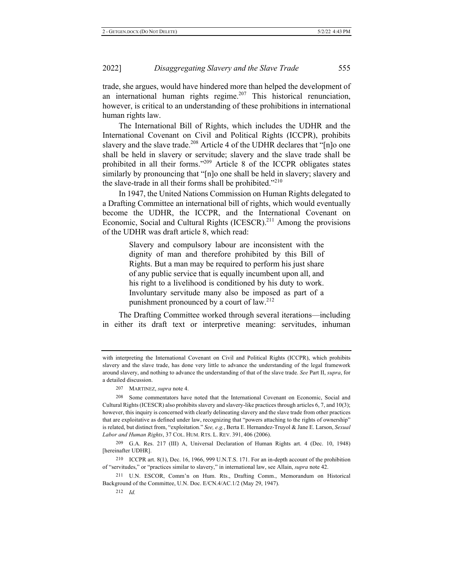trade, she argues, would have hindered more than helped the development of an international human rights regime.<sup>207</sup> This historical renunciation, however, is critical to an understanding of these prohibitions in international human rights law.

The International Bill of Rights, which includes the UDHR and the International Covenant on Civil and Political Rights (ICCPR), prohibits slavery and the slave trade.<sup>208</sup> Article 4 of the UDHR declares that "[n]o one shall be held in slavery or servitude; slavery and the slave trade shall be prohibited in all their forms."<sup>209</sup> Article 8 of the ICCPR obligates states similarly by pronouncing that "[n]o one shall be held in slavery; slavery and the slave-trade in all their forms shall be prohibited."<sup>210</sup>

In 1947, the United Nations Commission on Human Rights delegated to a Drafting Committee an international bill of rights, which would eventually become the UDHR, the ICCPR, and the International Covenant on Economic, Social and Cultural Rights (ICESCR).<sup>211</sup> Among the provisions of the UDHR was draft article 8, which read:

> Slavery and compulsory labour are inconsistent with the dignity of man and therefore prohibited by this Bill of Rights. But a man may be required to perform his just share of any public service that is equally incumbent upon all, and his right to a livelihood is conditioned by his duty to work. Involuntary servitude many also be imposed as part of a punishment pronounced by a court of  $law.^{212}$

The Drafting Committee worked through several iterations—including in either its draft text or interpretive meaning: servitudes, inhuman

with interpreting the International Covenant on Civil and Political Rights (ICCPR), which prohibits slavery and the slave trade, has done very little to advance the understanding of the legal framework around slavery, and nothing to advance the understanding of that of the slave trade. See Part II, supra, for a detailed discussion.

<sup>207</sup> MARTINEZ, *supra* note 4.

<sup>208</sup> Some commentators have noted that the International Covenant on Economic, Social and Cultural Rights (ICESCR) also prohibits slavery and slavery-like practices through articles 6, 7, and 10(3); however, this inquiry is concerned with clearly delineating slavery and the slave trade from other practices that are exploitative as defined under law, recognizing that "powers attaching to the rights of ownership" is related, but distinct from, "exploitation." See, e.g., Berta E. Hernandez-Truyol & Jane E. Larson, Sexual Labor and Human Rights, 37 COL. HUM. RTS. L. REV. 391, 406 (2006).

<sup>209</sup> G.A. Res. 217 (III) A, Universal Declaration of Human Rights art. 4 (Dec. 10, 1948) [hereinafter UDHR].

 $210$  ICCPR art.  $8(1)$ , Dec. 16, 1966, 999 U.N.T.S. 171. For an in-depth account of the prohibition of "servitudes," or "practices similar to slavery," in international law, see Allain, *supra* note 42.

<sup>211</sup> U.N. ESCOR, Comm'n on Hum. Rts., Drafting Comm., Memorandum on Historical Background of the Committee, U.N. Doc. E/CN.4/AC.1/2 (May 29, 1947).

 $212$  *Id.*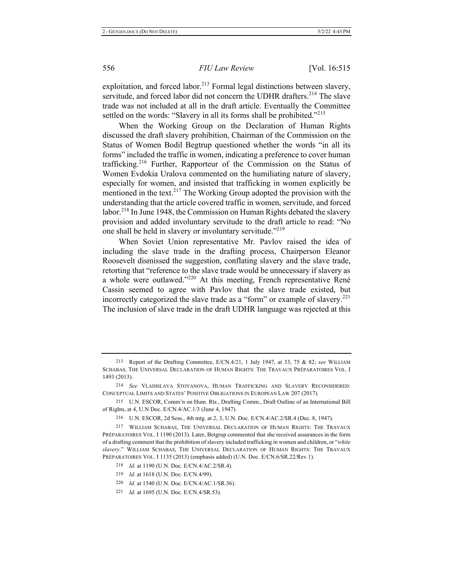exploitation, and forced labor.<sup>213</sup> Formal legal distinctions between slavery, servitude, and forced labor did not concern the UDHR drafters.<sup>214</sup> The slave trade was not included at all in the draft article. Eventually the Committee settled on the words: "Slavery in all its forms shall be prohibited."<sup>215</sup>

When the Working Group on the Declaration of Human Rights discussed the draft slavery prohibition, Chairman of the Commission on the Status of Women Bodil Begtrup questioned whether the words "in all its forms" included the traffic in women, indicating a preference to cover human trafficking.<sup>216</sup> Further, Rapporteur of the Commission on the Status of Women Evdokia Uralova commented on the humiliating nature of slavery, especially for women, and insisted that trafficking in women explicitly be mentioned in the text.<sup>217</sup> The Working Group adopted the provision with the understanding that the article covered traffic in women, servitude, and forced labor.<sup>218</sup> In June 1948, the Commission on Human Rights debated the slavery provision and added involuntary servitude to the draft article to read: "No one shall be held in slavery or involuntary servitude."<sup>219</sup>

When Soviet Union representative Mr. Pavlov raised the idea of including the slave trade in the drafting process, Chairperson Eleanor Roosevelt dismissed the suggestion, conflating slavery and the slave trade, retorting that "reference to the slave trade would be unnecessary if slavery as a whole were outlawed."<sup>220</sup> At this meeting, French representative René Cassin seemed to agree with Pavlov that the slave trade existed, but incorrectly categorized the slave trade as a "form" or example of slavery.<sup>221</sup> The inclusion of slave trade in the draft UDHR language was rejected at this

<sup>213</sup> Report of the Drafting Committee, E/CN.4/21, 1 July 1947, at 33, 75 & 82; see WILLIAM SCHABAS, THE UNIVERSAL DECLARATION OF HUMAN RIGHTS: THE TRAVAUX PRÉPARATOIRES VOL. I 1493 (2013).

<sup>214</sup> See VLADISLAVA STOYANOVA, HUMAN TRAFFICKING AND SLAVERY RECONSIDERED: CONCEPTUAL LIMITS AND STATES' POSITIVE OBLIGATIONS IN EUROPEAN LAW 207 (2017).

<sup>215</sup> U.N. ESCOR, Comm'n on Hum. Rts., Drafting Comm., Draft Outline of an International Bill of Rights, at 4, U.N Doc. E/CN.4/AC.1/3 (June 4, 1947).

<sup>216</sup> U.N. ESCOR, 2d Sess., 4th mtg. at 2, 3, U.N. Doc. E/CN.4/AC.2/SR.4 (Dec. 8, 1947).

<sup>217</sup> WILLIAM SCHABAS, THE UNIVERSAL DECLARATION OF HUMAN RIGHTS: THE TRAVAUX PRÉPARATOIRES VOL. I 1190 (2013). Later, Betgrup commented that she received assurances in the form of a drafting comment that the prohibition of slavery included trafficking in women and children, or "white slavery." WILLIAM SCHABAS, THE UNIVERSAL DECLARATION OF HUMAN RIGHTS: THE TRAVAUX PRÉPARATOIRES VOL. I 1135 (2013) (emphasis added) (U.N. Doc. E/CN.6/SR.22/Rev.1).

<sup>218</sup> *Id.* at 1190 (U.N. Doc. E/CN.4/AC.2/SR.4).

<sup>219</sup> *Id.* at 1618 (U.N. Doc. E/CN.4/99).

<sup>220</sup> *Id.* at 1540 (U.N. Doc. E/CN.4/AC.1/SR.36).

<sup>221</sup> *Id.* at 1695 (U.N. Doc. E/CN.4/SR.53).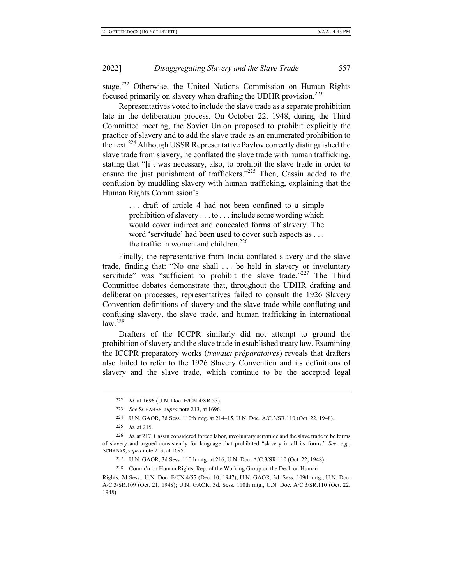stage.<sup>222</sup> Otherwise, the United Nations Commission on Human Rights focused primarily on slavery when drafting the UDHR provision.<sup>223</sup>

Representatives voted to include the slave trade as a separate prohibition late in the deliberation process. On October 22, 1948, during the Third Committee meeting, the Soviet Union proposed to prohibit explicitly the practice of slavery and to add the slave trade as an enumerated prohibition to the text.<sup>224</sup> Although USSR Representative Pavlov correctly distinguished the slave trade from slavery, he conflated the slave trade with human trafficking, stating that "[i]t was necessary, also, to prohibit the slave trade in order to ensure the just punishment of traffickers." $225$  Then, Cassin added to the confusion by muddling slavery with human trafficking, explaining that the Human Rights Commission's

> $\ldots$  draft of article 4 had not been confined to a simple prohibition of slavery . . . to . . . include some wording which would cover indirect and concealed forms of slavery. The word 'servitude' had been used to cover such aspects as ... the traffic in women and children.<sup>226</sup>

Finally, the representative from India conflated slavery and the slave trade, finding that: "No one shall ... be held in slavery or involuntary servitude" was "sufficient to prohibit the slave trade."<sup>227</sup> The Third Committee debates demonstrate that, throughout the UDHR drafting and deliberation processes, representatives failed to consult the 1926 Slavery Convention definitions of slavery and the slave trade while conflating and confusing slavery, the slave trade, and human trafficking in international  $law.<sup>228</sup>$ 

Drafters of the ICCPR similarly did not attempt to ground the prohibition of slavery and the slave trade in established treaty law. Examining the ICCPR preparatory works (travaux préparatoires) reveals that drafters also failed to refer to the 1926 Slavery Convention and its definitions of slavery and the slave trade, which continue to be the accepted legal

225 *Id.* at 215.

228 Comm'n on Human Rights, Rep. of the Working Group on the Decl. on Human

Rights, 2d Sess., U.N. Doc. E/CN.4/57 (Dec. 10, 1947); U.N. GAOR, 3d. Sess. 109th mtg., U.N. Doc. A/C.3/SR.109 (Oct. 21, 1948); U.N. GAOR, 3d. Sess. 110th mtg., U.N. Doc. A/C.3/SR.110 (Oct. 22, 1948).

<sup>222</sup> *Id.* at 1696 (U.N. Doc. E/CN.4/SR.53).

<sup>223</sup> See SCHABAS, *supra* note 213, at 1696.

<sup>224</sup> U.N. GAOR, 3d Sess. 110th mtg. at 214–15, U.N. Doc. A/C.3/SR.110 (Oct. 22, 1948).

<sup>226</sup> *Id.* at 217. Cassin considered forced labor, involuntary servitude and the slave trade to be forms of slavery and argued consistently for language that prohibited "slavery in all its forms." See, e.g., SCHABAS, *supra* note 213, at 1695.

<sup>227</sup> U.N. GAOR, 3d Sess. 110th mtg. at 216, U.N. Doc. A/C.3/SR.110 (Oct. 22, 1948).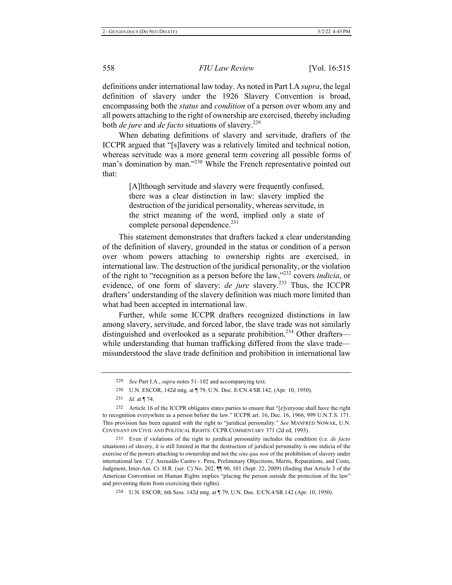definitions under international law today. As noted in Part I.A *supra*, the legal definition of slavery under the 1926 Slavery Convention is broad, encompassing both the *status* and *condition* of a person over whom any and all powers attaching to the right of ownership are exercised, thereby including both *de jure* and *de facto* situations of slavery.<sup>229</sup>

When debating definitions of slavery and servitude, drafters of the ICCPR argued that "[s]lavery was a relatively limited and technical notion, whereas servitude was a more general term covering all possible forms of man's domination by man."<sup>230</sup> While the French representative pointed out that:

> [A]lthough servitude and slavery were frequently confused, there was a clear distinction in law: slavery implied the destruction of the juridical personality, whereas servitude, in the strict meaning of the word, implied only a state of complete personal dependence.<sup>231</sup>

This statement demonstrates that drafters lacked a clear understanding of the definition of slavery, grounded in the status or condition of a person over whom powers attaching to ownership rights are exercised, in international law. The destruction of the juridical personality, or the violation of the right to "recognition as a person before the law,"<sup>232</sup> covers *indicia*, or evidence, of one form of slavery: *de jure* slavery.<sup>233</sup> Thus, the ICCPR drafters' understanding of the slavery definition was much more limited than what had been accepted in international law.

Further, while some ICCPR drafters recognized distinctions in law among slavery, servitude, and forced labor, the slave trade was not similarly distinguished and overlooked as a separate prohibition.<sup>234</sup> Other drafterswhile understanding that human trafficking differed from the slave trademisunderstood the slave trade definition and prohibition in international law

233 Even if violations of the right to juridical personality includes the condition (i.e. *de facto* situations) of slavery, it is still limited in that the destruction of juridical personality is one indicia of the exercise of the powers attaching to ownership and not the *sine qua non* of the prohibition of slavery under international law. C.f. Anzualdo Castro v. Peru, Preliminary Objections, Merits, Reparations, and Costs, Judgment, Inter-Am. Ct. H.R. (ser. C) No. 202,  $\P\P$  90, 101 (Sept. 22, 2009) (finding that Article 3 of the American Convention on Human Rights implies "placing the person outside the protection of the law" and preventing them from exercising their rights).

234 U.N. ESCOR, 6th Sess. 142d mtg. at  $\P$  79, U.N. Doc. E/CN.4/SR.142 (Apr. 10, 1950).

<sup>229</sup> See Part I.A., *supra* notes 51–102 and accompanying text.

<sup>230</sup> U.N. ESCOR, 142d mtg. at ¶ 79, U.N. Doc. E/CN.4/SR.142, (Apr. 10, 1950).

<sup>231</sup> *Id.* at | 74.

<sup>232</sup> Article 16 of the ICCPR obligates states parties to ensure that "[e]veryone shall have the right to recognition everywhere as a person before the law." ICCPR art. 16, Dec. 16, 1966, 999 U.N.T.S. 171. This provision has been equated with the right to "juridical personality." See MANFRED NOWAK, U.N. COVENANT ON CIVIL AND POLITICAL RIGHTS: CCPR COMMENTARY 371 (2d ed, 1993).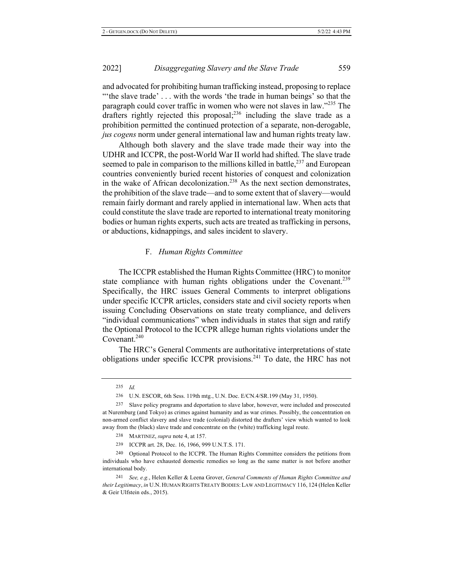and advocated for prohibiting human trafficking instead, proposing to replace "the slave trade'... with the words 'the trade in human beings' so that the paragraph could cover traffic in women who were not slaves in law."<sup>235</sup> The drafters rightly rejected this proposal;<sup>236</sup> including the slave trade as a prohibition permitted the continued protection of a separate, non-derogable, jus cogens norm under general international law and human rights treaty law.

Although both slavery and the slave trade made their way into the UDHR and ICCPR, the post-World War II world had shifted. The slave trade seemed to pale in comparison to the millions killed in battle,  $237$  and European countries conveniently buried recent histories of conquest and colonization in the wake of African decolonization.<sup>238</sup> As the next section demonstrates, the prohibition of the slave trade—and to some extent that of slavery—would remain fairly dormant and rarely applied in international law. When acts that could constitute the slave trade are reported to international treaty monitoring bodies or human rights experts, such acts are treated as trafficking in persons, or abductions, kidnappings, and sales incident to slavery.

#### F. Human Rights Committee

The ICCPR established the Human Rights Committee (HRC) to monitor state compliance with human rights obligations under the Covenant.<sup>239</sup> Specifically, the HRC issues General Comments to interpret obligations under specific ICCPR articles, considers state and civil society reports when issuing Concluding Observations on state treaty compliance, and delivers "individual communications" when individuals in states that sign and ratify the Optional Protocol to the ICCPR allege human rights violations under the Covenant. $240$ 

The HRC's General Comments are authoritative interpretations of state obligations under specific ICCPR provisions.<sup>241</sup> To date, the HRC has not

<sup>241</sup> *See, e.g.*, Helen Keller & Leena Grover, General Comments of Human Rights Committee and their Legitimacy, in U.N. HUMAN RIGHTS TREATY BODIES: LAW AND LEGITIMACY 116, 124 (Helen Keller & Geir Ulfstein eds., 2015).

<sup>235</sup> *Id.* 

<sup>236</sup> U.N. ESCOR, 6th Sess. 119th mtg., U.N. Doc. E/CN.4/SR.199 (May 31, 1950).

<sup>237</sup> Slave policy programs and deportation to slave labor, however, were included and prosecuted at Nuremburg (and Tokyo) as crimes against humanity and as war crimes. Possibly, the concentration on non-armed conflict slavery and slave trade (colonial) distorted the drafters' view which wanted to look away from the (black) slave trade and concentrate on the (white) trafficking legal route.

<sup>238</sup> MARTINEZ, *supra* note 4, at 157.

<sup>239</sup> ICCPR art. 28, Dec. 16, 1966, 999 U.N.T.S. 171.

<sup>240</sup> Optional Protocol to the ICCPR. The Human Rights Committee considers the petitions from individuals who have exhausted domestic remedies so long as the same matter is not before another international body.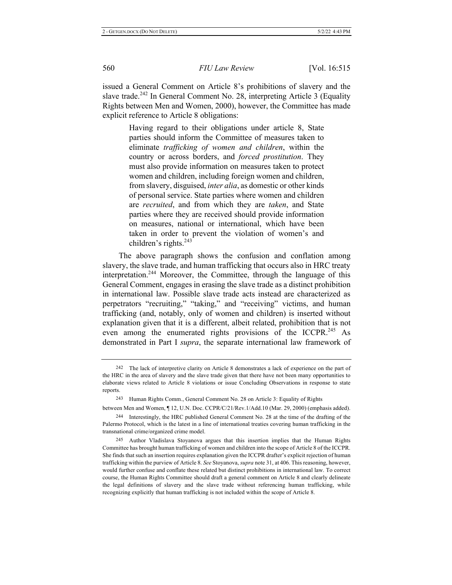issued a General Comment on Article 8's prohibitions of slavery and the slave trade.<sup>242</sup> In General Comment No. 28, interpreting Article 3 (Equality Rights between Men and Women, 2000), however, the Committee has made explicit reference to Article 8 obligations:

> Having regard to their obligations under article 8, State parties should inform the Committee of measures taken to  $eliminate$  *trafficking of women and children*, within the country or across borders, and *forced prostitution*. They must also provide information on measures taken to protect women and children, including foreign women and children, from slavery, disguised, *inter alia*, as domestic or other kinds of personal service. State parties where women and children are recruited, and from which they are taken, and State parties where they are received should provide information on measures, national or international, which have been taken in order to prevent the violation of women's and children's rights. $243$

The above paragraph shows the confusion and conflation among slavery, the slave trade, and human trafficking that occurs also in HRC treaty interpretation.<sup>244</sup> Moreover, the Committee, through the language of this General Comment, engages in erasing the slave trade as a distinct prohibition in international law. Possible slave trade acts instead are characterized as perpetrators "recruiting," "taking," and "receiving" victims, and human trafficking (and, notably, only of women and children) is inserted without explanation given that it is a different, albeit related, prohibition that is not even among the enumerated rights provisions of the ICCPR.<sup>245</sup> As demonstrated in Part I *supra*, the separate international law framework of

<sup>&</sup>lt;sup>242</sup> The lack of interpretive clarity on Article 8 demonstrates a lack of experience on the part of the HRC in the area of slavery and the slave trade given that there have not been many opportunities to elaborate views related to Article 8 violations or issue Concluding Observations in response to state reports.

<sup>243</sup> Human Rights Comm., General Comment No. 28 on Article 3: Equality of Rights

between Men and Women,  $\P$  12, U.N. Doc. CCPR/C/21/Rev.1/Add.10 (Mar. 29, 2000) (emphasis added). 244 Interestingly, the HRC published General Comment No. 28 at the time of the drafting of the Palermo Protocol, which is the latest in a line of international treaties covering human trafficking in the transnational crime/organized crime model.

<sup>245</sup> Author Vladislava Stoyanova argues that this insertion implies that the Human Rights Committee has brought human trafficking of women and children into the scope of Article 8 of the ICCPR. She finds that such an insertion requires explanation given the ICCPR drafter's explicit rejection of human trafficking within the purview of Article 8. See Stoyanova, *supra* note 31, at 406. This reasoning, however, would further confuse and conflate these related but distinct prohibitions in international law. To correct course, the Human Rights Committee should draft a general comment on Article 8 and clearly delineate the legal definitions of slavery and the slave trade without referencing human trafficking, while recognizing explicitly that human trafficking is not included within the scope of Article 8.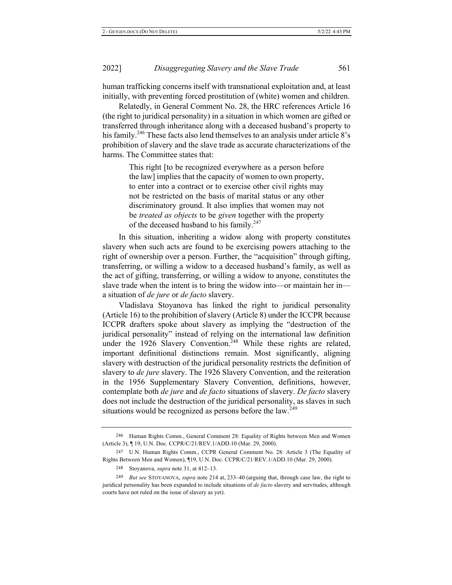human trafficking concerns itself with transnational exploitation and, at least initially, with preventing forced prostitution of (white) women and children.

Relatedly, in General Comment No. 28, the HRC references Article 16 (the right to juridical personality) in a situation in which women are gifted or transferred through inheritance along with a deceased husband's property to his family.<sup>246</sup> These facts also lend themselves to an analysis under article 8's prohibition of slavery and the slave trade as accurate characterizations of the harms. The Committee states that:

> This right [to be recognized everywhere as a person before the law] implies that the capacity of women to own property, to enter into a contract or to exercise other civil rights may not be restricted on the basis of marital status or any other discriminatory ground. It also implies that women may not be treated as objects to be given together with the property of the deceased husband to his family.<sup>247</sup>

In this situation, inheriting a widow along with property constitutes slavery when such acts are found to be exercising powers attaching to the right of ownership over a person. Further, the "acquisition" through gifting, transferring, or willing a widow to a deceased husband's family, as well as the act of gifting, transferring, or willing a widow to anyone, constitutes the slave trade when the intent is to bring the widow into—or maintain her in a situation of *de jure* or *de facto* slavery.

Vladislava Stoyanova has linked the right to juridical personality (Article 16) to the prohibition of slavery (Article 8) under the ICCPR because ICCPR drafters spoke about slavery as implying the "destruction of the juridical personality" instead of relying on the international law definition under the 1926 Slavery Convention.<sup>248</sup> While these rights are related, important definitional distinctions remain. Most significantly, aligning slavery with destruction of the juridical personality restricts the definition of slavery to *de jure* slavery. The 1926 Slavery Convention, and the reiteration in the 1956 Supplementary Slavery Convention, definitions, however, contemplate both *de jure* and *de facto* situations of slavery. De facto slavery does not include the destruction of the juridical personality, as slaves in such situations would be recognized as persons before the law.<sup>249</sup>

<sup>246</sup> Human Rights Comm., General Comment 28: Equality of Rights between Men and Women (Article 3), 19, U.N. Doc. CCPR/C/21/REV.1/ADD.10 (Mar. 29, 2000).

<sup>247</sup> U.N. Human Rights Comm., CCPR General Comment No. 28: Article 3 (The Equality of Rights Between Men and Women), 19, U.N. Doc. CCPR/C/21/REV.1/ADD.10 (Mar. 29, 2000).

<sup>248</sup> Stoyanova, *supra* note 31, at 412–13.

 $^{249}$  *But see* STOYANOVA, *supra* note 214 at, 233–40 (arguing that, through case law, the right to juridical personality has been expanded to include situations of *de facto* slavery and servitudes, although courts have not ruled on the issue of slavery as yet).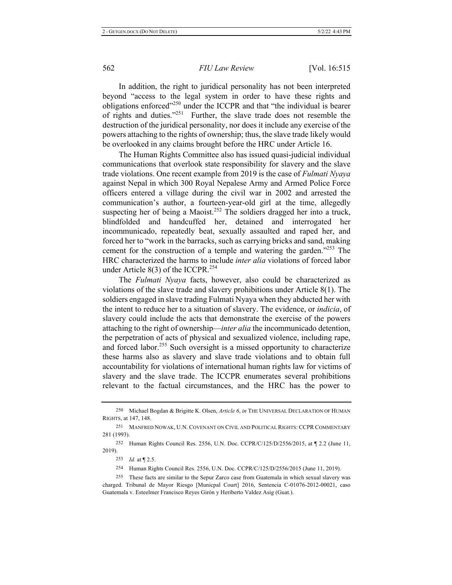In addition, the right to juridical personality has not been interpreted beyond "access to the legal system in order to have these rights and obligations enforced"<sup>250</sup> under the ICCPR and that "the individual is bearer of rights and duties."<sup>251</sup> Further, the slave trade does not resemble the destruction of the juridical personality, nor does it include any exercise of the powers attaching to the rights of ownership; thus, the slave trade likely would be overlooked in any claims brought before the HRC under Article 16.

The Human Rights Committee also has issued quasi-judicial individual communications that overlook state responsibility for slavery and the slave trade violations. One recent example from 2019 is the case of *Fulmati Nyaya* against Nepal in which 300 Royal Nepalese Army and Armed Police Force officers entered a village during the civil war in 2002 and arrested the communication's author, a fourteen-year-old girl at the time, allegedly suspecting her of being a Maoist.<sup>252</sup> The soldiers dragged her into a truck, blindfolded and handcuffed her, detained and interrogated her incommunicado, repeatedly beat, sexually assaulted and raped her, and forced her to "work in the barracks, such as carrying bricks and sand, making cement for the construction of a temple and watering the garden."<sup>253</sup> The HRC characterized the harms to include *inter alia* violations of forced labor under Article  $8(3)$  of the ICCPR.<sup>254</sup>

The Fulmati Nyaya facts, however, also could be characterized as violations of the slave trade and slavery prohibitions under Article  $8(1)$ . The soldiers engaged in slave trading Fulmati Nyaya when they abducted her with the intent to reduce her to a situation of slavery. The evidence, or *indicia*, of slavery could include the acts that demonstrate the exercise of the powers attaching to the right of ownership—*inter alia* the incommunicado detention, the perpetration of acts of physical and sexualized violence, including rape, and forced labor.<sup>255</sup> Such oversight is a missed opportunity to characterize these harms also as slavery and slave trade violations and to obtain full accountability for violations of international human rights law for victims of slavery and the slave trade. The ICCPR enumerates several prohibitions relevant to the factual circumstances, and the HRC has the power to

<sup>250</sup> Michael Bogdan & Brigitte K. Olsen, *Article 6, in* THE UNIVERSAL DECLARATION OF HUMAN RIGHTS, at 147, 148.

<sup>251</sup> MANFRED NOWAK, U.N. COVENANT ON CIVIL AND POLITICAL RIGHTS: CCPR COMMENTARY 281 (1993).

<sup>252</sup> Human Rights Council Res. 2556, U.N. Doc. CCPR/C/125/D/2556/2015, at  $\P$  2.2 (June 11, 2019).

<sup>253</sup> *Id.* at 12.5.

<sup>254</sup> Human Rights Council Res. 2556, U.N. Doc. CCPR/C/125/D/2556/2015 (June 11, 2019).

<sup>255</sup> These facts are similar to the Sepur Zarco case from Guatemala in which sexual slavery was charged. Tribunal de Mayor Riesgo [Municpal Court] 2016, Sentencia C-01076-2012-00021, caso Guatemala v. Esteelmer Francisco Reyes Girón y Heriberto Valdez Asig (Guat.).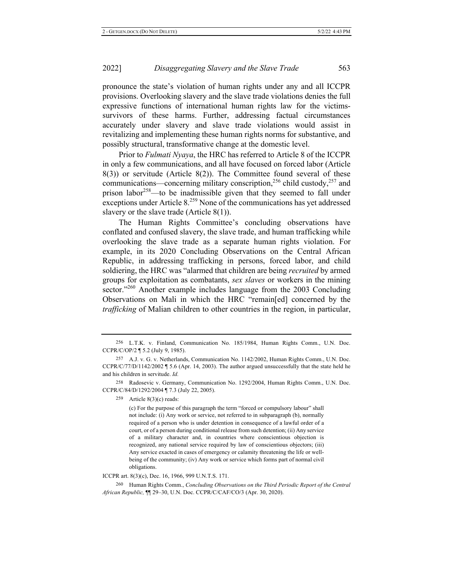pronounce the state's violation of human rights under any and all ICCPR provisions. Overlooking slavery and the slave trade violations denies the full expressive functions of international human rights law for the victimssurvivors of these harms. Further, addressing factual circumstances accurately under slavery and slave trade violations would assist in revitalizing and implementing these human rights norms for substantive, and possibly structural, transformative change at the domestic level.

Prior to *Fulmati Nyaya*, the HRC has referred to Article 8 of the ICCPR in only a few communications, and all have focused on forced labor (Article  $(3)$ ) or servitude (Article  $(8(2))$ ). The Committee found several of these communications—concerning military conscription,<sup>256</sup> child custody,<sup>257</sup> and prison labor<sup>258</sup>—to be inadmissible given that they seemed to fall under exceptions under Article  $8.^{259}$  None of the communications has yet addressed slavery or the slave trade (Article  $8(1)$ ).

The Human Rights Committee's concluding observations have conflated and confused slavery, the slave trade, and human trafficking while overlooking the slave trade as a separate human rights violation. For example, in its 2020 Concluding Observations on the Central African Republic, in addressing trafficking in persons, forced labor, and child soldiering, the HRC was "alarmed that children are being *recruited* by armed groups for exploitation as combatants, sex slaves or workers in the mining sector."<sup>260</sup> Another example includes language from the 2003 Concluding Observations on Mali in which the HRC "remain[ed] concerned by the *trafficking* of Malian children to other countries in the region, in particular,

259 Article  $8(3)(c)$  reads:

(c) For the purpose of this paragraph the term "forced or compulsory labour" shall not include: (i) Any work or service, not referred to in subparagraph (b), normally required of a person who is under detention in consequence of a lawful order of a court, or of a person during conditional release from such detention; (ii) Any service of a military character and, in countries where conscientious objection is recognized, any national service required by law of conscientious objectors; (iii) Any service exacted in cases of emergency or calamity threatening the life or wellbeing of the community; (iv) Any work or service which forms part of normal civil obligations.

ICCPR art. 8(3)(c), Dec. 16, 1966, 999 U.N.T.S. 171.

260 Human Rights Comm., Concluding Observations on the Third Periodic Report of the Central *African Republic*,  $\P$  29–30, U.N. Doc. CCPR/C/CAF/CO/3 (Apr. 30, 2020).

<sup>256</sup> L.T.K. v. Finland, Communication No. 185/1984, Human Rights Comm., U.N. Doc.  $CCPR/C/OP/2 \P 5.2$  (July 9, 1985).

<sup>257</sup> A.J. v. G. v. Netherlands, Communication No. 1142/2002, Human Rights Comm., U.N. Doc. CCPR/C/77/D/1142/2002  $\parallel$  5.6 (Apr. 14, 2003). The author argued unsuccessfully that the state held he and his children in servitude. Id.

<sup>258</sup> Radosevic v. Germany, Communication No. 1292/2004, Human Rights Comm., U.N. Doc. CCPR/C/84/D/1292/2004 ¶ 7.3 (July 22, 2005).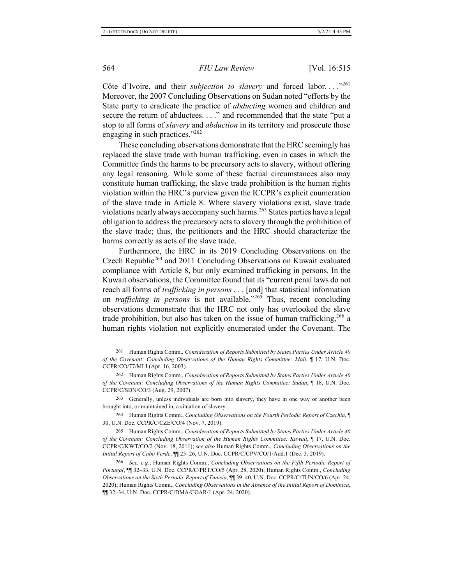Côte d'Ivoire, and their *subjection to slavery* and forced labor...."<sup>261</sup> Moreover, the 2007 Concluding Observations on Sudan noted "efforts by the State party to eradicate the practice of *abducting* women and children and secure the return of abductees. . . ." and recommended that the state "put a stop to all forms of *slavery* and *abduction* in its territory and prosecute those engaging in such practices." $^{262}$ 

These concluding observations demonstrate that the HRC seemingly has replaced the slave trade with human trafficking, even in cases in which the Committee finds the harms to be precursory acts to slavery, without offering any legal reasoning. While some of these factual circumstances also may constitute human trafficking, the slave trade prohibition is the human rights violation within the HRC's purview given the ICCPR's explicit enumeration of the slave trade in Article 8. Where slavery violations exist, slave trade violations nearly always accompany such harms.<sup>263</sup> States parties have a legal obligation to address the precursory acts to slavery through the prohibition of the slave trade; thus, the petitioners and the HRC should characterize the harms correctly as acts of the slave trade.

Furthermore, the HRC in its 2019 Concluding Observations on the Czech Republic<sup>264</sup> and 2011 Concluding Observations on Kuwait evaluated compliance with Article 8, but only examined trafficking in persons. In the Kuwait observations, the Committee found that its "current penal laws do not reach all forms of *trafficking in persons* . . . [and] that statistical information on *trafficking in persons* is not available."<sup>265</sup> Thus, recent concluding observations demonstrate that the HRC not only has overlooked the slave trade prohibition, but also has taken on the issue of human trafficking,  $266$  a human rights violation not explicitly enumerated under the Covenant. The

<sup>262</sup> Human Rights Comm., *Consideration of Reports Submitted by States Parties Under Article 40* of the Covenant: Concluding Observations of the Human Rights Committee: Sudan, ¶ 18, U.N. Doc. CCPR/C/SDN/CO/3 (Aug. 29, 2007).

263 Generally, unless individuals are born into slavery, they have in one way or another been brought into, or maintained in, a situation of slavery.

<sup>264</sup> Human Rights Comm., *Concluding Observations on the Fourth Periodic Report of Czechia*, 30, U.N. Doc. CCPR/C/CZE/CO/4 (Nov. 7, 2019).

<sup>265</sup> Human Rights Comm., *Consideration of Reports Submitted by States Parties Under Article 40 of the Covenant: Concluding Observation of the Human Rights Committee: Kuwait,*  $\P$  17, U.N. Doc. CCPR/C/KWT/CO/2 (Nov. 18, 2011); see also Human Rights Comm., *Concluding Observations on the Initial Report of Cabo Verde*, *[[[ 25–26, U.N. Doc. CCPR/C/CPV/CO/1/Add.1 (Dec. 3, 2019).* 

<sup>261</sup> Human Rights Comm., Consideration of Reports Submitted by States Parties Under Article 40 *of the Covenant: Concluding Observations of the Human Rights Committee: Mali,* 17, U.N. Doc. CCPR/CO/77/MLI (Apr. 16, 2003).

<sup>266</sup> See, e.g., Human Rights Comm., Concluding Observations on the Fifth Periodic Report of Portugal, *[[[ 32–33, U.N. Doc. CCPR/C/PRT/CO/5 (Apr. 28, 2020)*; Human Rights Comm., *Concluding* Observations on the Sixth Periodic Report of Tunisia,  $\P\P$  39–40, U.N. Doc. CCPR/C/TUN/CO/6 (Apr. 24, 2020); Human Rights Comm., Concluding Observations in the Absence of the Initial Report of Dominica, TI 32–34, U.N. Doc. CCPR/C/DMA/COAR/1 (Apr. 24, 2020).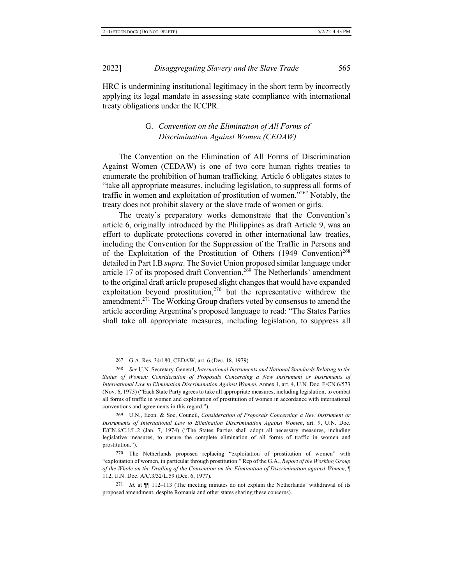HRC is undermining institutional legitimacy in the short term by incorrectly applying its legal mandate in assessing state compliance with international treaty obligations under the ICCPR.

## G. Convention on the Elimination of All Forms of Discrimination Against Women (CEDAW)

The Convention on the Elimination of All Forms of Discrimination Against Women (CEDAW) is one of two core human rights treaties to enumerate the prohibition of human trafficking. Article 6 obligates states to "take all appropriate measures, including legislation, to suppress all forms of traffic in women and exploitation of prostitution of women."<sup>267</sup> Notably, the treaty does not prohibit slavery or the slave trade of women or girls.

The treaty's preparatory works demonstrate that the Convention's article 6, originally introduced by the Philippines as draft Article 9, was an effort to duplicate protections covered in other international law treaties, including the Convention for the Suppression of the Traffic in Persons and of the Exploitation of the Prostitution of Others  $(1949$  Convention)<sup>268</sup> detailed in Part I.B supra. The Soviet Union proposed similar language under article 17 of its proposed draft Convention.<sup>269</sup> The Netherlands' amendment to the original draft article proposed slight changes that would have expanded exploitation beyond prostitution,<sup>270</sup> but the representative withdrew the amendment.<sup>271</sup> The Working Group drafters voted by consensus to amend the article according Argentina's proposed language to read: "The States Parties shall take all appropriate measures, including legislation, to suppress all

269 U.N., Econ. & Soc. Council, Consideration of Proposals Concerning a New Instrument or Instruments of International Law to Elimination Discrimination Against Women, art. 9, U.N. Doc. E/CN.6/C.1/L.2 (Jan. 7, 1974) ("The States Parties shall adopt all necessary measures, including legislative measures, to ensure the complete elimination of all forms of traffic in women and prostitution.").

270 The Netherlands proposed replacing "exploitation of prostitution of women" with "exploitation of women, in particular through prostitution." Rep of the G.A., Report of the Working Group of the Whole on the Drafting of the Convention on the Elimination of Discrimination against Women,  $\P$ 112, U.N. Doc. A/C.3/32/L.59 (Dec. 6, 1977).

271 *Id.* at  $\P$  112–113 (The meeting minutes do not explain the Netherlands' withdrawal of its proposed amendment, despite Romania and other states sharing these concerns).

<sup>267</sup> G.A. Res. 34/180, CEDAW, art. 6 (Dec. 18, 1979).

<sup>268</sup> See U.N. Secretary-General, International Instruments and National Standards Relating to the Status of Women: Consideration of Proposals Concerning a New Instrument or Instruments of International Law to Elimination Discrimination Against Women, Annex 1, art. 4, U.N. Doc. E/CN.6/573 (Nov. 6, 1973) ("Each State Party agrees to take all appropriate measures, including legislation, to combat all forms of traffic in women and exploitation of prostitution of women in accordance with international conventions and agreements in this regard.").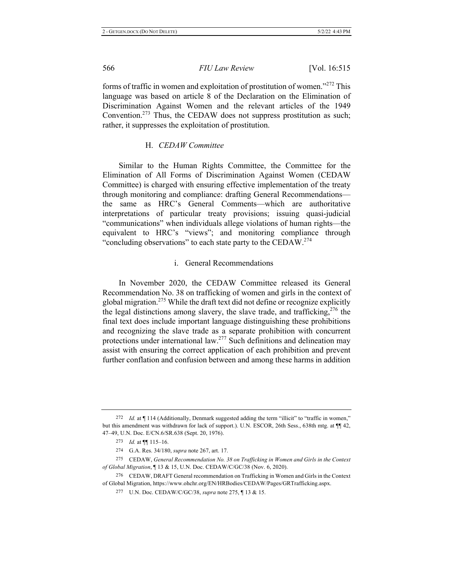forms of traffic in women and exploitation of prostitution of women." $^{272}$  This language was based on article 8 of the Declaration on the Elimination of Discrimination Against Women and the relevant articles of the 1949 Convention.<sup>273</sup> Thus, the CEDAW does not suppress prostitution as such; rather, it suppresses the exploitation of prostitution.

#### H. CEDAW Committee

Similar to the Human Rights Committee, the Committee for the Elimination of All Forms of Discrimination Against Women (CEDAW Committee) is charged with ensuring effective implementation of the treaty through monitoring and compliance: drafting General Recommendationsthe same as HRC's General Comments—which are authoritative interpretations of particular treaty provisions; issuing quasi-judicial "communications" when individuals allege violations of human rights—the equivalent to HRC's "views"; and monitoring compliance through "concluding observations" to each state party to the CEDAW. $^{274}$ 

#### i. General Recommendations

In November 2020, the CEDAW Committee released its General Recommendation No. 38 on trafficking of women and girls in the context of global migration.<sup>275</sup> While the draft text did not define or recognize explicitly the legal distinctions among slavery, the slave trade, and trafficking,  $276$  the final text does include important language distinguishing these prohibitions and recognizing the slave trade as a separate prohibition with concurrent protections under international law.<sup>277</sup> Such definitions and delineation may assist with ensuring the correct application of each prohibition and prevent further conflation and confusion between and among these harms in addition

<sup>272</sup> Id. at  $\P$  114 (Additionally, Denmark suggested adding the term "illicit" to "traffic in women," but this amendment was withdrawn for lack of support.). U.N. ESCOR, 26th Sess., 638th mtg. at  $\P$ 12, 47–49, U.N. Doc. E/CN.6/SR.638 (Sept. 20, 1976).

<sup>273</sup> *Id.* at  $\P$  115-16.

<sup>274</sup> G.A. Res. 34/180, *supra* note 267, art. 17.

<sup>275</sup> CEDAW, General Recommendation No. 38 on Trafficking in Women and Girls in the Context of Global Migration, 13 & 15, U.N. Doc. CEDAW/C/GC/38 (Nov. 6, 2020).

<sup>276</sup> CEDAW, DRAFT General recommendation on Trafficking in Women and Girls in the Context of Global Migration, https://www.ohchr.org/EN/HRBodies/CEDAW/Pages/GRTrafficking.aspx.

<sup>277</sup> U.N. Doc. CEDAW/C/GC/38, *supra* note 275, ¶ 13 & 15.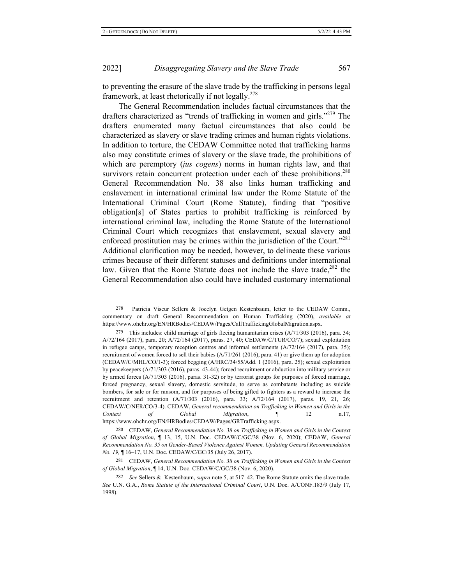to preventing the erasure of the slave trade by the trafficking in persons legal framework, at least rhetorically if not legally.<sup>278</sup>

The General Recommendation includes factual circumstances that the drafters characterized as "trends of trafficking in women and girls."<sup>279</sup> The drafters enumerated many factual circumstances that also could be characterized as slavery or slave trading crimes and human rights violations. In addition to torture, the CEDAW Committee noted that trafficking harms also may constitute crimes of slavery or the slave trade, the prohibitions of which are peremptory (jus cogens) norms in human rights law, and that survivors retain concurrent protection under each of these prohibitions.<sup>280</sup> General Recommendation No. 38 also links human trafficking and enslavement in international criminal law under the Rome Statute of the International Criminal Court (Rome Statute), finding that "positive obligation[s] of States parties to prohibit trafficking is reinforced by international criminal law, including the Rome Statute of the International Criminal Court which recognizes that enslavement, sexual slavery and enforced prostitution may be crimes within the jurisdiction of the Court."<sup>281</sup> Additional clarification may be needed, however, to delineate these various crimes because of their different statuses and definitions under international law. Given that the Rome Statute does not include the slave trade,  $282$  the General Recommendation also could have included customary international

<sup>278</sup> Patricia Viseur Sellers & Jocelyn Getgen Kestenbaum, letter to the CEDAW Comm., commentary on draft General Recommendation on Human Trafficking (2020), available at https://www.ohchr.org/EN/HRBodies/CEDAW/Pages/CallTraffickingGlobalMigration.aspx.

<sup>279</sup> This includes: child marriage of girls fleeing humanitarian crises  $(A/71/303 (2016))$ , para. 34; A/72/164 (2017), para. 20; A/72/164 (2017), paras. 27, 40; CEDAW/C/TUR/CO/7); sexual exploitation in refugee camps, temporary reception centres and informal settlements  $(A/72/164 \ (2017)$ , para. 35); recruitment of women forced to sell their babies  $(A/71/261 (2016)$ , para. 41) or give them up for adoption  $(CEDAW/C/MHL/CO/1-3)$ ; forced begging  $(A/HRC/34/55/Add. 1$  (2016), para. 25); sexual exploitation by peacekeepers (A/71/303 (2016), paras. 43-44); forced recruitment or abduction into military service or by armed forces  $(A/71/303 \ (2016)$ , paras. 31-32) or by terrorist groups for purposes of forced marriage, forced pregnancy, sexual slavery, domestic servitude, to serve as combatants including as suicide bombers, for sale or for ransom, and for purposes of being gifted to fighters as a reward to increase the recruitment and retention  $(A/71/303 \ (2016)$ , para. 33;  $A/72/164 \ (2017)$ , paras. 19, 21, 26; CEDAW/C/NER/CO/3-4). CEDAW, General recommendation on Trafficking in Women and Girls in the *Context* of *Global Migration*, ¶ 12 n.17, https://www.ohchr.org/EN/HRBodies/CEDAW/Pages/GRTrafficking.aspx.

<sup>280</sup> CEDAW, General Recommendation No. 38 on Trafficking in Women and Girls in the Context of Global Migration, 113, 15, U.N. Doc. CEDAW/C/GC/38 (Nov. 6, 2020); CEDAW, General Recommendation No. 35 on Gender-Based Violence Against Women, Updating General Recommendation *No. 19*,  $\parallel$  16–17, U.N. Doc. CEDAW/C/GC/35 (July 26, 2017).

<sup>281</sup> CEDAW, General Recommendation No. 38 on Trafficking in Women and Girls in the Context of Global Migration, ¶ 14, U.N. Doc. CEDAW/C/GC/38 (Nov. 6, 2020).

<sup>282</sup> See Sellers & Kestenbaum, *supra* note 5, at 517–42. The Rome Statute omits the slave trade. See U.N. G.A., Rome Statute of the International Criminal Court, U.N. Doc. A/CONF.183/9 (July 17, 1998).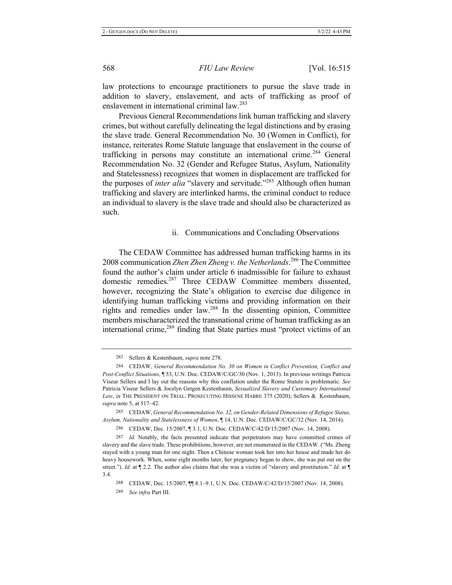law protections to encourage practitioners to pursue the slave trade in addition to slavery, enslavement, and acts of trafficking as proof of enslavement in international criminal law.<sup>283</sup>

Previous General Recommendations link human trafficking and slavery crimes, but without carefully delineating the legal distinctions and by erasing the slave trade. General Recommendation No. 30 (Women in Conflict), for instance, reiterates Rome Statute language that enslavement in the course of trafficking in persons may constitute an international crime.<sup>284</sup> General Recommendation No. 32 (Gender and Refugee Status, Asylum, Nationality and Statelessness) recognizes that women in displacement are trafficked for the purposes of *inter alia* "slavery and servitude."<sup>285</sup> Although often human trafficking and slavery are interlinked harms, the criminal conduct to reduce an individual to slavery is the slave trade and should also be characterized as such.

#### ii. Communications and Concluding Observations

The CEDAW Committee has addressed human trafficking harms in its 2008 communication Zhen Zhen Zheng v. the Netherlands.<sup>286</sup> The Committee found the author's claim under article 6 inadmissible for failure to exhaust domestic remedies.<sup>287</sup> Three CEDAW Committee members dissented, however, recognizing the State's obligation to exercise due diligence in identifying human trafficking victims and providing information on their rights and remedies under law.<sup>288</sup> In the dissenting opinion, Committee members mischaracterized the transnational crime of human trafficking as an international crime,  $^{289}$  finding that State parties must "protect victims of an

289 *See infra* Part III.

<sup>283</sup> Sellers & Kestenbaum, *supra* note 278.

<sup>284</sup> CEDAW, General Recommendation No. 30 on Women in Conflict Prevention, Conflict and Post-Conflict Situations, 153, U.N. Doc. CEDAW/C/GC/30 (Nov. 1, 2013). In previous writings Patricia Viseur Sellers and I lay out the reasons why this conflation under the Rome Statute is problematic. See Patricia Viseur Sellers & Jocelyn Getgen Kestenbaum, Sexualized Slavery and Customary International Law, in THE PRESIDENT ON TRIAL: PROSECUTING HISSENE HABRE 375 (2020); Sellers & Kestenbaum, *supra* note 5, at 517–42.

<sup>285</sup> CEDAW, General Recommendation No. 32, on Gender-Related Dimensions of Refugee Status, Asylum, Nationality and Statelessness of Women, ¶ 14, U.N. Doc. CEDAW/C/GC/32 (Nov. 14, 2014).

<sup>286</sup> CEDAW, Dec. 15/2007, 13.1, U.N. Doc. CEDAW/C/42/D/15/2007 (Nov. 14, 2008).

<sup>287</sup> *Id.* Notably, the facts presented indicate that perpetrators may have committed crimes of slavery and the slave trade. These prohibitions, however, are not enumerated in the CEDAW. ("Ms. Zheng stayed with a young man for one night. Then a Chinese woman took her into her house and made her do heavy housework. When, some eight months later, her pregnancy began to show, she was put out on the street."). *Id.* at  $\P$  2.2. The author also claims that she was a victim of "slavery and prostitution." *Id.* at  $\P$ 3.4.

<sup>288</sup> CEDAW, Dec. 15/2007,  $\P$  8.1–9.1, U.N. Doc. CEDAW/C/42/D/15/2007 (Nov. 14, 2008).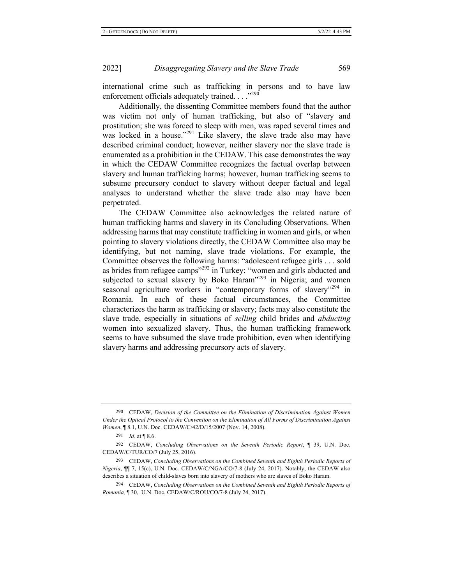international crime such as trafficking in persons and to have law enforcement officials adequately trained. . . . "290

Additionally, the dissenting Committee members found that the author was victim not only of human trafficking, but also of "slavery and prostitution; she was forced to sleep with men, was raped several times and was locked in a house."<sup>291</sup> Like slavery, the slave trade also may have described criminal conduct; however, neither slavery nor the slave trade is enumerated as a prohibition in the CEDAW. This case demonstrates the way in which the CEDAW Committee recognizes the factual overlap between slavery and human trafficking harms; however, human trafficking seems to subsume precursory conduct to slavery without deeper factual and legal analyses to understand whether the slave trade also may have been perpetrated.

The CEDAW Committee also acknowledges the related nature of human trafficking harms and slavery in its Concluding Observations. When addressing harms that may constitute trafficking in women and girls, or when pointing to slavery violations directly, the CEDAW Committee also may be identifying, but not naming, slave trade violations. For example, the Committee observes the following harms: "adolescent refugee girls... sold as brides from refugee camps"<sup>292</sup> in Turkey; "women and girls abducted and subjected to sexual slavery by Boko Haram<sup>1293</sup> in Nigeria; and women seasonal agriculture workers in "contemporary forms of slavery"<sup>294</sup> in Romania. In each of these factual circumstances, the Committee characterizes the harm as trafficking or slavery; facts may also constitute the slave trade, especially in situations of *selling* child brides and *abducting* women into sexualized slavery. Thus, the human trafficking framework seems to have subsumed the slave trade prohibition, even when identifying slavery harms and addressing precursory acts of slavery.

<sup>290</sup> CEDAW, Decision of the Committee on the Elimination of Discrimination Against Women Under the Optical Protocol to the Convention on the Elimination of All Forms of Discrimination Against Women, ¶ 8.1, U.N. Doc. CEDAW/C/42/D/15/2007 (Nov. 14, 2008).

<sup>291</sup> *Id.* at | 8.6.

<sup>292</sup> CEDAW, Concluding Observations on the Seventh Periodic Report,  $\P$  39, U.N. Doc.  $CEDAW/C/TUR/CO/7$  (July 25, 2016).

<sup>293</sup> CEDAW, Concluding Observations on the Combined Seventh and Eighth Periodic Reports of Nigeria,  $\P$  7, 15(c), U.N. Doc. CEDAW/C/NGA/CO/7-8 (July 24, 2017). Notably, the CEDAW also describes a situation of child-slaves born into slavery of mothers who are slaves of Boko Haram.

<sup>294</sup> CEDAW, Concluding Observations on the Combined Seventh and Eighth Periodic Reports of *Romania*, ¶ 30, U.N. Doc. CEDAW/C/ROU/CO/7-8 (July 24, 2017).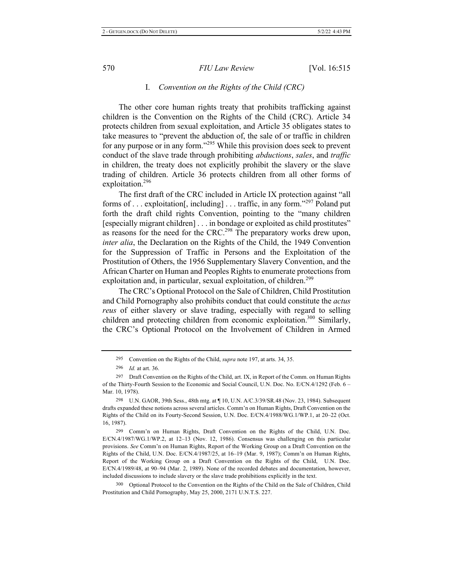### I. Convention on the Rights of the Child (CRC)

The other core human rights treaty that prohibits trafficking against children is the Convention on the Rights of the Child (CRC). Article 34 protects children from sexual exploitation, and Article 35 obligates states to take measures to "prevent the abduction of, the sale of or traffic in children for any purpose or in any form."<sup>295</sup> While this provision does seek to prevent conduct of the slave trade through prohibiting *abductions*, *sales*, and *traffic* in children, the treaty does not explicitly prohibit the slavery or the slave trading of children. Article 36 protects children from all other forms of exploitation.<sup>296</sup>

The first draft of the CRC included in Article IX protection against "all forms of ... exploitation[, including] ... traffic, in any form."297 Poland put forth the draft child rights Convention, pointing to the "many children" [especially migrant children] . . . in bondage or exploited as child prostitutes" as reasons for the need for the CRC.<sup>298</sup> The preparatory works drew upon, *inter alia*, the Declaration on the Rights of the Child, the 1949 Convention for the Suppression of Traffic in Persons and the Exploitation of the Prostitution of Others, the 1956 Supplementary Slavery Convention, and the African Charter on Human and Peoples Rights to enumerate protections from exploitation and, in particular, sexual exploitation, of children.<sup>299</sup>

The CRC's Optional Protocol on the Sale of Children, Child Prostitution and Child Pornography also prohibits conduct that could constitute the *actus reus* of either slavery or slave trading, especially with regard to selling children and protecting children from economic exploitation.<sup>300</sup> Similarly, the CRC's Optional Protocol on the Involvement of Children in Armed

<sup>295</sup> Convention on the Rights of the Child, *supra* note 197, at arts. 34, 35.

<sup>296</sup> *Id.* at art. 36.

<sup>297</sup> Draft Convention on the Rights of the Child, art. IX, in Report of the Comm. on Human Rights of the Thirty-Fourth Session to the Economic and Social Council, U.N. Doc. No. E/CN.4/1292 (Feb. 6 -Mar. 10, 1978).

<sup>298</sup> U.N. GAOR, 39th Sess., 48th mtg. at  $\P$  10, U.N. A/C.3/39/SR.48 (Nov. 23, 1984). Subsequent drafts expanded these notions across several articles. Comm'n on Human Rights, Draft Convention on the Rights of the Child on its Fourty-Second Session, U.N. Doc. E/CN.4/1988/WG.1/WP.1, at 20–22 (Oct. 16, 1987).

<sup>299</sup> Comm'n on Human Rights, Draft Convention on the Rights of the Child, U.N. Doc.  $E/CN.4/1987/WG.1/WP.2$ , at 12-13 (Nov. 12, 1986). Consensus was challenging on this particular provisions. See Comm'n on Human Rights, Report of the Working Group on a Draft Convention on the Rights of the Child, U.N. Doc.  $E/CN.4/1987/25$ , at  $16-19$  (Mar. 9, 1987); Comm'n on Human Rights, Report of the Working Group on a Draft Convention on the Rights of the Child, U.N. Doc.  $E/CN.4/1989/48$ , at  $90-94$  (Mar. 2, 1989). None of the recorded debates and documentation, however, included discussions to include slavery or the slave trade prohibitions explicitly in the text.

<sup>300</sup> Optional Protocol to the Convention on the Rights of the Child on the Sale of Children, Child Prostitution and Child Pornography, May 25, 2000, 2171 U.N.T.S. 227.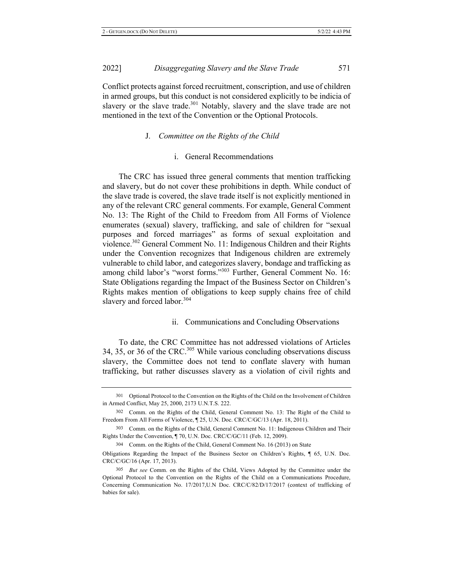2022

Conflict protects against forced recruitment, conscription, and use of children in armed groups, but this conduct is not considered explicitly to be indicia of slavery or the slave trade.<sup>301</sup> Notably, slavery and the slave trade are not mentioned in the text of the Convention or the Optional Protocols.

#### **J.** Committee on the Rights of the Child

### i. General Recommendations

The CRC has issued three general comments that mention trafficking and slavery, but do not cover these prohibitions in depth. While conduct of the slave trade is covered, the slave trade itself is not explicitly mentioned in any of the relevant CRC general comments. For example, General Comment No. 13: The Right of the Child to Freedom from All Forms of Violence enumerates (sexual) slavery, trafficking, and sale of children for "sexual purposes and forced marriages" as forms of sexual exploitation and violence.<sup>302</sup> General Comment No. 11: Indigenous Children and their Rights under the Convention recognizes that Indigenous children are extremely vulnerable to child labor, and categorizes slavery, bondage and trafficking as among child labor's "worst forms."<sup>303</sup> Further, General Comment No. 16: State Obligations regarding the Impact of the Business Sector on Children's Rights makes mention of obligations to keep supply chains free of child slavery and forced labor.<sup>304</sup>

#### ii. Communications and Concluding Observations

To date, the CRC Committee has not addressed violations of Articles 34, 35, or 36 of the CRC.<sup>305</sup> While various concluding observations discuss slavery, the Committee does not tend to conflate slavery with human trafficking, but rather discusses slavery as a violation of civil rights and

304 Comm. on the Rights of the Child, General Comment No. 16 (2013) on State

<sup>301</sup> Optional Protocol to the Convention on the Rights of the Child on the Involvement of Children in Armed Conflict, May 25, 2000, 2173 U.N.T.S. 222.

<sup>302</sup> Comm. on the Rights of the Child, General Comment No. 13: The Right of the Child to Freedom From All Forms of Violence, 125, U.N. Doc. CRC/C/GC/13 (Apr. 18, 2011).

<sup>303</sup> Comm. on the Rights of the Child, General Comment No. 11: Indigenous Children and Their Rights Under the Convention, ¶ 70, U.N. Doc. CRC/C/GC/11 (Feb. 12, 2009).

Obligations Regarding the Impact of the Business Sector on Children's Rights,  $\parallel$  65, U.N. Doc. CRC/C/GC/16 (Apr. 17, 2013).

<sup>305</sup> But see Comm. on the Rights of the Child, Views Adopted by the Committee under the Optional Protocol to the Convention on the Rights of the Child on a Communications Procedure, Concerning Communication No. 17/2017, U.N Doc. CRC/C/82/D/17/2017 (context of trafficking of babies for sale).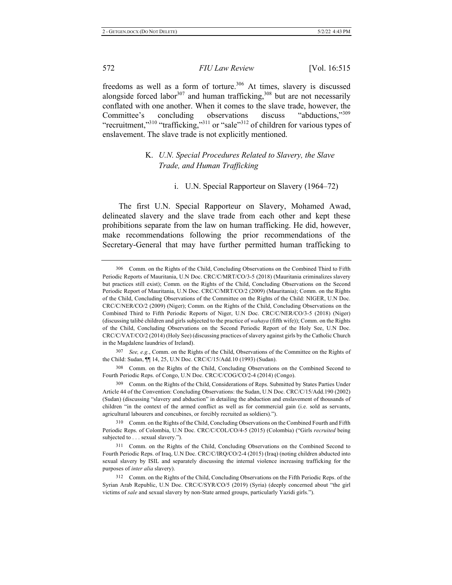freedoms as well as a form of torture.<sup>306</sup> At times, slavery is discussed alongside forced labor<sup>307</sup> and human trafficking,<sup>308</sup> but are not necessarily conflated with one another. When it comes to the slave trade, however, the Committee's concluding observations discuss "abductions,"309 "recruitment,"<sup>310</sup> "trafficking,"<sup>311</sup> or "sale"<sup>312</sup> of children for various types of enslavement. The slave trade is not explicitly mentioned.

## K. U.N. Special Procedures Related to Slavery, the Slave *Trade, and Human Trafficking*

#### i. U.N. Special Rapporteur on Slavery (1964–72)

The first U.N. Special Rapporteur on Slavery, Mohamed Awad, delineated slavery and the slave trade from each other and kept these prohibitions separate from the law on human trafficking. He did, however, make recommendations following the prior recommendations of the Secretary-General that may have further permitted human trafficking to

308 Comm. on the Rights of the Child, Concluding Observations on the Combined Second to Fourth Periodic Reps. of Congo, U.N Doc. CRC/C/COG/CO/2-4 (2014) (Congo).

309 Comm. on the Rights of the Child, Considerations of Reps. Submitted by States Parties Under Article 44 of the Convention: Concluding Observations: the Sudan, U.N Doc. CRC/C/15/Add.190 (2002) (Sudan) (discussing "slavery and abduction" in detailing the abduction and enslavement of thousands of children "in the context of the armed conflict as well as for commercial gain (i.e. sold as servants, agricultural labourers and concubines, or forcibly recruited as soldiers).").

310 Comm. on the Rights of the Child, Concluding Observations on the Combined Fourth and Fifth Periodic Reps. of Colombia, U.N Doc. CRC/C/COL/CO/4-5 (2015) (Colombia) ("Girls *recruited* being subjected to . . . sexual slavery.").

311 Comm. on the Rights of the Child, Concluding Observations on the Combined Second to Fourth Periodic Reps. of Iraq, U.N Doc. CRC/C/IRQ/CO/2-4 (2015) (Iraq) (noting children abducted into sexual slavery by ISIL and separately discussing the internal violence increasing trafficking for the purposes of *inter alia* slavery).

312 Comm. on the Rights of the Child, Concluding Observations on the Fifth Periodic Reps. of the Syrian Arab Republic, U.N Doc. CRC/C/SYR/CO/5 (2019) (Syria) (deeply concerned about "the girl victims of sale and sexual slavery by non-State armed groups, particularly Yazidi girls.").

<sup>306</sup> Comm. on the Rights of the Child, Concluding Observations on the Combined Third to Fifth Periodic Reports of Mauritania, U.N Doc. CRC/C/MRT/CO/3-5 (2018) (Mauritania criminalizes slavery but practices still exist); Comm. on the Rights of the Child, Concluding Observations on the Second Periodic Report of Mauritania, U.N Doc. CRC/C/MRT/CO/2 (2009) (Mauritania); Comm. on the Rights of the Child, Concluding Observations of the Committee on the Rights of the Child: NIGER, U.N Doc. CRC/C/NER/CO/2 (2009) (Niger); Comm. on the Rights of the Child, Concluding Observations on the Combined Third to Fifth Periodic Reports of Niger, U.N Doc. CRC/C/NER/CO/3-5 (2018) (Niger) (discussing talibé children and girls subjected to the practice of *wahaya* (fifth wife)); Comm. on the Rights of the Child, Concluding Observations on the Second Periodic Report of the Holy See, U.N Doc. CRC/C/VAT/CO/2 (2014) (Holy See) (discussing practices of slavery against girls by the Catholic Church in the Magdalene laundries of Ireland).

<sup>307</sup> See, e.g., Comm. on the Rights of the Child, Observations of the Committee on the Rights of the Child: Sudan,  $\P$ [14, 25, U.N Doc. CRC/C/15/Add.10 (1993) (Sudan).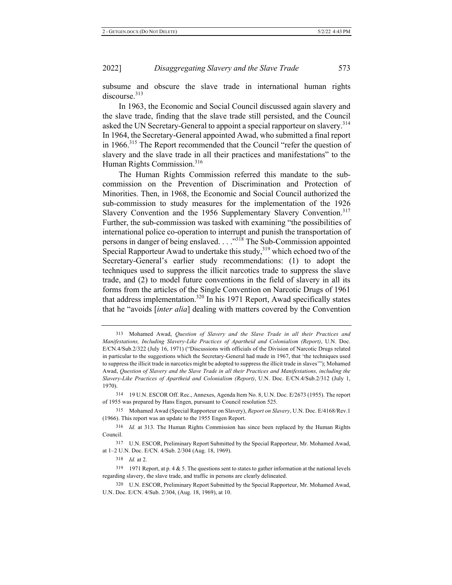subsume and obscure the slave trade in international human rights discourse.<sup>313</sup>

In 1963, the Economic and Social Council discussed again slavery and the slave trade, finding that the slave trade still persisted, and the Council asked the UN Secretary-General to appoint a special rapporteur on slavery.<sup>314</sup> In 1964, the Secretary-General appointed Awad, who submitted a final report in 1966.<sup>315</sup> The Report recommended that the Council "refer the question of slavery and the slave trade in all their practices and manifestations" to the Human Rights Commission.<sup>316</sup>

The Human Rights Commission referred this mandate to the subcommission on the Prevention of Discrimination and Protection of Minorities. Then, in 1968, the Economic and Social Council authorized the sub-commission to study measures for the implementation of the 1926 Slavery Convention and the 1956 Supplementary Slavery Convention.<sup>317</sup> Further, the sub-commission was tasked with examining "the possibilities of international police co-operation to interrupt and punish the transportation of persons in danger of being enslaved. . . . "<sup>318</sup> The Sub-Commission appointed Special Rapporteur Awad to undertake this study,  $319$  which echoed two of the Secretary-General's earlier study recommendations: (1) to adopt the techniques used to suppress the illicit narcotics trade to suppress the slave trade, and  $(2)$  to model future conventions in the field of slavery in all its forms from the articles of the Single Convention on Narcotic Drugs of 1961 that address implementation.<sup>320</sup> In his 1971 Report, Awad specifically states that he "avoids [*inter alia*] dealing with matters covered by the Convention

<sup>313</sup> Mohamed Awad, Question of Slavery and the Slave Trade in all their Practices and *Manifestations, Including Slavery-Like Practices of Apartheid and Colonialism (Report), U.N. Doc.* E/CN.4/Sub.2/322 (July 16, 1971) ("Discussions with officials of the Division of Narcotic Drugs related in particular to the suggestions which the Secretary-General had made in 1967, that 'the techniques used to suppress the illicit trade in narcotics might be adopted to suppress the illicit trade in slaves""); Mohamed Awad, Question of Slavery and the Slave Trade in all their Practices and Manifestations, including the Slavery-Like Practices of Apartheid and Colonialism (Report), U.N. Doc. E/CN.4/Sub.2/312 (July 1, 1970).

<sup>314 19</sup> U.N. ESCOR Off. Rec., Annexes, Agenda Item No. 8, U.N. Doc. E/2673 (1955). The report of 1955 was prepared by Hans Engen, pursuant to Council resolution 525.

<sup>315</sup> Mohamed Awad (Special Rapporteur on Slavery), Report on Slavery, U.N. Doc. E/4168/Rev.1  $(1966)$ . This report was an update to the 1955 Engen Report.

<sup>316</sup> *Id.* at 313. The Human Rights Commission has since been replaced by the Human Rights Council.

<sup>317</sup> U.N. ESCOR, Preliminary Report Submitted by the Special Rapporteur, Mr. Mohamed Awad, at 1–2 U.N. Doc. E/CN. 4/Sub. 2/304 (Aug. 18, 1969).

<sup>318</sup> *Id.* at 2.

<sup>319 1971</sup> Report, at p. 4 & 5. The questions sent to states to gather information at the national levels regarding slavery, the slave trade, and traffic in persons are clearly delineated.

<sup>320</sup> U.N. ESCOR, Preliminary Report Submitted by the Special Rapporteur, Mr. Mohamed Awad, U.N. Doc. E/CN. 4/Sub. 2/304, (Aug. 18, 1969), at 10.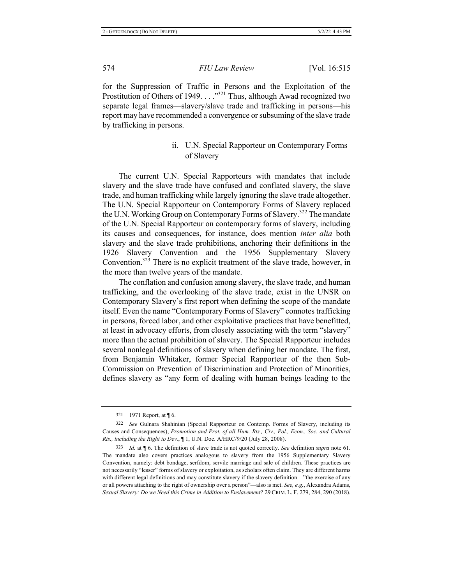for the Suppression of Traffic in Persons and the Exploitation of the Prostitution of Others of 1949..."<sup>321</sup> Thus, although Awad recognized two separate legal frames—slavery/slave trade and trafficking in persons—his report may have recommended a convergence or subsuming of the slave trade by trafficking in persons.

## ii. U.N. Special Rapporteur on Contemporary Forms of Slavery

The current U.N. Special Rapporteurs with mandates that include slavery and the slave trade have confused and conflated slavery, the slave trade, and human trafficking while largely ignoring the slave trade altogether. The U.N. Special Rapporteur on Contemporary Forms of Slavery replaced the U.N. Working Group on Contemporary Forms of Slavery.<sup>322</sup> The mandate of the U.N. Special Rapporteur on contemporary forms of slavery, including its causes and consequences, for instance, does mention *inter alia* both slavery and the slave trade prohibitions, anchoring their definitions in the 1926 Slavery Convention and the 1956 Supplementary Slavery Convention.<sup>323</sup> There is no explicit treatment of the slave trade, however, in the more than twelve years of the mandate.

The conflation and confusion among slavery, the slave trade, and human trafficking, and the overlooking of the slave trade, exist in the UNSR on Contemporary Slavery's first report when defining the scope of the mandate itself. Even the name "Contemporary Forms of Slavery" connotes trafficking in persons, forced labor, and other exploitative practices that have benefitted, at least in advocacy efforts, from closely associating with the term "slavery" more than the actual prohibition of slavery. The Special Rapporteur includes several nonlegal definitions of slavery when defining her mandate. The first, from Benjamin Whitaker, former Special Rapporteur of the then Sub-Commission on Prevention of Discrimination and Protection of Minorities, defines slavery as "any form of dealing with human beings leading to the

<sup>321 1971</sup> Report, at [6.

<sup>322</sup> See Gulnara Shahinian (Special Rapporteur on Contemp. Forms of Slavery, including its Causes and Consequences), Promotion and Prot. of all Hum. Rts., Civ., Pol., Econ., Soc. and Cultural *Rts., including the Right to Dev.,* 1, U.N. Doc. A/HRC/9/20 (July 28, 2008).

<sup>323</sup> *Id.* at  $\llbracket$  6. The definition of slave trade is not quoted correctly. See definition supra note 61. The mandate also covers practices analogous to slavery from the 1956 Supplementary Slavery Convention, namely: debt bondage, serfdom, servile marriage and sale of children. These practices are not necessarily "lesser" forms of slavery or exploitation, as scholars often claim. They are different harms with different legal definitions and may constitute slavery if the slavery definition—"the exercise of any or all powers attaching to the right of ownership over a person"-also is met. See, e.g., Alexandra Adams, *Sexual Slavery: Do we Need this Crime in Addition to Enslavement?* 29 CRIM. L. F. 279, 284, 290 (2018).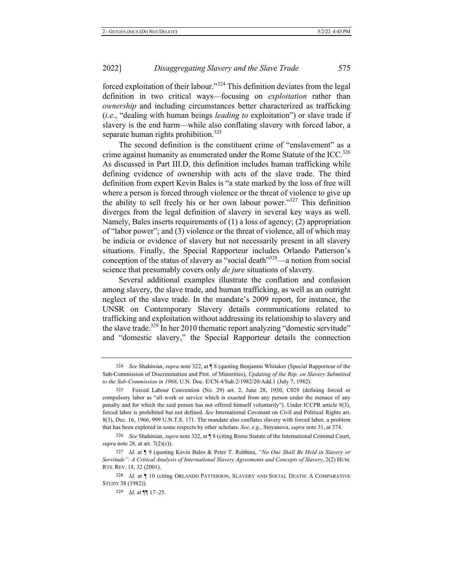forced exploitation of their labour."<sup>324</sup> This definition deviates from the legal definition in two critical ways-focusing on *exploitation* rather than *ownership* and including circumstances better characterized as trafficking *(i.e., "dealing with human beings leading to exploitation")* or slave trade if slavery is the end harm—while also conflating slavery with forced labor, a separate human rights prohibition.<sup>325</sup>

The second definition is the constituent crime of "enslavement" as a crime against humanity as enumerated under the Rome Statute of the ICC.<sup>326</sup> As discussed in Part III.D, this definition includes human trafficking while defining evidence of ownership with acts of the slave trade. The third definition from expert Kevin Bales is "a state marked by the loss of free will where a person is forced through violence or the threat of violence to give up the ability to sell freely his or her own labour power."<sup>327</sup> This definition diverges from the legal definition of slavery in several key ways as well. Namely, Bales inserts requirements of  $(1)$  a loss of agency;  $(2)$  appropriation of "labor power"; and (3) violence or the threat of violence, all of which may be indicia or evidence of slavery but not necessarily present in all slavery situations. Finally, the Special Rapporteur includes Orlando Patterson's conception of the status of slavery as "social death"<sup>328</sup>—a notion from social science that presumably covers only *de jure* situations of slavery.

Several additional examples illustrate the conflation and confusion among slavery, the slave trade, and human trafficking, as well as an outright neglect of the slave trade. In the mandate's 2009 report, for instance, the UNSR on Contemporary Slavery details communications related to trafficking and exploitation without addressing its relationship to slavery and the slave trade.<sup>329</sup> In her 2010 thematic report analyzing "domestic servitude" and "domestic slavery," the Special Rapporteur details the connection

<sup>324</sup> See Shahinian, *supra* note 322, at *[8]* (quoting Benjamin Whitaker (Special Rapporteur of the Sub-Commission of Discrimination and Prot. of Minorities), Updating of the Rep. on Slavery Submitted to the Sub-Commission in 1966, U.N. Doc. E/CN.4/Sub.2/1982/20/Add.1 (July 7, 1982).

<sup>325</sup> Forced Labour Convention (No. 29) art. 2, June 28, 1930, C029 (defining forced or compulsory labor as "all work or service which is exacted from any person under the menace of any penalty and for which the said person has not offered himself voluntarily"). Under ICCPR article 8(3), forced labor is prohibited but not defined. See International Covenant on Civil and Political Rights art. 8(3), Dec. 16, 1966, 999 U.N.T.S. 171. The mandate also conflates slavery with forced labor, a problem that has been explored in some respects by other scholars. See, e.g., Stoyanova, supra note 31, at 374.

<sup>326</sup> See Shahinian, *supra* note 322, at ¶ 8 (citing Rome Statute of the International Criminal Court, supra note 28, at art. 7(2)(c)).

<sup>327</sup> Id. at  $\P$  9 (quoting Kevin Bales & Peter T. Robbins, "No One Shall Be Held in Slavery or Servitude": A Critical Analysis of International Slavery Agreements and Concepts of Slavery, 2(2) HUM. RTS. REV. 18, 32 (2001).

<sup>328</sup> Id. at || 10 (citing ORLANDO PATTERSON, SLAVERY AND SOCIAL DEATH: A COMPARATIVE STUDY 38 (1982)).

<sup>329</sup> *Id.* at  $\P$  17-25.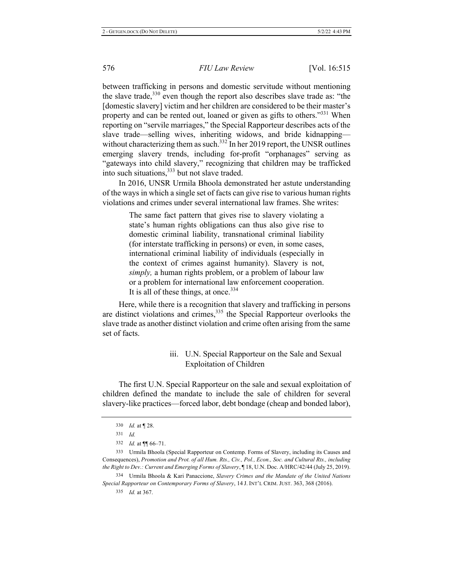between trafficking in persons and domestic servitude without mentioning the slave trade,  $330$  even though the report also describes slave trade as: "the [domestic slavery] victim and her children are considered to be their master's property and can be rented out, loaned or given as gifts to others."<sup>331</sup> When reporting on "servile marriages," the Special Rapporteur describes acts of the slave trade-selling wives, inheriting widows, and bride kidnappingwithout characterizing them as such.<sup>332</sup> In her 2019 report, the UNSR outlines emerging slavery trends, including for-profit "orphanages" serving as "gateways into child slavery," recognizing that children may be trafficked into such situations,  $333$  but not slave traded.

In 2016, UNSR Urmila Bhoola demonstrated her astute understanding of the ways in which a single set of facts can give rise to various human rights violations and crimes under several international law frames. She writes:

> The same fact pattern that gives rise to slavery violating a state's human rights obligations can thus also give rise to domestic criminal liability, transnational criminal liability (for interstate trafficking in persons) or even, in some cases, international criminal liability of individuals (especially in the context of crimes against humanity). Slavery is not, simply, a human rights problem, or a problem of labour law or a problem for international law enforcement cooperation. It is all of these things, at once.<sup>334</sup>

Here, while there is a recognition that slavery and trafficking in persons are distinct violations and crimes,  $335$  the Special Rapporteur overlooks the slave trade as another distinct violation and crime often arising from the same set of facts.

## iii. U.N. Special Rapporteur on the Sale and Sexual Exploitation of Children

The first U.N. Special Rapporteur on the sale and sexual exploitation of children defined the mandate to include the sale of children for several slavery-like practices—forced labor, debt bondage (cheap and bonded labor),

335 *Id.* at 367.

<sup>330</sup> *Id.* at  $\P$  28.

 $331$  *Id.* 

<sup>332</sup> *Id.* at  $\P$  66-71.

<sup>333</sup> Urmila Bhoola (Special Rapporteur on Contemp. Forms of Slavery, including its Causes and Consequences), Promotion and Prot. of all Hum. Rts., Civ., Pol., Econ., Soc. and Cultural Rts., including *the Right to Dev.: Current and Emerging Forms of Slavery*,  $\P$ 18, U.N. Doc. A/HRC/42/44 (July 25, 2019).

<sup>334</sup> Urmila Bhoola & Kari Panaccione, Slavery Crimes and the Mandate of the United Nations Special Rapporteur on Contemporary Forms of Slavery, 14 J. INT'L CRIM. JUST. 363, 368 (2016).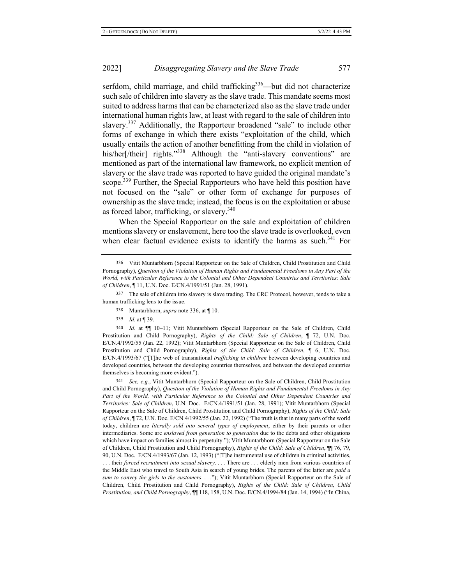2022

serfdom, child marriage, and child trafficking<sup>336</sup>—but did not characterize such sale of children into slavery as the slave trade. This mandate seems most suited to address harms that can be characterized also as the slave trade under international human rights law, at least with regard to the sale of children into slavery.<sup>337</sup> Additionally, the Rapporteur broadened "sale" to include other forms of exchange in which there exists "exploitation of the child, which usually entails the action of another benefitting from the child in violation of his/her[/their] rights."<sup>338</sup> Although the "anti-slavery conventions" are mentioned as part of the international law framework, no explicit mention of slavery or the slave trade was reported to have guided the original mandate's scope.<sup>339</sup> Further, the Special Rapporteurs who have held this position have not focused on the "sale" or other form of exchange for purposes of ownership as the slave trade; instead, the focus is on the exploitation or abuse as forced labor, trafficking, or slavery.<sup>340</sup>

When the Special Rapporteur on the sale and exploitation of children mentions slavery or enslavement, here too the slave trade is overlooked, even when clear factual evidence exists to identify the harms as such.<sup>341</sup> For

337 The sale of children into slavery is slave trading. The CRC Protocol, however, tends to take a human trafficking lens to the issue.

339 *Id.* at ¶ 39.

340 <sup>0</sup> Id. at  $\P$  10–11; Vitit Muntarbhorn (Special Rapporteur on the Sale of Children, Child Prostitution and Child Pornography), Rights of the Child: Sale of Children, ¶ 72, U.N. Doc. E/CN.4/1992/55 (Jan. 22, 1992); Vitit Muntarbhorn (Special Rapporteur on the Sale of Children, Child Prostitution and Child Pornography), Rights of the Child: Sale of Children,  $\P$  6, U.N. Doc. E/CN.4/1993/67 ("[T]he web of transnational trafficking in children between developing countries and developed countries, between the developing countries themselves, and between the developed countries themselves is becoming more evident.").

<sup>341</sup> See, e.g., Vitit Muntarbhorn (Special Rapporteur on the Sale of Children, Child Prostitution and Child Pornography), Question of the Violation of Human Rights and Fundamental Freedoms in Any Part of the World, with Particular Reference to the Colonial and Other Dependent Countries and Territories: Sale of Children, U.N. Doc. E/CN.4/1991/51 (Jan. 28, 1991); Vitit Muntarbhorn (Special Rapporteur on the Sale of Children, Child Prostitution and Child Pornography), Rights of the Child: Sale of Children, ¶ 72, U.N. Doc. E/CN.4/1992/55 (Jan. 22, 1992) ("The truth is that in many parts of the world today, children are *literally sold into several types of employment*, either by their parents or other intermediaries. Some are *enslaved from generation to generation* due to the debts and other obligations which have impact on families almost in perpetuity."); Vitit Muntarbhorn (Special Rapporteur on the Sale of Children, Child Prostitution and Child Pornography), Rights of the Child: Sale of Children, 11 76, 79, 90, U.N. Doc. E/CN.4/1993/67 (Jan. 12, 1993) ("[T]he instrumental use of children in criminal activities, ... their forced recruitment into sexual slavery.... There are ... elderly men from various countries of the Middle East who travel to South Asia in search of young brides. The parents of the latter are paid a *sum to convey the girls to the customers...."*); Vitit Muntarbhorn (Special Rapporteur on the Sale of Children, Child Prostitution and Child Pornography), Rights of the Child: Sale of Children, Child Prostitution, and Child Pornography, 1118, 158, U.N. Doc. E/CN.4/1994/84 (Jan. 14, 1994) ("In China,

<sup>336</sup> Vitit Muntarbhorn (Special Rapporteur on the Sale of Children, Child Prostitution and Child Pornography), Question of the Violation of Human Rights and Fundamental Freedoms in Any Part of the  $World$ , with Particular Reference to the Colonial and Other Dependent Countries and Territories: Sale of Children, 11, U.N. Doc. E/CN.4/1991/51 (Jan. 28, 1991).

<sup>338</sup> Muntarbhorn, *supra* note 336, at || 10.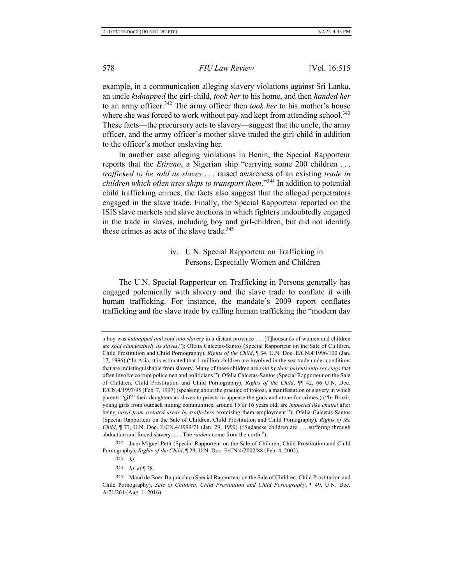example, in a communication alleging slavery violations against Sri Lanka, an uncle kidnapped the girl-child, took her to his home, and then handed her to an army officer.<sup>342</sup> The army officer then *took her* to his mother's house where she was forced to work without pay and kept from attending school.<sup>343</sup> These facts—the precursory acts to slavery—suggest that the uncle, the army officer, and the army officer's mother slave traded the girl-child in addition to the officer's mother enslaving her.

In another case alleging violations in Benin, the Special Rapporteur reports that the *Etireno*, a Nigerian ship "carrying some 200 children ... *z trafficked to be sold as slaves* ... raised awareness of an existing *trade in* children which often uses ships to transport them."<sup>344</sup> In addition to potential child trafficking crimes, the facts also suggest that the alleged perpetrators engaged in the slave trade. Finally, the Special Rapporteur reported on the ISIS slave markets and slave auctions in which fighters undoubtedly engaged in the trade in slaves, including boy and girl-children, but did not identify these crimes as acts of the slave trade.<sup>345</sup>

## iv. U.N. Special Rapporteur on Trafficking in Persons, Especially Women and Children

The U.N. Special Rapporteur on Trafficking in Persons generally has engaged polemically with slavery and the slave trade to conflate it with human trafficking. For instance, the mandate's 2009 report conflates trafficking and the slave trade by calling human trafficking the "modern day"

a boy was *kidnapped and sold into slavery* in a distant province . . . [T] housands of women and children are sold clandestinely as slaves."); Ofelia Calcetas-Santos (Special Rapporteur on the Sale of Children, Child Prostitution and Child Pornography), *Rights of the Child*, ¶ 34, U.N. Doc. E/CN.4/1996/100 (Jan. 17, 1996) ("In Asia, it is estimated that 1 million children are involved in the sex trade under conditions that are indistinguishable from slavery. Many of these children are sold by their parents into sex rings that often involve corrupt policemen and politicians."); Ofelia Calcetas-Santos (Special Rapporteur on the Sale of Children, Child Prostitution and Child Pornography), Rights of the Child,  $\P$  42, 66 U.N. Doc. E/CN.4/1997/95 (Feb. 7, 1997) (speaking about the practice of trokosi, a manifestation of slavery in which parents "gift" their daughters as slaves to priests to appease the gods and atone for crimes.) ("In Brazil, young girls from outback mining communities, around 15 or 16 years old, are *imported like chattel* after being lured from isolated areas by traffickers promising them employment."); Ofelia Calcetas-Santos (Special Rapporteur on the Sale of Children, Child Prostitution and Child Pornography), Rights of the *Child*, ¶ 77, U.N. Doc. E/CN.4/1999/71 (Jan. 29, 1999) ("Sudanese children are ... suffering through abduction and forced slavery. . . . The *raiders* come from the north.").

<sup>342</sup> Juan Miguel Petit (Special Rapporteur on the Sale of Children, Child Prostitution and Child Pornography), *Rights of the Child*, ¶ 29, U.N. Doc. E/CN.4/2002/88 (Feb. 4, 2002).

 $343$  *Id.* 

<sup>344</sup> *Id.* at 128.

<sup>345</sup> Maud de Boer-Buquicchio (Special Rapporteur on the Sale of Children, Child Prostitution and Child Pornography), Sale of Children, Child Prostitution and Child Pornography, ¶ 49, U.N. Doc. A/71/261 (Aug. 1, 2016).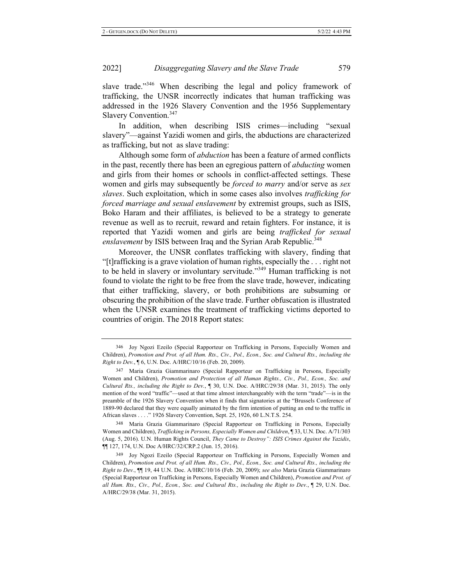#### 2022 **Disaggregating Slavery and the Slave Trade** 579

slave trade."<sup>346</sup> When describing the legal and policy framework of trafficking, the UNSR incorrectly indicates that human trafficking was addressed in the 1926 Slavery Convention and the 1956 Supplementary Slavery Convention.<sup>347</sup>

In addition, when describing ISIS crimes—including "sexual slavery"-against Yazidi women and girls, the abductions are characterized as trafficking, but not as slave trading:

Although some form of *abduction* has been a feature of armed conflicts in the past, recently there has been an egregious pattern of *abducting* women and girls from their homes or schools in conflict-affected settings. These women and girls may subsequently be *forced to marry* and/or serve as *sex slaves*. Such exploitation, which in some cases also involves *trafficking for forced marriage and sexual enslavement* by extremist groups, such as ISIS, Boko Haram and their affiliates, is believed to be a strategy to generate revenue as well as to recruit, reward and retain fighters. For instance, it is reported that Yazidi women and girls are being *trafficked for sexual* enslavement by ISIS between Iraq and the Syrian Arab Republic.<sup>348</sup>

Moreover, the UNSR conflates trafficking with slavery, finding that "[t] rafficking is a grave violation of human rights, especially the  $\dots$  right not to be held in slavery or involuntary servitude."<sup>349</sup> Human trafficking is not found to violate the right to be free from the slave trade, however, indicating that either trafficking, slavery, or both prohibitions are subsuming or obscuring the prohibition of the slave trade. Further obfuscation is illustrated when the UNSR examines the treatment of trafficking victims deported to countries of origin. The 2018 Report states:

348 Maria Grazia Giammarinaro (Special Rapporteur on Trafficking in Persons, Especially Women and Children), *Trafficking in Persons, Especially Women and Children*, 133, U.N. Doc. A/71/303 (Aug. 5, 2016). U.N. Human Rights Council, *They Came to Destroy": ISIS Crimes Against the Yazidis*,  $\P$ [127, 174, U.N. Doc A/HRC/32/CRP.2 (Jun. 15, 2016).

349 Joy Ngozi Ezeilo (Special Rapporteur on Trafficking in Persons, Especially Women and Children), Promotion and Prot. of all Hum. Rts., Civ., Pol., Econ., Soc. and Cultural Rts., including the *Right to Dev.*,  $\P$  19, 44 U.N. Doc. A/HRC/10/16 (Feb. 20, 2009); see also Maria Grazia Giammarinaro (Special Rapporteur on Trafficking in Persons, Especially Women and Children), Promotion and Prot. of all Hum. Rts., Civ., Pol., Econ., Soc. and Cultural Rts., including the Right to Dev., 1 29, U.N. Doc. A/HRC/29/38 (Mar. 31, 2015).

<sup>346</sup> Joy Ngozi Ezeilo (Special Rapporteur on Trafficking in Persons, Especially Women and Children), Promotion and Prot. of all Hum. Rts., Civ., Pol., Econ., Soc. and Cultural Rts., including the *Right to Dev.,*  $\sqrt{ }$  6, U.N. Doc. A/HRC/10/16 (Feb. 20, 2009).

<sup>347</sup> Maria Grazia Giammarinaro (Special Rapporteur on Trafficking in Persons, Especially Women and Children), Promotion and Protection of all Human Rights., Civ., Pol., Econ., Soc. and Cultural Rts., including the Right to Dev.,  $\parallel$  30, U.N. Doc. A/HRC/29/38 (Mar. 31, 2015). The only mention of the word "traffic"-used at that time almost interchangeably with the term "trade"-is in the preamble of the 1926 Slavery Convention when it finds that signatories at the "Brussels Conference of 1889-90 declared that they were equally animated by the firm intention of putting an end to the traffic in African slaves . . . ." 1926 Slavery Convention, Sept. 25, 1926, 60 L.N.T.S. 254.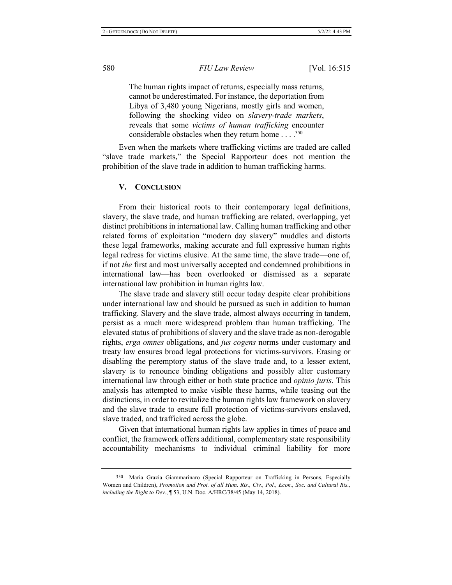The human rights impact of returns, especially mass returns, cannot be underestimated. For instance, the deportation from Libya of 3,480 young Nigerians, mostly girls and women, following the shocking video on slavery-trade markets, reveals that some *victims of human trafficking* encounter considerable obstacles when they return home  $\dots$ .<sup>350</sup>

Even when the markets where trafficking victims are traded are called "slave trade markets," the Special Rapporteur does not mention the prohibition of the slave trade in addition to human trafficking harms.

#### **V.** CONCLUSION

From their historical roots to their contemporary legal definitions, slavery, the slave trade, and human trafficking are related, overlapping, yet distinct prohibitions in international law. Calling human trafficking and other related forms of exploitation "modern day slavery" muddles and distorts these legal frameworks, making accurate and full expressive human rights legal redress for victims elusive. At the same time, the slave trade—one of, if not the first and most universally accepted and condemned prohibitions in international law—has been overlooked or dismissed as a separate international law prohibition in human rights law.

The slave trade and slavery still occur today despite clear prohibitions under international law and should be pursued as such in addition to human trafficking. Slavery and the slave trade, almost always occurring in tandem, persist as a much more widespread problem than human trafficking. The elevated status of prohibitions of slavery and the slave trade as non-derogable rights, erga omnes obligations, and *jus cogens* norms under customary and treaty law ensures broad legal protections for victims-survivors. Erasing or disabling the peremptory status of the slave trade and, to a lesser extent, slavery is to renounce binding obligations and possibly alter customary international law through either or both state practice and *opinio juris*. This analysis has attempted to make visible these harms, while teasing out the distinctions, in order to revitalize the human rights law framework on slavery and the slave trade to ensure full protection of victims-survivors enslaved, slave traded, and trafficked across the globe.

Given that international human rights law applies in times of peace and conflict, the framework offers additional, complementary state responsibility accountability mechanisms to individual criminal liability for more

<sup>350</sup> Maria Grazia Giammarinaro (Special Rapporteur on Trafficking in Persons, Especially Women and Children), Promotion and Prot. of all Hum. Rts., Civ., Pol., Econ., Soc. and Cultural Rts., *including the Right to Dev.,* 153, U.N. Doc. A/HRC/38/45 (May 14, 2018).